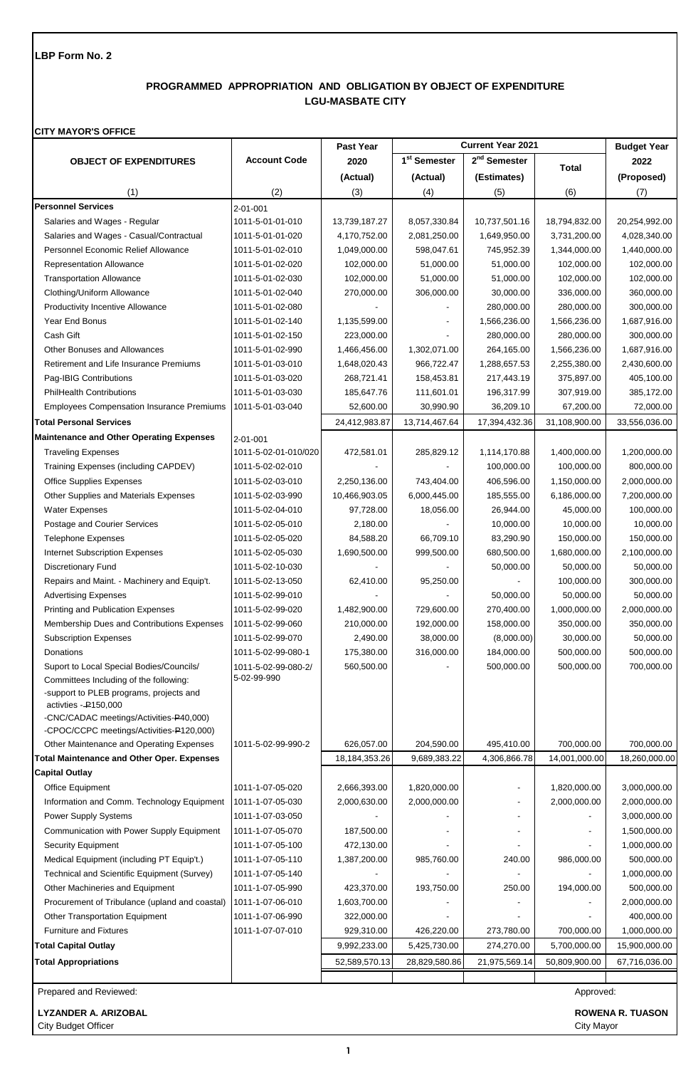# **PROGRAMMED APPROPRIATION AND OBLIGATION BY OBJECT OF EXPENDITURE LGU-MASBATE CITY**

#### **CITY MAYOR'S OFFICE**

|                                                                                                             |                      | Past Year        |                          | <b>Current Year 2021</b> |               | <b>Budget Year</b>      |
|-------------------------------------------------------------------------------------------------------------|----------------------|------------------|--------------------------|--------------------------|---------------|-------------------------|
| <b>OBJECT OF EXPENDITURES</b>                                                                               | <b>Account Code</b>  | 2020             | 1 <sup>st</sup> Semester | 2 <sup>nd</sup> Semester | <b>Total</b>  | 2022                    |
|                                                                                                             |                      | (Actual)         | (Actual)                 | (Estimates)              |               | (Proposed)              |
| (1)                                                                                                         | (2)                  | (3)              | (4)                      | (5)                      | (6)           | (7)                     |
| <b>Personnel Services</b>                                                                                   | 2-01-001             |                  |                          |                          |               |                         |
| Salaries and Wages - Regular                                                                                | 1011-5-01-01-010     | 13,739,187.27    | 8,057,330.84             | 10,737,501.16            | 18,794,832.00 | 20,254,992.00           |
| Salaries and Wages - Casual/Contractual                                                                     | 1011-5-01-01-020     | 4,170,752.00     | 2,081,250.00             | 1,649,950.00             | 3,731,200.00  | 4,028,340.00            |
| Personnel Economic Relief Allowance                                                                         | 1011-5-01-02-010     | 1,049,000.00     | 598,047.61               | 745,952.39               | 1,344,000.00  | 1,440,000.00            |
| <b>Representation Allowance</b>                                                                             | 1011-5-01-02-020     | 102,000.00       | 51,000.00                | 51,000.00                | 102,000.00    | 102,000.00              |
| <b>Transportation Allowance</b>                                                                             | 1011-5-01-02-030     | 102,000.00       | 51,000.00                | 51,000.00                | 102,000.00    | 102,000.00              |
| Clothing/Uniform Allowance                                                                                  | 1011-5-01-02-040     | 270,000.00       | 306,000.00               | 30,000.00                | 336,000.00    | 360,000.00              |
| <b>Productivity Incentive Allowance</b>                                                                     | 1011-5-01-02-080     |                  |                          | 280,000.00               | 280,000.00    | 300,000.00              |
| Year End Bonus                                                                                              | 1011-5-01-02-140     | 1,135,599.00     |                          | 1,566,236.00             | 1,566,236.00  | 1,687,916.00            |
| Cash Gift                                                                                                   | 1011-5-01-02-150     | 223,000.00       |                          | 280,000.00               | 280,000.00    | 300,000.00              |
| Other Bonuses and Allowances                                                                                | 1011-5-01-02-990     | 1,466,456.00     | 1,302,071.00             | 264,165.00               | 1,566,236.00  | 1,687,916.00            |
| Retirement and Life Insurance Premiums                                                                      | 1011-5-01-03-010     | 1,648,020.43     | 966,722.47               | 1,288,657.53             | 2,255,380.00  | 2,430,600.00            |
| Pag-IBIG Contributions                                                                                      | 1011-5-01-03-020     | 268,721.41       | 158,453.81               | 217,443.19               | 375,897.00    | 405,100.00              |
| <b>PhilHealth Contributions</b>                                                                             | 1011-5-01-03-030     | 185,647.76       | 111,601.01               | 196,317.99               | 307,919.00    | 385,172.00              |
| <b>Employees Compensation Insurance Premiums</b>                                                            | 1011-5-01-03-040     | 52,600.00        | 30,990.90                | 36,209.10                | 67,200.00     | 72,000.00               |
| <b>Total Personal Services</b>                                                                              |                      | 24,412,983.87    | 13,714,467.64            | 17,394,432.36            | 31,108,900.00 | 33,556,036.00           |
| <b>Maintenance and Other Operating Expenses</b>                                                             | 2-01-001             |                  |                          |                          |               |                         |
| <b>Traveling Expenses</b>                                                                                   | 1011-5-02-01-010/020 | 472,581.01       | 285,829.12               | 1,114,170.88             | 1,400,000.00  | 1,200,000.00            |
| Training Expenses (including CAPDEV)                                                                        | 1011-5-02-02-010     |                  |                          | 100,000.00               | 100,000.00    | 800,000.00              |
| <b>Office Supplies Expenses</b>                                                                             | 1011-5-02-03-010     | 2,250,136.00     | 743,404.00               | 406,596.00               | 1,150,000.00  | 2,000,000.00            |
| Other Supplies and Materials Expenses                                                                       | 1011-5-02-03-990     | 10,466,903.05    | 6,000,445.00             | 185,555.00               | 6,186,000.00  | 7,200,000.00            |
| <b>Water Expenses</b>                                                                                       | 1011-5-02-04-010     | 97,728.00        | 18,056.00                | 26,944.00                | 45,000.00     | 100,000.00              |
| Postage and Courier Services                                                                                | 1011-5-02-05-010     | 2,180.00         |                          | 10,000.00                | 10,000.00     | 10,000.00               |
| <b>Telephone Expenses</b>                                                                                   | 1011-5-02-05-020     | 84,588.20        | 66,709.10                | 83,290.90                | 150,000.00    | 150,000.00              |
| <b>Internet Subscription Expenses</b>                                                                       | 1011-5-02-05-030     | 1,690,500.00     | 999,500.00               | 680,500.00               | 1,680,000.00  | 2,100,000.00            |
| <b>Discretionary Fund</b>                                                                                   | 1011-5-02-10-030     |                  |                          | 50,000.00                | 50,000.00     | 50,000.00               |
| Repairs and Maint. - Machinery and Equip't.                                                                 | 1011-5-02-13-050     | 62,410.00        | 95,250.00                |                          | 100,000.00    | 300,000.00              |
| <b>Advertising Expenses</b>                                                                                 | 1011-5-02-99-010     |                  |                          | 50,000.00                | 50,000.00     | 50,000.00               |
| Printing and Publication Expenses                                                                           | 1011-5-02-99-020     | 1,482,900.00     | 729,600.00               | 270,400.00               | 1,000,000.00  | 2,000,000.00            |
| Membership Dues and Contributions Expenses                                                                  | 1011-5-02-99-060     | 210,000.00       | 192,000.00               | 158,000.00               | 350,000.00    | 350,000.00              |
| <b>Subscription Expenses</b>                                                                                | 1011-5-02-99-070     | 2,490.00         | 38,000.00                | (8,000.00)               | 30,000.00     | 50,000.00               |
| Donations                                                                                                   | 1011-5-02-99-080-1   | 175,380.00       | 316,000.00               | 184,000.00               | 500,000.00    | 500,000.00              |
| Suport to Local Special Bodies/Councils/                                                                    | 1011-5-02-99-080-2/  | 560,500.00       |                          | 500,000.00               | 500,000.00    | 700,000.00              |
| Committees Including of the following:<br>-support to PLEB programs, projects and<br>activites $-$ P150,000 | 5-02-99-990          |                  |                          |                          |               |                         |
| -CNC/CADAC meetings/Activities-P40,000)                                                                     |                      |                  |                          |                          |               |                         |
| -CPOC/CCPC meetings/Activities-P120,000)                                                                    |                      |                  |                          |                          |               |                         |
| Other Maintenance and Operating Expenses                                                                    | 1011-5-02-99-990-2   | 626,057.00       | 204,590.00               | 495,410.00               | 700,000.00    | 700,000.00              |
| <b>Total Maintenance and Other Oper. Expenses</b>                                                           |                      | 18, 184, 353. 26 | 9,689,383.22             | 4,306,866.78             | 14,001,000.00 | 18,260,000.00           |
| <b>Capital Outlay</b>                                                                                       |                      |                  |                          |                          |               |                         |
| Office Equipment                                                                                            | 1011-1-07-05-020     | 2,666,393.00     | 1,820,000.00             |                          | 1,820,000.00  | 3,000,000.00            |
| Information and Comm. Technology Equipment                                                                  | 1011-1-07-05-030     | 2,000,630.00     | 2,000,000.00             |                          | 2,000,000.00  | 2,000,000.00            |
| Power Supply Systems                                                                                        | 1011-1-07-03-050     |                  |                          |                          |               | 3,000,000.00            |
| Communication with Power Supply Equipment                                                                   | 1011-1-07-05-070     | 187,500.00       |                          |                          |               | 1,500,000.00            |
| <b>Security Equipment</b>                                                                                   | 1011-1-07-05-100     | 472,130.00       |                          |                          |               | 1,000,000.00            |
| Medical Equipment (including PT Equip't.)                                                                   | 1011-1-07-05-110     | 1,387,200.00     | 985,760.00               | 240.00                   | 986,000.00    | 500,000.00              |
| Technical and Scientific Equipment (Survey)                                                                 | 1011-1-07-05-140     |                  |                          |                          |               | 1,000,000.00            |
| Other Machineries and Equipment                                                                             | 1011-1-07-05-990     | 423,370.00       | 193,750.00               | 250.00                   | 194,000.00    | 500,000.00              |
| Procurement of Tribulance (upland and coastal)                                                              | 1011-1-07-06-010     | 1,603,700.00     |                          |                          |               | 2,000,000.00            |
| Other Transportation Equipment                                                                              | 1011-1-07-06-990     | 322,000.00       |                          |                          |               | 400,000.00              |
| <b>Furniture and Fixtures</b>                                                                               | 1011-1-07-07-010     | 929,310.00       | 426,220.00               | 273,780.00               | 700,000.00    | 1,000,000.00            |
| <b>Total Capital Outlay</b>                                                                                 |                      | 9,992,233.00     | 5,425,730.00             | 274,270.00               | 5,700,000.00  | 15,900,000.00           |
| <b>Total Appropriations</b>                                                                                 |                      | 52,589,570.13    | 28,829,580.86            | 21,975,569.14            | 50,809,900.00 | 67,716,036.00           |
|                                                                                                             |                      |                  |                          |                          |               |                         |
| Prepared and Reviewed:                                                                                      |                      |                  |                          |                          | Approved:     |                         |
| <b>LYZANDER A. ARIZOBAL</b>                                                                                 |                      |                  |                          |                          |               | <b>ROWENA R. TUASON</b> |

City Budget Officer City Mayor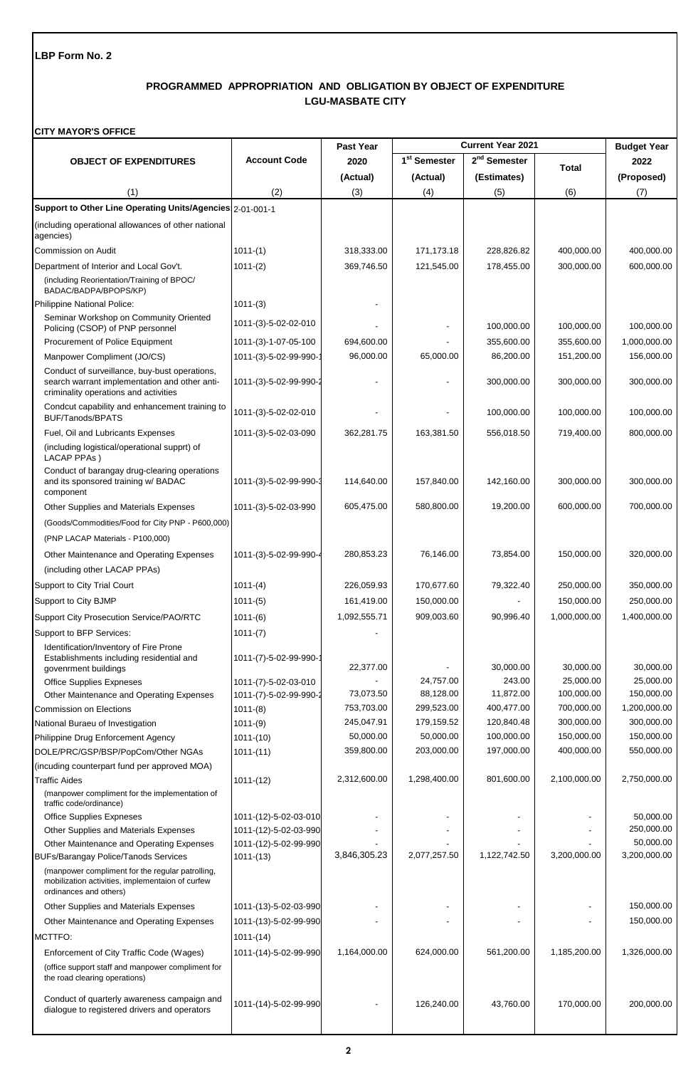# **PROGRAMMED APPROPRIATION AND OBLIGATION BY OBJECT OF EXPENDITURE LGU-MASBATE CITY**

#### **CITY MAYOR'S OFFICE**

|                                                                                                                                         |                                      | Past Year    |                          | <b>Current Year 2021</b> |                        | <b>Budget Year</b>      |
|-----------------------------------------------------------------------------------------------------------------------------------------|--------------------------------------|--------------|--------------------------|--------------------------|------------------------|-------------------------|
| <b>OBJECT OF EXPENDITURES</b>                                                                                                           | <b>Account Code</b>                  | 2020         | 1 <sup>st</sup> Semester | 2 <sup>nd</sup> Semester | Total                  | 2022                    |
|                                                                                                                                         |                                      | (Actual)     | (Actual)                 | (Estimates)              |                        | (Proposed)              |
| (1)                                                                                                                                     | (2)                                  | (3)          | (4)                      | (5)                      | (6)                    | (7)                     |
| Support to Other Line Operating Units/Agencies 2-01-001-1                                                                               |                                      |              |                          |                          |                        |                         |
| (including operational allowances of other national                                                                                     |                                      |              |                          |                          |                        |                         |
| agencies)                                                                                                                               |                                      |              |                          |                          |                        |                         |
| Commission on Audit                                                                                                                     | $1011-(1)$                           | 318,333.00   | 171,173.18               | 228,826.82               | 400,000.00             | 400,000.00              |
| Department of Interior and Local Gov't.                                                                                                 | $1011-(2)$                           | 369,746.50   | 121,545.00               | 178,455.00               | 300,000.00             | 600,000.00              |
| (including Reorientation/Training of BPOC/<br>BADAC/BADPA/BPOPS/KP)                                                                     |                                      |              |                          |                          |                        |                         |
| Philippine National Police:                                                                                                             | $1011-(3)$                           |              |                          |                          |                        |                         |
| Seminar Workshop on Community Oriented                                                                                                  | 1011-(3)-5-02-02-010                 |              |                          |                          |                        |                         |
| Policing (CSOP) of PNP personnel                                                                                                        |                                      |              |                          | 100,000.00               | 100,000.00             | 100,000.00              |
| Procurement of Police Equipment                                                                                                         | 1011-(3)-1-07-05-100                 | 694,600.00   |                          | 355,600.00               | 355,600.00             | 1,000,000.00            |
| Manpower Compliment (JO/CS)                                                                                                             | 1011-(3)-5-02-99-990-                | 96,000.00    | 65,000.00                | 86,200.00                | 151,200.00             | 156,000.00              |
| Conduct of surveillance, buy-bust operations,<br>search warrant implementation and other anti-<br>criminality operations and activities | 1011-(3)-5-02-99-990-2               |              |                          | 300,000.00               | 300,000.00             | 300,000.00              |
| Condcut capability and enhancement training to<br><b>BUF/Tanods/BPATS</b>                                                               | 1011-(3)-5-02-02-010                 |              |                          | 100,000.00               | 100,000.00             | 100,000.00              |
| Fuel, Oil and Lubricants Expenses                                                                                                       | 1011-(3)-5-02-03-090                 | 362,281.75   | 163,381.50               | 556,018.50               | 719,400.00             | 800,000.00              |
| (including logistical/operational supprt) of<br>LACAP PPAs)                                                                             |                                      |              |                          |                          |                        |                         |
| Conduct of barangay drug-clearing operations<br>and its sponsored training w/ BADAC<br>component                                        | 1011-(3)-5-02-99-990-3               | 114,640.00   | 157,840.00               | 142,160.00               | 300,000.00             | 300,000.00              |
| Other Supplies and Materials Expenses                                                                                                   | 1011-(3)-5-02-03-990                 | 605,475.00   | 580,800.00               | 19,200.00                | 600,000.00             | 700,000.00              |
| (Goods/Commodities/Food for City PNP - P600,000)                                                                                        |                                      |              |                          |                          |                        |                         |
| (PNP LACAP Materials - P100,000)                                                                                                        |                                      |              |                          |                          |                        |                         |
| Other Maintenance and Operating Expenses                                                                                                | 1011-(3)-5-02-99-990-4               | 280,853.23   | 76,146.00                | 73,854.00                | 150,000.00             | 320,000.00              |
| (including other LACAP PPAs)                                                                                                            |                                      |              |                          |                          |                        |                         |
| Support to City Trial Court                                                                                                             | $1011-(4)$                           | 226,059.93   | 170,677.60               | 79,322.40                | 250,000.00             | 350,000.00              |
| Support to City BJMP                                                                                                                    | $1011-(5)$                           | 161,419.00   | 150,000.00               |                          | 150,000.00             | 250,000.00              |
| Support City Prosecution Service/PAO/RTC                                                                                                | $1011-(6)$                           | 1,092,555.71 | 909,003.60               | 90,996.40                | 1,000,000.00           | 1,400,000.00            |
| Support to BFP Services:                                                                                                                | $1011-(7)$                           |              |                          |                          |                        |                         |
| Identification/Inventory of Fire Prone<br>Establishments including residential and                                                      | 1011-(7)-5-02-99-990-1               |              |                          |                          |                        |                         |
| govenrment buildings<br><b>Office Supplies Expneses</b>                                                                                 | 1011-(7)-5-02-03-010                 | 22,377.00    | 24,757.00                | 30,000.00<br>243.00      | 30,000.00<br>25,000.00 | 30,000.00<br>25,000.00  |
| Other Maintenance and Operating Expenses                                                                                                | 1011-(7)-5-02-99-990-2               | 73,073.50    | 88,128.00                | 11,872.00                | 100,000.00             | 150,000.00              |
| <b>Commission on Elections</b>                                                                                                          | $1011-(8)$                           | 753,703.00   | 299,523.00               | 400,477.00               | 700,000.00             | 1,200,000.00            |
| National Buraeu of Investigation                                                                                                        | $1011-(9)$                           | 245,047.91   | 179,159.52               | 120,840.48               | 300,000.00             | 300,000.00              |
| Philippine Drug Enforcement Agency                                                                                                      | $1011-(10)$                          | 50,000.00    | 50,000.00                | 100,000.00               | 150,000.00             | 150,000.00              |
| DOLE/PRC/GSP/BSP/PopCom/Other NGAs                                                                                                      | $1011-(11)$                          | 359,800.00   | 203,000.00               | 197,000.00               | 400,000.00             | 550,000.00              |
| (incuding counterpart fund per approved MOA)                                                                                            |                                      |              |                          |                          |                        |                         |
| <b>Traffic Aides</b>                                                                                                                    | $1011-(12)$                          | 2,312,600.00 | 1,298,400.00             | 801,600.00               | 2,100,000.00           | 2,750,000.00            |
| (manpower compliment for the implementation of<br>traffic code/ordinance)                                                               |                                      |              |                          |                          |                        |                         |
| <b>Office Supplies Expneses</b>                                                                                                         | 1011-(12)-5-02-03-010                |              |                          |                          |                        | 50,000.00               |
| Other Supplies and Materials Expenses                                                                                                   | 1011-(12)-5-02-03-990                |              |                          |                          |                        | 250,000.00<br>50,000.00 |
| Other Maintenance and Operating Expenses<br><b>BUFs/Barangay Police/Tanods Services</b>                                                 | 1011-(12)-5-02-99-990<br>$1011-(13)$ | 3,846,305.23 | 2,077,257.50             | 1,122,742.50             | 3,200,000.00           | 3,200,000.00            |
| (manpower compliment for the regular patrolling,<br>mobilization activities, implementaion of curfew<br>ordinances and others)          |                                      |              |                          |                          |                        |                         |
| Other Supplies and Materials Expenses                                                                                                   | 1011-(13)-5-02-03-990                |              |                          |                          |                        | 150,000.00              |
| Other Maintenance and Operating Expenses                                                                                                | 1011-(13)-5-02-99-990                |              |                          |                          |                        | 150,000.00              |
| MCTTFO:                                                                                                                                 | $1011-(14)$                          |              |                          |                          |                        |                         |
| Enforcement of City Traffic Code (Wages)                                                                                                | 1011-(14)-5-02-99-990                | 1,164,000.00 | 624,000.00               | 561,200.00               | 1,185,200.00           | 1,326,000.00            |
| (office support staff and manpower compliment for<br>the road clearing operations)                                                      |                                      |              |                          |                          |                        |                         |
| Conduct of quarterly awareness campaign and<br>dialogue to registered drivers and operators                                             | 1011-(14)-5-02-99-990                |              | 126,240.00               | 43,760.00                | 170,000.00             | 200,000.00              |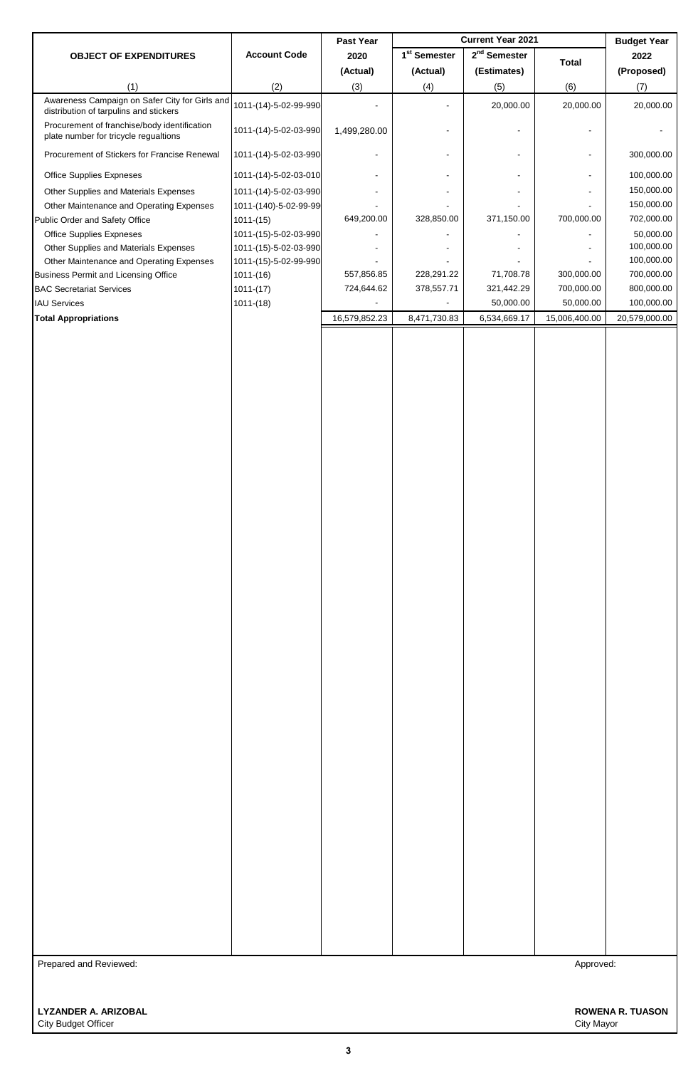| 2020<br>2022<br><b>OBJECT OF EXPENDITURES</b><br><b>Total</b><br>(Actual)<br>(Estimates)<br>(Proposed)<br>(Actual)<br>(2)<br>(3)<br>(4)<br>(1)<br>(5)<br>(6)<br>(7)<br>Awareness Campaign on Safer City for Girls and<br>1011-(14)-5-02-99-990<br>20,000.00<br>20,000.00<br>20,000.00<br>distribution of tarpulins and stickers<br>Procurement of franchise/body identification<br>1011-(14)-5-02-03-990<br>1,499,280.00<br>$\overline{\phantom{a}}$<br>$\overline{\phantom{a}}$<br>plate number for tricycle regualtions<br>Procurement of Stickers for Francise Renewal<br>1011-(14)-5-02-03-990<br>300,000.00<br>$\overline{\phantom{a}}$<br>$\overline{\phantom{a}}$<br>$\overline{\phantom{a}}$<br>100,000.00<br>Office Supplies Expneses<br>1011-(14)-5-02-03-010<br>$\overline{\phantom{a}}$<br>$\overline{\phantom{a}}$<br>$\overline{\phantom{a}}$<br>150,000.00<br>1011-(14)-5-02-03-990<br>Other Supplies and Materials Expenses<br>150,000.00<br>Other Maintenance and Operating Expenses<br>1011-(140)-5-02-99-99<br>700,000.00<br>702,000.00<br>649,200.00<br>328,850.00<br>371,150.00<br>Public Order and Safety Office<br>$1011-(15)$<br>Office Supplies Expneses<br>1011-(15)-5-02-03-990<br>50,000.00<br>100,000.00<br>Other Supplies and Materials Expenses<br>1011-(15)-5-02-03-990<br>100,000.00<br>Other Maintenance and Operating Expenses<br>1011-(15)-5-02-99-990<br>700,000.00<br>557,856.85<br>228,291.22<br>71,708.78<br>300,000.00<br><b>Business Permit and Licensing Office</b><br>$1011-(16)$<br>700,000.00<br>800,000.00<br>724,644.62<br>378,557.71<br>321,442.29<br><b>BAC Secretariat Services</b><br>$1011-(17)$<br>50,000.00<br>50,000.00<br>100,000.00<br><b>IAU Services</b><br>$1011-(18)$<br>16,579,852.23<br>8,471,730.83<br>6,534,669.17<br>15,006,400.00<br>20,579,000.00<br><b>Total Appropriations</b><br>Prepared and Reviewed:<br>Approved: |                     | Past Year |                          | <b>Current Year 2021</b> | <b>Budget Year</b> |
|----------------------------------------------------------------------------------------------------------------------------------------------------------------------------------------------------------------------------------------------------------------------------------------------------------------------------------------------------------------------------------------------------------------------------------------------------------------------------------------------------------------------------------------------------------------------------------------------------------------------------------------------------------------------------------------------------------------------------------------------------------------------------------------------------------------------------------------------------------------------------------------------------------------------------------------------------------------------------------------------------------------------------------------------------------------------------------------------------------------------------------------------------------------------------------------------------------------------------------------------------------------------------------------------------------------------------------------------------------------------------------------------------------------------------------------------------------------------------------------------------------------------------------------------------------------------------------------------------------------------------------------------------------------------------------------------------------------------------------------------------------------------------------------------------------------------------------------------------------------------------------------------|---------------------|-----------|--------------------------|--------------------------|--------------------|
|                                                                                                                                                                                                                                                                                                                                                                                                                                                                                                                                                                                                                                                                                                                                                                                                                                                                                                                                                                                                                                                                                                                                                                                                                                                                                                                                                                                                                                                                                                                                                                                                                                                                                                                                                                                                                                                                                              | <b>Account Code</b> |           | 1 <sup>st</sup> Semester | 2 <sup>nd</sup> Semester |                    |
|                                                                                                                                                                                                                                                                                                                                                                                                                                                                                                                                                                                                                                                                                                                                                                                                                                                                                                                                                                                                                                                                                                                                                                                                                                                                                                                                                                                                                                                                                                                                                                                                                                                                                                                                                                                                                                                                                              |                     |           |                          |                          |                    |
|                                                                                                                                                                                                                                                                                                                                                                                                                                                                                                                                                                                                                                                                                                                                                                                                                                                                                                                                                                                                                                                                                                                                                                                                                                                                                                                                                                                                                                                                                                                                                                                                                                                                                                                                                                                                                                                                                              |                     |           |                          |                          |                    |
|                                                                                                                                                                                                                                                                                                                                                                                                                                                                                                                                                                                                                                                                                                                                                                                                                                                                                                                                                                                                                                                                                                                                                                                                                                                                                                                                                                                                                                                                                                                                                                                                                                                                                                                                                                                                                                                                                              |                     |           |                          |                          |                    |
|                                                                                                                                                                                                                                                                                                                                                                                                                                                                                                                                                                                                                                                                                                                                                                                                                                                                                                                                                                                                                                                                                                                                                                                                                                                                                                                                                                                                                                                                                                                                                                                                                                                                                                                                                                                                                                                                                              |                     |           |                          |                          |                    |
|                                                                                                                                                                                                                                                                                                                                                                                                                                                                                                                                                                                                                                                                                                                                                                                                                                                                                                                                                                                                                                                                                                                                                                                                                                                                                                                                                                                                                                                                                                                                                                                                                                                                                                                                                                                                                                                                                              |                     |           |                          |                          |                    |
|                                                                                                                                                                                                                                                                                                                                                                                                                                                                                                                                                                                                                                                                                                                                                                                                                                                                                                                                                                                                                                                                                                                                                                                                                                                                                                                                                                                                                                                                                                                                                                                                                                                                                                                                                                                                                                                                                              |                     |           |                          |                          |                    |
|                                                                                                                                                                                                                                                                                                                                                                                                                                                                                                                                                                                                                                                                                                                                                                                                                                                                                                                                                                                                                                                                                                                                                                                                                                                                                                                                                                                                                                                                                                                                                                                                                                                                                                                                                                                                                                                                                              |                     |           |                          |                          |                    |
|                                                                                                                                                                                                                                                                                                                                                                                                                                                                                                                                                                                                                                                                                                                                                                                                                                                                                                                                                                                                                                                                                                                                                                                                                                                                                                                                                                                                                                                                                                                                                                                                                                                                                                                                                                                                                                                                                              |                     |           |                          |                          |                    |
|                                                                                                                                                                                                                                                                                                                                                                                                                                                                                                                                                                                                                                                                                                                                                                                                                                                                                                                                                                                                                                                                                                                                                                                                                                                                                                                                                                                                                                                                                                                                                                                                                                                                                                                                                                                                                                                                                              |                     |           |                          |                          |                    |
|                                                                                                                                                                                                                                                                                                                                                                                                                                                                                                                                                                                                                                                                                                                                                                                                                                                                                                                                                                                                                                                                                                                                                                                                                                                                                                                                                                                                                                                                                                                                                                                                                                                                                                                                                                                                                                                                                              |                     |           |                          |                          |                    |
|                                                                                                                                                                                                                                                                                                                                                                                                                                                                                                                                                                                                                                                                                                                                                                                                                                                                                                                                                                                                                                                                                                                                                                                                                                                                                                                                                                                                                                                                                                                                                                                                                                                                                                                                                                                                                                                                                              |                     |           |                          |                          |                    |
|                                                                                                                                                                                                                                                                                                                                                                                                                                                                                                                                                                                                                                                                                                                                                                                                                                                                                                                                                                                                                                                                                                                                                                                                                                                                                                                                                                                                                                                                                                                                                                                                                                                                                                                                                                                                                                                                                              |                     |           |                          |                          |                    |
|                                                                                                                                                                                                                                                                                                                                                                                                                                                                                                                                                                                                                                                                                                                                                                                                                                                                                                                                                                                                                                                                                                                                                                                                                                                                                                                                                                                                                                                                                                                                                                                                                                                                                                                                                                                                                                                                                              |                     |           |                          |                          |                    |
|                                                                                                                                                                                                                                                                                                                                                                                                                                                                                                                                                                                                                                                                                                                                                                                                                                                                                                                                                                                                                                                                                                                                                                                                                                                                                                                                                                                                                                                                                                                                                                                                                                                                                                                                                                                                                                                                                              |                     |           |                          |                          |                    |
|                                                                                                                                                                                                                                                                                                                                                                                                                                                                                                                                                                                                                                                                                                                                                                                                                                                                                                                                                                                                                                                                                                                                                                                                                                                                                                                                                                                                                                                                                                                                                                                                                                                                                                                                                                                                                                                                                              |                     |           |                          |                          |                    |
|                                                                                                                                                                                                                                                                                                                                                                                                                                                                                                                                                                                                                                                                                                                                                                                                                                                                                                                                                                                                                                                                                                                                                                                                                                                                                                                                                                                                                                                                                                                                                                                                                                                                                                                                                                                                                                                                                              |                     |           |                          |                          |                    |
|                                                                                                                                                                                                                                                                                                                                                                                                                                                                                                                                                                                                                                                                                                                                                                                                                                                                                                                                                                                                                                                                                                                                                                                                                                                                                                                                                                                                                                                                                                                                                                                                                                                                                                                                                                                                                                                                                              |                     |           |                          |                          |                    |
|                                                                                                                                                                                                                                                                                                                                                                                                                                                                                                                                                                                                                                                                                                                                                                                                                                                                                                                                                                                                                                                                                                                                                                                                                                                                                                                                                                                                                                                                                                                                                                                                                                                                                                                                                                                                                                                                                              |                     |           |                          |                          |                    |
|                                                                                                                                                                                                                                                                                                                                                                                                                                                                                                                                                                                                                                                                                                                                                                                                                                                                                                                                                                                                                                                                                                                                                                                                                                                                                                                                                                                                                                                                                                                                                                                                                                                                                                                                                                                                                                                                                              |                     |           |                          |                          |                    |
|                                                                                                                                                                                                                                                                                                                                                                                                                                                                                                                                                                                                                                                                                                                                                                                                                                                                                                                                                                                                                                                                                                                                                                                                                                                                                                                                                                                                                                                                                                                                                                                                                                                                                                                                                                                                                                                                                              |                     |           |                          |                          |                    |
|                                                                                                                                                                                                                                                                                                                                                                                                                                                                                                                                                                                                                                                                                                                                                                                                                                                                                                                                                                                                                                                                                                                                                                                                                                                                                                                                                                                                                                                                                                                                                                                                                                                                                                                                                                                                                                                                                              |                     |           |                          |                          |                    |
|                                                                                                                                                                                                                                                                                                                                                                                                                                                                                                                                                                                                                                                                                                                                                                                                                                                                                                                                                                                                                                                                                                                                                                                                                                                                                                                                                                                                                                                                                                                                                                                                                                                                                                                                                                                                                                                                                              |                     |           |                          |                          |                    |
|                                                                                                                                                                                                                                                                                                                                                                                                                                                                                                                                                                                                                                                                                                                                                                                                                                                                                                                                                                                                                                                                                                                                                                                                                                                                                                                                                                                                                                                                                                                                                                                                                                                                                                                                                                                                                                                                                              |                     |           |                          |                          |                    |
|                                                                                                                                                                                                                                                                                                                                                                                                                                                                                                                                                                                                                                                                                                                                                                                                                                                                                                                                                                                                                                                                                                                                                                                                                                                                                                                                                                                                                                                                                                                                                                                                                                                                                                                                                                                                                                                                                              |                     |           |                          |                          |                    |
|                                                                                                                                                                                                                                                                                                                                                                                                                                                                                                                                                                                                                                                                                                                                                                                                                                                                                                                                                                                                                                                                                                                                                                                                                                                                                                                                                                                                                                                                                                                                                                                                                                                                                                                                                                                                                                                                                              |                     |           |                          |                          |                    |
|                                                                                                                                                                                                                                                                                                                                                                                                                                                                                                                                                                                                                                                                                                                                                                                                                                                                                                                                                                                                                                                                                                                                                                                                                                                                                                                                                                                                                                                                                                                                                                                                                                                                                                                                                                                                                                                                                              |                     |           |                          |                          |                    |
|                                                                                                                                                                                                                                                                                                                                                                                                                                                                                                                                                                                                                                                                                                                                                                                                                                                                                                                                                                                                                                                                                                                                                                                                                                                                                                                                                                                                                                                                                                                                                                                                                                                                                                                                                                                                                                                                                              |                     |           |                          |                          |                    |
|                                                                                                                                                                                                                                                                                                                                                                                                                                                                                                                                                                                                                                                                                                                                                                                                                                                                                                                                                                                                                                                                                                                                                                                                                                                                                                                                                                                                                                                                                                                                                                                                                                                                                                                                                                                                                                                                                              |                     |           |                          |                          |                    |
|                                                                                                                                                                                                                                                                                                                                                                                                                                                                                                                                                                                                                                                                                                                                                                                                                                                                                                                                                                                                                                                                                                                                                                                                                                                                                                                                                                                                                                                                                                                                                                                                                                                                                                                                                                                                                                                                                              |                     |           |                          |                          |                    |
|                                                                                                                                                                                                                                                                                                                                                                                                                                                                                                                                                                                                                                                                                                                                                                                                                                                                                                                                                                                                                                                                                                                                                                                                                                                                                                                                                                                                                                                                                                                                                                                                                                                                                                                                                                                                                                                                                              |                     |           |                          |                          |                    |
|                                                                                                                                                                                                                                                                                                                                                                                                                                                                                                                                                                                                                                                                                                                                                                                                                                                                                                                                                                                                                                                                                                                                                                                                                                                                                                                                                                                                                                                                                                                                                                                                                                                                                                                                                                                                                                                                                              |                     |           |                          |                          |                    |
|                                                                                                                                                                                                                                                                                                                                                                                                                                                                                                                                                                                                                                                                                                                                                                                                                                                                                                                                                                                                                                                                                                                                                                                                                                                                                                                                                                                                                                                                                                                                                                                                                                                                                                                                                                                                                                                                                              |                     |           |                          |                          |                    |
|                                                                                                                                                                                                                                                                                                                                                                                                                                                                                                                                                                                                                                                                                                                                                                                                                                                                                                                                                                                                                                                                                                                                                                                                                                                                                                                                                                                                                                                                                                                                                                                                                                                                                                                                                                                                                                                                                              |                     |           |                          |                          |                    |
|                                                                                                                                                                                                                                                                                                                                                                                                                                                                                                                                                                                                                                                                                                                                                                                                                                                                                                                                                                                                                                                                                                                                                                                                                                                                                                                                                                                                                                                                                                                                                                                                                                                                                                                                                                                                                                                                                              |                     |           |                          |                          |                    |
|                                                                                                                                                                                                                                                                                                                                                                                                                                                                                                                                                                                                                                                                                                                                                                                                                                                                                                                                                                                                                                                                                                                                                                                                                                                                                                                                                                                                                                                                                                                                                                                                                                                                                                                                                                                                                                                                                              |                     |           |                          |                          |                    |
|                                                                                                                                                                                                                                                                                                                                                                                                                                                                                                                                                                                                                                                                                                                                                                                                                                                                                                                                                                                                                                                                                                                                                                                                                                                                                                                                                                                                                                                                                                                                                                                                                                                                                                                                                                                                                                                                                              |                     |           |                          |                          |                    |
|                                                                                                                                                                                                                                                                                                                                                                                                                                                                                                                                                                                                                                                                                                                                                                                                                                                                                                                                                                                                                                                                                                                                                                                                                                                                                                                                                                                                                                                                                                                                                                                                                                                                                                                                                                                                                                                                                              |                     |           |                          |                          |                    |
|                                                                                                                                                                                                                                                                                                                                                                                                                                                                                                                                                                                                                                                                                                                                                                                                                                                                                                                                                                                                                                                                                                                                                                                                                                                                                                                                                                                                                                                                                                                                                                                                                                                                                                                                                                                                                                                                                              |                     |           |                          |                          |                    |
|                                                                                                                                                                                                                                                                                                                                                                                                                                                                                                                                                                                                                                                                                                                                                                                                                                                                                                                                                                                                                                                                                                                                                                                                                                                                                                                                                                                                                                                                                                                                                                                                                                                                                                                                                                                                                                                                                              |                     |           |                          |                          |                    |
|                                                                                                                                                                                                                                                                                                                                                                                                                                                                                                                                                                                                                                                                                                                                                                                                                                                                                                                                                                                                                                                                                                                                                                                                                                                                                                                                                                                                                                                                                                                                                                                                                                                                                                                                                                                                                                                                                              |                     |           |                          |                          |                    |
|                                                                                                                                                                                                                                                                                                                                                                                                                                                                                                                                                                                                                                                                                                                                                                                                                                                                                                                                                                                                                                                                                                                                                                                                                                                                                                                                                                                                                                                                                                                                                                                                                                                                                                                                                                                                                                                                                              |                     |           |                          |                          |                    |
|                                                                                                                                                                                                                                                                                                                                                                                                                                                                                                                                                                                                                                                                                                                                                                                                                                                                                                                                                                                                                                                                                                                                                                                                                                                                                                                                                                                                                                                                                                                                                                                                                                                                                                                                                                                                                                                                                              |                     |           |                          |                          |                    |
|                                                                                                                                                                                                                                                                                                                                                                                                                                                                                                                                                                                                                                                                                                                                                                                                                                                                                                                                                                                                                                                                                                                                                                                                                                                                                                                                                                                                                                                                                                                                                                                                                                                                                                                                                                                                                                                                                              |                     |           |                          |                          |                    |
|                                                                                                                                                                                                                                                                                                                                                                                                                                                                                                                                                                                                                                                                                                                                                                                                                                                                                                                                                                                                                                                                                                                                                                                                                                                                                                                                                                                                                                                                                                                                                                                                                                                                                                                                                                                                                                                                                              |                     |           |                          |                          |                    |
|                                                                                                                                                                                                                                                                                                                                                                                                                                                                                                                                                                                                                                                                                                                                                                                                                                                                                                                                                                                                                                                                                                                                                                                                                                                                                                                                                                                                                                                                                                                                                                                                                                                                                                                                                                                                                                                                                              |                     |           |                          |                          |                    |
|                                                                                                                                                                                                                                                                                                                                                                                                                                                                                                                                                                                                                                                                                                                                                                                                                                                                                                                                                                                                                                                                                                                                                                                                                                                                                                                                                                                                                                                                                                                                                                                                                                                                                                                                                                                                                                                                                              |                     |           |                          |                          |                    |
|                                                                                                                                                                                                                                                                                                                                                                                                                                                                                                                                                                                                                                                                                                                                                                                                                                                                                                                                                                                                                                                                                                                                                                                                                                                                                                                                                                                                                                                                                                                                                                                                                                                                                                                                                                                                                                                                                              |                     |           |                          |                          |                    |
|                                                                                                                                                                                                                                                                                                                                                                                                                                                                                                                                                                                                                                                                                                                                                                                                                                                                                                                                                                                                                                                                                                                                                                                                                                                                                                                                                                                                                                                                                                                                                                                                                                                                                                                                                                                                                                                                                              |                     |           |                          |                          |                    |
|                                                                                                                                                                                                                                                                                                                                                                                                                                                                                                                                                                                                                                                                                                                                                                                                                                                                                                                                                                                                                                                                                                                                                                                                                                                                                                                                                                                                                                                                                                                                                                                                                                                                                                                                                                                                                                                                                              |                     |           |                          |                          |                    |
|                                                                                                                                                                                                                                                                                                                                                                                                                                                                                                                                                                                                                                                                                                                                                                                                                                                                                                                                                                                                                                                                                                                                                                                                                                                                                                                                                                                                                                                                                                                                                                                                                                                                                                                                                                                                                                                                                              |                     |           |                          |                          |                    |
|                                                                                                                                                                                                                                                                                                                                                                                                                                                                                                                                                                                                                                                                                                                                                                                                                                                                                                                                                                                                                                                                                                                                                                                                                                                                                                                                                                                                                                                                                                                                                                                                                                                                                                                                                                                                                                                                                              |                     |           |                          |                          |                    |
|                                                                                                                                                                                                                                                                                                                                                                                                                                                                                                                                                                                                                                                                                                                                                                                                                                                                                                                                                                                                                                                                                                                                                                                                                                                                                                                                                                                                                                                                                                                                                                                                                                                                                                                                                                                                                                                                                              |                     |           |                          |                          |                    |
|                                                                                                                                                                                                                                                                                                                                                                                                                                                                                                                                                                                                                                                                                                                                                                                                                                                                                                                                                                                                                                                                                                                                                                                                                                                                                                                                                                                                                                                                                                                                                                                                                                                                                                                                                                                                                                                                                              |                     |           |                          |                          |                    |
|                                                                                                                                                                                                                                                                                                                                                                                                                                                                                                                                                                                                                                                                                                                                                                                                                                                                                                                                                                                                                                                                                                                                                                                                                                                                                                                                                                                                                                                                                                                                                                                                                                                                                                                                                                                                                                                                                              |                     |           |                          |                          |                    |
|                                                                                                                                                                                                                                                                                                                                                                                                                                                                                                                                                                                                                                                                                                                                                                                                                                                                                                                                                                                                                                                                                                                                                                                                                                                                                                                                                                                                                                                                                                                                                                                                                                                                                                                                                                                                                                                                                              |                     |           |                          |                          |                    |
|                                                                                                                                                                                                                                                                                                                                                                                                                                                                                                                                                                                                                                                                                                                                                                                                                                                                                                                                                                                                                                                                                                                                                                                                                                                                                                                                                                                                                                                                                                                                                                                                                                                                                                                                                                                                                                                                                              |                     |           |                          |                          |                    |
|                                                                                                                                                                                                                                                                                                                                                                                                                                                                                                                                                                                                                                                                                                                                                                                                                                                                                                                                                                                                                                                                                                                                                                                                                                                                                                                                                                                                                                                                                                                                                                                                                                                                                                                                                                                                                                                                                              |                     |           |                          |                          |                    |
|                                                                                                                                                                                                                                                                                                                                                                                                                                                                                                                                                                                                                                                                                                                                                                                                                                                                                                                                                                                                                                                                                                                                                                                                                                                                                                                                                                                                                                                                                                                                                                                                                                                                                                                                                                                                                                                                                              |                     |           |                          |                          |                    |
|                                                                                                                                                                                                                                                                                                                                                                                                                                                                                                                                                                                                                                                                                                                                                                                                                                                                                                                                                                                                                                                                                                                                                                                                                                                                                                                                                                                                                                                                                                                                                                                                                                                                                                                                                                                                                                                                                              |                     |           |                          |                          |                    |
|                                                                                                                                                                                                                                                                                                                                                                                                                                                                                                                                                                                                                                                                                                                                                                                                                                                                                                                                                                                                                                                                                                                                                                                                                                                                                                                                                                                                                                                                                                                                                                                                                                                                                                                                                                                                                                                                                              |                     |           |                          |                          |                    |
|                                                                                                                                                                                                                                                                                                                                                                                                                                                                                                                                                                                                                                                                                                                                                                                                                                                                                                                                                                                                                                                                                                                                                                                                                                                                                                                                                                                                                                                                                                                                                                                                                                                                                                                                                                                                                                                                                              |                     |           |                          |                          |                    |
|                                                                                                                                                                                                                                                                                                                                                                                                                                                                                                                                                                                                                                                                                                                                                                                                                                                                                                                                                                                                                                                                                                                                                                                                                                                                                                                                                                                                                                                                                                                                                                                                                                                                                                                                                                                                                                                                                              |                     |           |                          |                          |                    |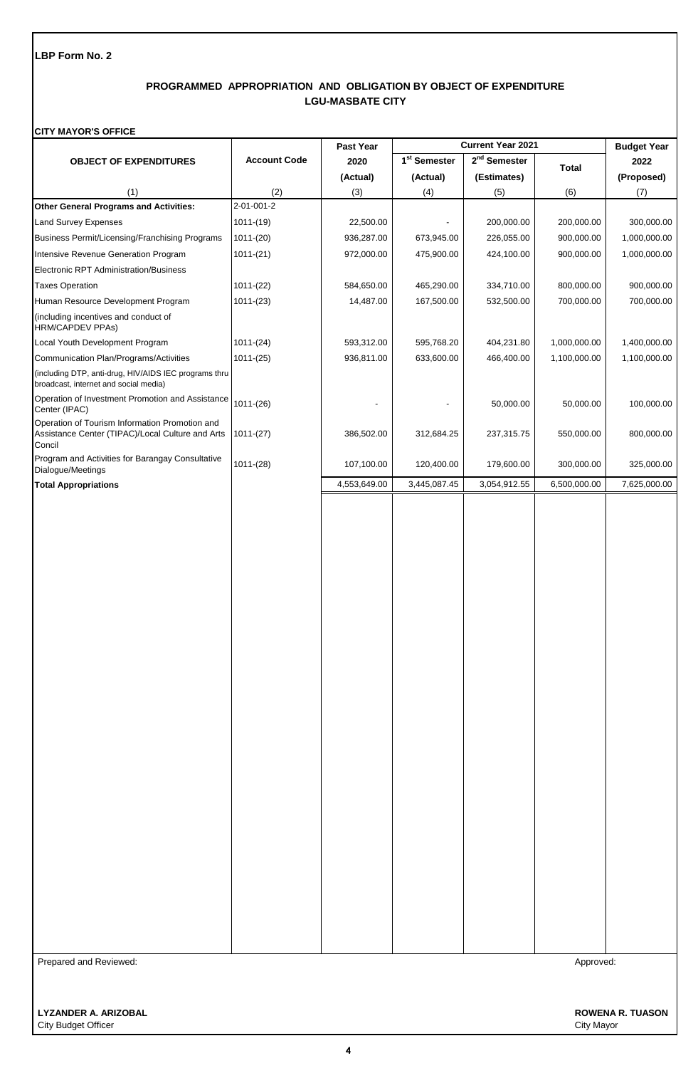## **PROGRAMMED APPROPRIATION AND OBLIGATION BY OBJECT OF EXPENDITURE LGU-MASBATE CITY**

### **CITY MAYOR'S OFFICE**

|                                                                                                              |                     | Past Year    | Current Year 2021        |                | <b>Budget Year</b> |              |
|--------------------------------------------------------------------------------------------------------------|---------------------|--------------|--------------------------|----------------|--------------------|--------------|
| <b>OBJECT OF EXPENDITURES</b>                                                                                | <b>Account Code</b> | 2020         | 1 <sup>st</sup> Semester | $2nd$ Semester | <b>Total</b>       | 2022         |
|                                                                                                              |                     | (Actual)     | (Actual)                 | (Estimates)    |                    | (Proposed)   |
| (1)                                                                                                          | (2)                 | (3)          | (4)                      | (5)            | (6)                | (7)          |
| <b>Other General Programs and Activities:</b>                                                                | 2-01-001-2          |              |                          |                |                    |              |
| Land Survey Expenses                                                                                         | $1011-(19)$         | 22,500.00    |                          | 200,000.00     | 200,000.00         | 300,000.00   |
| Business Permit/Licensing/Franchising Programs                                                               | $1011-(20)$         | 936,287.00   | 673,945.00               | 226,055.00     | 900,000.00         | 1,000,000.00 |
| Intensive Revenue Generation Program                                                                         | $1011-(21)$         | 972,000.00   | 475,900.00               | 424,100.00     | 900,000.00         | 1,000,000.00 |
| Electronic RPT Administration/Business                                                                       |                     |              |                          |                |                    |              |
| <b>Taxes Operation</b>                                                                                       | $1011-(22)$         | 584,650.00   | 465,290.00               | 334,710.00     | 800,000.00         | 900,000.00   |
| Human Resource Development Program                                                                           | $1011-(23)$         | 14,487.00    | 167,500.00               | 532,500.00     | 700,000.00         | 700,000.00   |
| (including incentives and conduct of<br>HRM/CAPDEV PPAs)                                                     |                     |              |                          |                |                    |              |
| Local Youth Development Program                                                                              | $1011-(24)$         | 593,312.00   | 595,768.20               | 404,231.80     | 1,000,000.00       | 1,400,000.00 |
| Communication Plan/Programs/Activities                                                                       | $1011-(25)$         | 936,811.00   | 633,600.00               | 466,400.00     | 1,100,000.00       | 1,100,000.00 |
| (including DTP, anti-drug, HIV/AIDS IEC programs thru<br>broadcast, internet and social media)               |                     |              |                          |                |                    |              |
| Operation of Investment Promotion and Assistance<br>Center (IPAC)                                            | $1011-(26)$         |              |                          | 50,000.00      | 50,000.00          | 100,000.00   |
| Operation of Tourism Information Promotion and<br>Assistance Center (TIPAC)/Local Culture and Arts<br>Concil | $1011-(27)$         | 386,502.00   | 312,684.25               | 237,315.75     | 550,000.00         | 800,000.00   |
| Program and Activities for Barangay Consultative<br>Dialogue/Meetings                                        | $1011-(28)$         | 107,100.00   | 120,400.00               | 179,600.00     | 300,000.00         | 325,000.00   |
| <b>Total Appropriations</b>                                                                                  |                     | 4,553,649.00 | 3,445,087.45             | 3,054,912.55   | 6,500,000.00       | 7,625,000.00 |
|                                                                                                              |                     |              |                          |                |                    |              |
| Prepared and Reviewed:                                                                                       |                     |              |                          |                | Approved:          |              |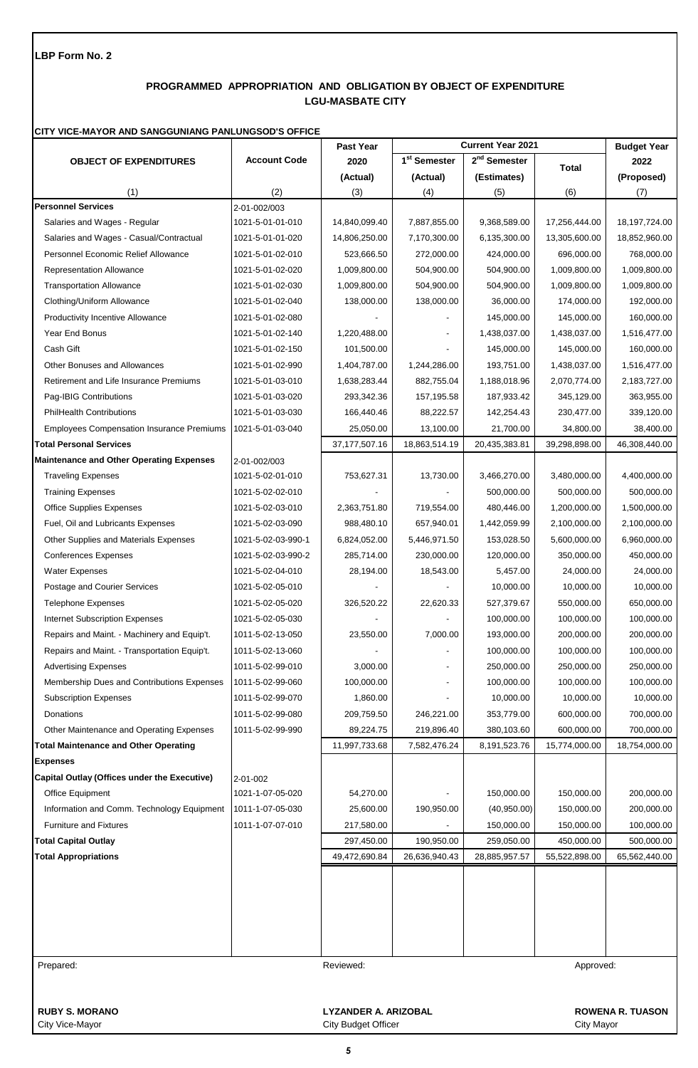# **PROGRAMMED APPROPRIATION AND OBLIGATION BY OBJECT OF EXPENDITURE LGU-MASBATE CITY**

#### **CITY VICE-MAYOR AND SANGGUNIANG PANLUNGSOD'S OFFICE**

|                                                  |                     | Past Year                   |                          | <b>Current Year 2021</b> |               | <b>Budget Year</b>      |
|--------------------------------------------------|---------------------|-----------------------------|--------------------------|--------------------------|---------------|-------------------------|
| <b>OBJECT OF EXPENDITURES</b>                    | <b>Account Code</b> | 2020                        | 1 <sup>st</sup> Semester | 2 <sup>nd</sup> Semester | <b>Total</b>  | 2022                    |
|                                                  |                     | (Actual)                    | (Actual)                 | (Estimates)              |               | (Proposed)              |
| (1)                                              | (2)                 | (3)                         | (4)                      | (5)                      | (6)           | (7)                     |
| <b>Personnel Services</b>                        | 2-01-002/003        |                             |                          |                          |               |                         |
| Salaries and Wages - Regular                     | 1021-5-01-01-010    | 14,840,099.40               | 7,887,855.00             | 9,368,589.00             | 17,256,444.00 | 18, 197, 724.00         |
| Salaries and Wages - Casual/Contractual          | 1021-5-01-01-020    | 14,806,250.00               | 7,170,300.00             | 6,135,300.00             | 13,305,600.00 | 18,852,960.00           |
| Personnel Economic Relief Allowance              | 1021-5-01-02-010    | 523,666.50                  | 272,000.00               | 424,000.00               | 696,000.00    | 768,000.00              |
| <b>Representation Allowance</b>                  | 1021-5-01-02-020    | 1,009,800.00                | 504,900.00               | 504,900.00               | 1,009,800.00  | 1,009,800.00            |
| <b>Transportation Allowance</b>                  | 1021-5-01-02-030    | 1,009,800.00                | 504,900.00               | 504,900.00               | 1,009,800.00  | 1,009,800.00            |
| Clothing/Uniform Allowance                       | 1021-5-01-02-040    | 138,000.00                  | 138,000.00               | 36,000.00                | 174,000.00    | 192,000.00              |
| Productivity Incentive Allowance                 | 1021-5-01-02-080    |                             |                          | 145,000.00               | 145,000.00    | 160,000.00              |
| Year End Bonus                                   | 1021-5-01-02-140    | 1,220,488.00                |                          | 1,438,037.00             | 1,438,037.00  | 1,516,477.00            |
| Cash Gift                                        | 1021-5-01-02-150    | 101,500.00                  |                          | 145,000.00               | 145,000.00    | 160,000.00              |
| <b>Other Bonuses and Allowances</b>              | 1021-5-01-02-990    | 1,404,787.00                | 1,244,286.00             | 193,751.00               | 1,438,037.00  | 1,516,477.00            |
| Retirement and Life Insurance Premiums           | 1021-5-01-03-010    | 1,638,283.44                | 882,755.04               | 1,188,018.96             | 2,070,774.00  | 2,183,727.00            |
| Pag-IBIG Contributions                           | 1021-5-01-03-020    | 293,342.36                  | 157,195.58               | 187,933.42               | 345,129.00    | 363,955.00              |
| <b>PhilHealth Contributions</b>                  | 1021-5-01-03-030    | 166,440.46                  | 88,222.57                | 142,254.43               | 230,477.00    | 339,120.00              |
| <b>Employees Compensation Insurance Premiums</b> | 1021-5-01-03-040    | 25,050.00                   | 13,100.00                | 21,700.00                | 34,800.00     | 38,400.00               |
| <b>Total Personal Services</b>                   |                     | 37, 177, 507. 16            | 18,863,514.19            | 20,435,383.81            | 39,298,898.00 | 46,308,440.00           |
| <b>Maintenance and Other Operating Expenses</b>  | 2-01-002/003        |                             |                          |                          |               |                         |
| <b>Traveling Expenses</b>                        | 1021-5-02-01-010    | 753,627.31                  | 13,730.00                | 3,466,270.00             | 3,480,000.00  | 4,400,000.00            |
| <b>Training Expenses</b>                         | 1021-5-02-02-010    |                             |                          | 500,000.00               | 500,000.00    | 500,000.00              |
| <b>Office Supplies Expenses</b>                  | 1021-5-02-03-010    | 2,363,751.80                | 719,554.00               | 480,446.00               | 1,200,000.00  | 1,500,000.00            |
| Fuel, Oil and Lubricants Expenses                | 1021-5-02-03-090    | 988,480.10                  | 657,940.01               | 1,442,059.99             | 2,100,000.00  | 2,100,000.00            |
| Other Supplies and Materials Expenses            | 1021-5-02-03-990-1  | 6,824,052.00                | 5,446,971.50             | 153,028.50               | 5,600,000.00  | 6,960,000.00            |
| <b>Conferences Expenses</b>                      | 1021-5-02-03-990-2  | 285,714.00                  | 230,000.00               | 120,000.00               | 350,000.00    | 450,000.00              |
| <b>Water Expenses</b>                            | 1021-5-02-04-010    | 28,194.00                   | 18,543.00                | 5,457.00                 | 24,000.00     | 24,000.00               |
| Postage and Courier Services                     | 1021-5-02-05-010    |                             |                          | 10,000.00                | 10,000.00     | 10,000.00               |
| <b>Telephone Expenses</b>                        | 1021-5-02-05-020    | 326,520.22                  | 22,620.33                | 527,379.67               | 550,000.00    | 650,000.00              |
| <b>Internet Subscription Expenses</b>            | 1021-5-02-05-030    |                             |                          | 100,000.00               | 100,000.00    | 100,000.00              |
| Repairs and Maint. - Machinery and Equip't.      | 1011-5-02-13-050    | 23,550.00                   | 7,000.00                 | 193,000.00               | 200,000.00    | 200,000.00              |
| Repairs and Maint. - Transportation Equip't.     | 1011-5-02-13-060    |                             |                          | 100,000.00               | 100,000.00    | 100,000.00              |
| <b>Advertising Expenses</b>                      | 1011-5-02-99-010    | 3,000.00                    |                          | 250,000.00               | 250,000.00    | 250,000.00              |
| Membership Dues and Contributions Expenses       | 1011-5-02-99-060    | 100,000.00                  |                          | 100,000.00               | 100,000.00    | 100,000.00              |
| <b>Subscription Expenses</b>                     | 1011-5-02-99-070    | 1,860.00                    |                          | 10,000.00                | 10,000.00     | 10,000.00               |
| Donations                                        | 1011-5-02-99-080    | 209,759.50                  | 246,221.00               | 353,779.00               | 600,000.00    | 700,000.00              |
| Other Maintenance and Operating Expenses         | 1011-5-02-99-990    | 89,224.75                   | 219,896.40               | 380,103.60               | 600,000.00    | 700,000.00              |
| <b>Total Maintenance and Other Operating</b>     |                     | 11,997,733.68               | 7,582,476.24             | 8,191,523.76             | 15,774,000.00 | 18,754,000.00           |
| <b>Expenses</b>                                  |                     |                             |                          |                          |               |                         |
| Capital Outlay (Offices under the Executive)     | 2-01-002            |                             |                          |                          |               |                         |
| Office Equipment                                 | 1021-1-07-05-020    | 54,270.00                   |                          | 150,000.00               | 150,000.00    | 200,000.00              |
| Information and Comm. Technology Equipment       | 1011-1-07-05-030    | 25,600.00                   | 190,950.00               | (40,950.00)              | 150,000.00    | 200,000.00              |
| <b>Furniture and Fixtures</b>                    | 1011-1-07-07-010    | 217,580.00                  |                          | 150,000.00               | 150,000.00    | 100,000.00              |
| <b>Total Capital Outlay</b>                      |                     | 297,450.00                  | 190,950.00               | 259,050.00               | 450,000.00    | 500,000.00              |
| <b>Total Appropriations</b>                      |                     | 49,472,690.84               | 26,636,940.43            | 28,885,957.57            | 55,522,898.00 | 65,562,440.00           |
|                                                  |                     |                             |                          |                          |               |                         |
| Prepared:                                        |                     | Reviewed:                   |                          |                          | Approved:     |                         |
| <b>RUBY S. MORANO</b>                            |                     | <b>LYZANDER A. ARIZOBAL</b> |                          |                          |               | <b>ROWENA R. TUASON</b> |

City Vice-Mayor City Budget Officer City Budget Officer City Mayor City Mayor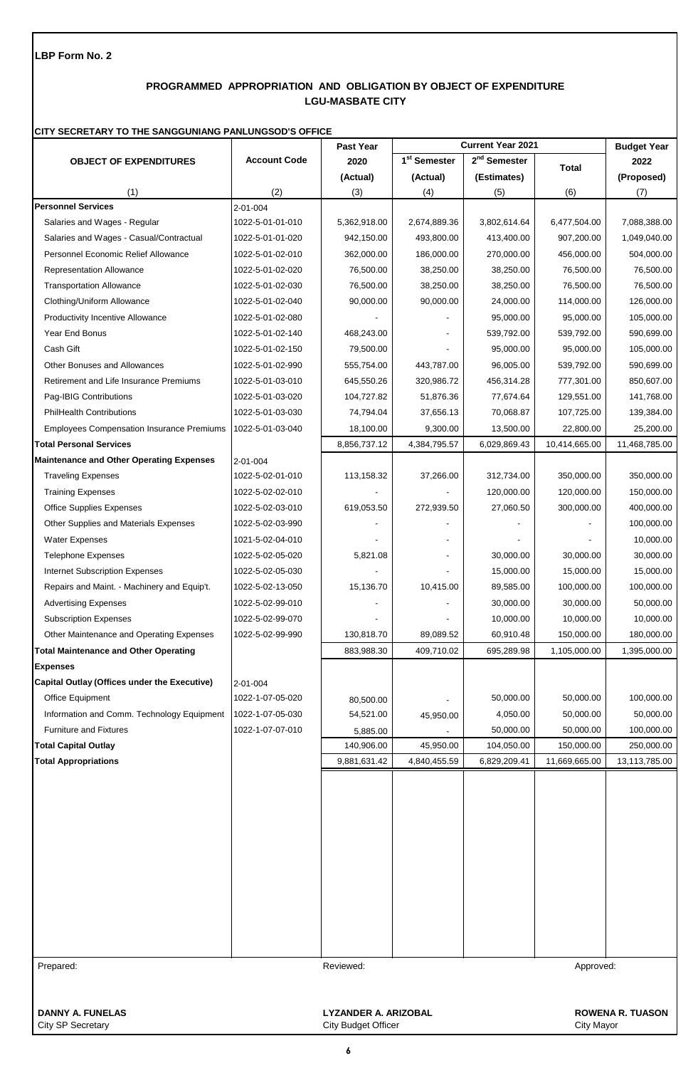# **PROGRAMMED APPROPRIATION AND OBLIGATION BY OBJECT OF EXPENDITURE LGU-MASBATE CITY**

### **CITY SECRETARY TO THE SANGGUNIANG PANLUNGSOD'S OFFICE**

|                                                  |                     | Past Year                                                 |                          | <b>Current Year 2021</b> |               | <b>Budget Year</b>      |
|--------------------------------------------------|---------------------|-----------------------------------------------------------|--------------------------|--------------------------|---------------|-------------------------|
| <b>OBJECT OF EXPENDITURES</b>                    | <b>Account Code</b> | 2020                                                      | 1 <sup>st</sup> Semester | $2nd$ Semester           | <b>Total</b>  | 2022                    |
|                                                  |                     | (Actual)                                                  | (Actual)                 | (Estimates)              |               | (Proposed)              |
| (1)                                              | (2)                 | (3)                                                       | (4)                      | (5)                      | (6)           | (7)                     |
| <b>Personnel Services</b>                        | 2-01-004            |                                                           |                          |                          |               |                         |
| Salaries and Wages - Regular                     | 1022-5-01-01-010    | 5,362,918.00                                              | 2,674,889.36             | 3,802,614.64             | 6,477,504.00  | 7,088,388.00            |
| Salaries and Wages - Casual/Contractual          | 1022-5-01-01-020    | 942,150.00                                                | 493,800.00               | 413,400.00               | 907,200.00    | 1,049,040.00            |
| Personnel Economic Relief Allowance              | 1022-5-01-02-010    | 362,000.00                                                | 186,000.00               | 270,000.00               | 456,000.00    | 504,000.00              |
| <b>Representation Allowance</b>                  | 1022-5-01-02-020    | 76,500.00                                                 | 38,250.00                | 38,250.00                | 76,500.00     | 76,500.00               |
| <b>Transportation Allowance</b>                  | 1022-5-01-02-030    | 76,500.00                                                 | 38,250.00                | 38,250.00                | 76,500.00     | 76,500.00               |
| Clothing/Uniform Allowance                       | 1022-5-01-02-040    | 90,000.00                                                 | 90,000.00                | 24,000.00                | 114,000.00    | 126,000.00              |
| <b>Productivity Incentive Allowance</b>          | 1022-5-01-02-080    |                                                           |                          | 95,000.00                | 95,000.00     | 105,000.00              |
| Year End Bonus                                   | 1022-5-01-02-140    | 468,243.00                                                |                          | 539,792.00               | 539,792.00    | 590,699.00              |
| Cash Gift                                        | 1022-5-01-02-150    | 79,500.00                                                 |                          | 95,000.00                | 95,000.00     | 105,000.00              |
| Other Bonuses and Allowances                     | 1022-5-01-02-990    | 555,754.00                                                | 443,787.00               | 96,005.00                | 539,792.00    | 590,699.00              |
| Retirement and Life Insurance Premiums           | 1022-5-01-03-010    | 645,550.26                                                | 320,986.72               | 456,314.28               | 777,301.00    | 850,607.00              |
| Pag-IBIG Contributions                           | 1022-5-01-03-020    | 104,727.82                                                | 51,876.36                | 77,674.64                | 129,551.00    | 141,768.00              |
| <b>PhilHealth Contributions</b>                  | 1022-5-01-03-030    | 74,794.04                                                 | 37,656.13                | 70,068.87                | 107,725.00    | 139,384.00              |
| <b>Employees Compensation Insurance Premiums</b> | 1022-5-01-03-040    | 18,100.00                                                 | 9,300.00                 | 13,500.00                | 22,800.00     | 25,200.00               |
| <b>Total Personal Services</b>                   |                     | 8,856,737.12                                              | 4,384,795.57             | 6,029,869.43             | 10,414,665.00 | 11,468,785.00           |
| <b>Maintenance and Other Operating Expenses</b>  | 2-01-004            |                                                           |                          |                          |               |                         |
| <b>Traveling Expenses</b>                        | 1022-5-02-01-010    | 113,158.32                                                | 37,266.00                | 312,734.00               | 350,000.00    | 350,000.00              |
| <b>Training Expenses</b>                         | 1022-5-02-02-010    |                                                           |                          | 120,000.00               | 120,000.00    | 150,000.00              |
| <b>Office Supplies Expenses</b>                  | 1022-5-02-03-010    | 619,053.50                                                | 272,939.50               | 27,060.50                | 300,000.00    | 400,000.00              |
| Other Supplies and Materials Expenses            | 1022-5-02-03-990    |                                                           |                          |                          |               | 100,000.00              |
| <b>Water Expenses</b>                            | 1021-5-02-04-010    |                                                           |                          |                          |               | 10,000.00               |
| <b>Telephone Expenses</b>                        | 1022-5-02-05-020    | 5,821.08                                                  |                          | 30,000.00                | 30,000.00     | 30,000.00               |
| <b>Internet Subscription Expenses</b>            | 1022-5-02-05-030    |                                                           |                          | 15,000.00                | 15,000.00     | 15,000.00               |
| Repairs and Maint. - Machinery and Equip't.      | 1022-5-02-13-050    | 15,136.70                                                 | 10,415.00                | 89,585.00                | 100,000.00    | 100,000.00              |
| <b>Advertising Expenses</b>                      | 1022-5-02-99-010    |                                                           |                          | 30,000.00                | 30,000.00     | 50,000.00               |
| <b>Subscription Expenses</b>                     | 1022-5-02-99-070    |                                                           |                          | 10,000.00                | 10,000.00     | 10,000.00               |
| Other Maintenance and Operating Expenses         | 1022-5-02-99-990    | 130,818.70                                                | 89,089.52                | 60,910.48                | 150,000.00    | 180,000.00              |
| <b>Total Maintenance and Other Operating</b>     |                     | 883,988.30                                                | 409,710.02               | 695,289.98               | 1,105,000.00  | 1,395,000.00            |
| <b>Expenses</b>                                  |                     |                                                           |                          |                          |               |                         |
| Capital Outlay (Offices under the Executive)     | 2-01-004            |                                                           |                          |                          |               |                         |
| Office Equipment                                 | 1022-1-07-05-020    | 80,500.00                                                 |                          | 50,000.00                | 50,000.00     | 100,000.00              |
| Information and Comm. Technology Equipment       | 1022-1-07-05-030    | 54,521.00                                                 | 45,950.00                | 4,050.00                 | 50,000.00     | 50,000.00               |
| <b>Furniture and Fixtures</b>                    | 1022-1-07-07-010    | 5,885.00                                                  |                          | 50,000.00                | 50,000.00     | 100,000.00              |
| <b>Total Capital Outlay</b>                      |                     | 140,906.00                                                | 45,950.00                | 104,050.00               | 150,000.00    | 250,000.00              |
| <b>Total Appropriations</b>                      |                     | 9,881,631.42                                              | 4,840,455.59             | 6,829,209.41             | 11,669,665.00 | 13,113,785.00           |
|                                                  |                     |                                                           |                          |                          |               |                         |
|                                                  |                     |                                                           |                          |                          |               |                         |
|                                                  |                     |                                                           |                          |                          |               |                         |
|                                                  |                     |                                                           |                          |                          |               |                         |
|                                                  |                     |                                                           |                          |                          |               |                         |
|                                                  |                     |                                                           |                          |                          |               |                         |
|                                                  |                     |                                                           |                          |                          |               |                         |
| Prepared:                                        |                     | Reviewed:                                                 |                          |                          | Approved:     |                         |
|                                                  |                     |                                                           |                          |                          |               |                         |
| <b>DANNY A. FUNELAS</b><br>City SP Secretary     |                     | <b>LYZANDER A. ARIZOBAL</b><br><b>City Budget Officer</b> |                          |                          | City Mayor    | <b>ROWENA R. TUASON</b> |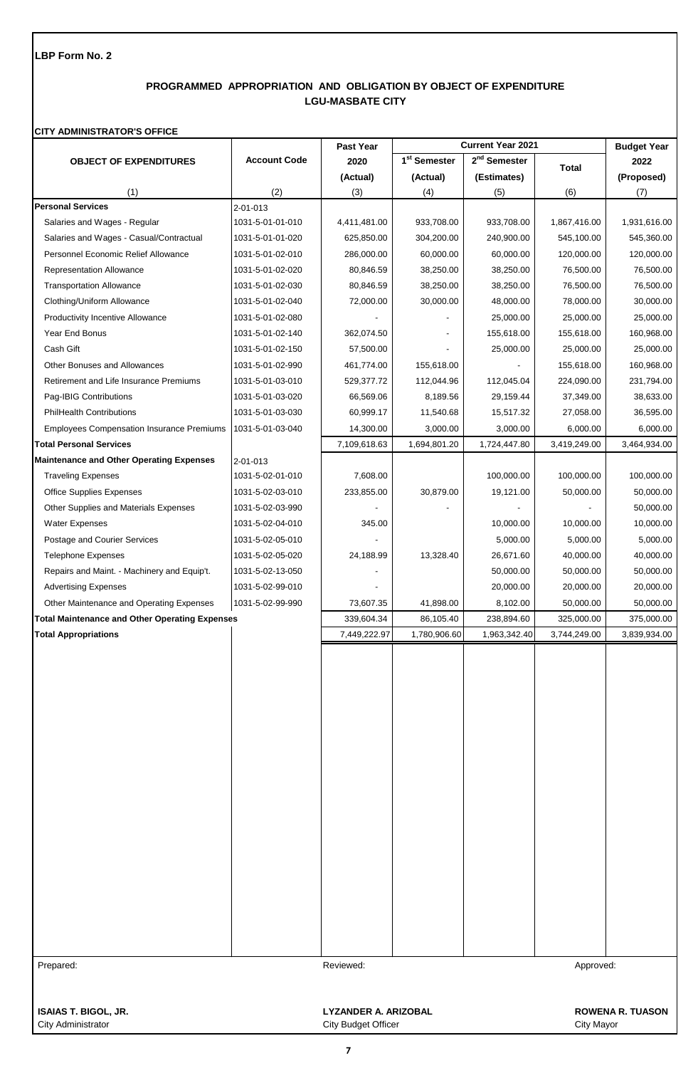# **PROGRAMMED APPROPRIATION AND OBLIGATION BY OBJECT OF EXPENDITURE LGU-MASBATE CITY**

## **CITY ADMINISTRATOR'S OFFICE**

|                                                       |                     | Past Year                   |                          | <b>Current Year 2021</b> |              | <b>Budget Year</b>      |
|-------------------------------------------------------|---------------------|-----------------------------|--------------------------|--------------------------|--------------|-------------------------|
| <b>OBJECT OF EXPENDITURES</b>                         | <b>Account Code</b> | 2020                        | 1 <sup>st</sup> Semester | 2 <sup>nd</sup> Semester | <b>Total</b> | 2022                    |
|                                                       |                     | (Actual)                    | (Actual)                 | (Estimates)              |              | (Proposed)              |
| (1)                                                   | (2)                 | (3)                         | (4)                      | (5)                      | (6)          | (7)                     |
| <b>Personal Services</b>                              | 2-01-013            |                             |                          |                          |              |                         |
| Salaries and Wages - Regular                          | 1031-5-01-01-010    | 4,411,481.00                | 933,708.00               | 933,708.00               | 1,867,416.00 | 1,931,616.00            |
| Salaries and Wages - Casual/Contractual               | 1031-5-01-01-020    | 625,850.00                  | 304,200.00               | 240,900.00               | 545,100.00   | 545,360.00              |
| Personnel Economic Relief Allowance                   | 1031-5-01-02-010    | 286,000.00                  | 60,000.00                | 60,000.00                | 120,000.00   | 120,000.00              |
| Representation Allowance                              | 1031-5-01-02-020    | 80,846.59                   | 38,250.00                | 38,250.00                | 76,500.00    | 76,500.00               |
| <b>Transportation Allowance</b>                       | 1031-5-01-02-030    | 80,846.59                   | 38,250.00                | 38,250.00                | 76,500.00    | 76,500.00               |
| Clothing/Uniform Allowance                            | 1031-5-01-02-040    | 72,000.00                   | 30,000.00                | 48,000.00                | 78,000.00    | 30,000.00               |
| <b>Productivity Incentive Allowance</b>               | 1031-5-01-02-080    |                             |                          | 25,000.00                | 25,000.00    | 25,000.00               |
| Year End Bonus                                        | 1031-5-01-02-140    | 362,074.50                  |                          | 155,618.00               | 155,618.00   | 160,968.00              |
| Cash Gift                                             | 1031-5-01-02-150    | 57,500.00                   |                          | 25,000.00                | 25,000.00    | 25,000.00               |
| <b>Other Bonuses and Allowances</b>                   | 1031-5-01-02-990    | 461,774.00                  | 155,618.00               |                          | 155,618.00   | 160,968.00              |
| Retirement and Life Insurance Premiums                | 1031-5-01-03-010    | 529,377.72                  | 112,044.96               | 112,045.04               | 224,090.00   | 231,794.00              |
| Pag-IBIG Contributions                                | 1031-5-01-03-020    | 66,569.06                   | 8,189.56                 | 29,159.44                | 37,349.00    | 38,633.00               |
| <b>PhilHealth Contributions</b>                       | 1031-5-01-03-030    | 60,999.17                   | 11,540.68                | 15,517.32                | 27,058.00    | 36,595.00               |
| <b>Employees Compensation Insurance Premiums</b>      | 1031-5-01-03-040    | 14,300.00                   | 3,000.00                 | 3,000.00                 | 6,000.00     | 6,000.00                |
| <b>Total Personal Services</b>                        |                     | 7,109,618.63                | 1,694,801.20             | 1,724,447.80             | 3,419,249.00 | 3,464,934.00            |
| <b>Maintenance and Other Operating Expenses</b>       | $2 - 01 - 013$      |                             |                          |                          |              |                         |
| <b>Traveling Expenses</b>                             | 1031-5-02-01-010    | 7,608.00                    |                          | 100,000.00               | 100,000.00   | 100,000.00              |
| <b>Office Supplies Expenses</b>                       | 1031-5-02-03-010    | 233,855.00                  | 30,879.00                | 19,121.00                | 50,000.00    | 50,000.00               |
| Other Supplies and Materials Expenses                 | 1031-5-02-03-990    |                             |                          |                          |              | 50,000.00               |
| Water Expenses                                        | 1031-5-02-04-010    | 345.00                      |                          | 10,000.00                | 10,000.00    | 10,000.00               |
| Postage and Courier Services                          | 1031-5-02-05-010    |                             |                          | 5,000.00                 | 5,000.00     | 5,000.00                |
| <b>Telephone Expenses</b>                             | 1031-5-02-05-020    | 24,188.99                   | 13,328.40                | 26,671.60                | 40,000.00    | 40,000.00               |
| Repairs and Maint. - Machinery and Equip't.           | 1031-5-02-13-050    |                             |                          | 50,000.00                | 50,000.00    | 50,000.00               |
| <b>Advertising Expenses</b>                           | 1031-5-02-99-010    |                             |                          | 20,000.00                | 20,000.00    | 20,000.00               |
| Other Maintenance and Operating Expenses              | 1031-5-02-99-990    | 73,607.35                   | 41,898.00                | 8,102.00                 | 50,000.00    | 50,000.00               |
| <b>Total Maintenance and Other Operating Expenses</b> |                     | 339,604.34                  | 86,105.40                | 238,894.60               | 325,000.00   | 375,000.00              |
| <b>Total Appropriations</b>                           |                     | 7,449,222.97                | 1,780,906.60             | 1,963,342.40             | 3,744,249.00 | 3,839,934.00            |
|                                                       |                     |                             |                          |                          |              |                         |
|                                                       |                     |                             |                          |                          |              |                         |
|                                                       |                     |                             |                          |                          |              |                         |
|                                                       |                     |                             |                          |                          |              |                         |
|                                                       |                     |                             |                          |                          |              |                         |
|                                                       |                     |                             |                          |                          |              |                         |
|                                                       |                     |                             |                          |                          |              |                         |
|                                                       |                     |                             |                          |                          |              |                         |
|                                                       |                     |                             |                          |                          |              |                         |
|                                                       |                     |                             |                          |                          |              |                         |
|                                                       |                     |                             |                          |                          |              |                         |
|                                                       |                     |                             |                          |                          |              |                         |
|                                                       |                     |                             |                          |                          |              |                         |
|                                                       |                     |                             |                          |                          |              |                         |
|                                                       |                     |                             |                          |                          |              |                         |
|                                                       |                     |                             |                          |                          |              |                         |
|                                                       |                     |                             |                          |                          |              |                         |
|                                                       |                     |                             |                          |                          |              |                         |
|                                                       |                     |                             |                          |                          |              |                         |
|                                                       |                     |                             |                          |                          |              |                         |
| Prepared:                                             |                     | Reviewed:                   |                          |                          |              |                         |
|                                                       |                     |                             |                          |                          | Approved:    |                         |
|                                                       |                     |                             |                          |                          |              |                         |
| <b>ISAIAS T. BIGOL, JR.</b>                           |                     | <b>LYZANDER A. ARIZOBAL</b> |                          |                          |              | <b>ROWENA R. TUASON</b> |

City Administrator City Budget Officer City Budget Officer City Administrator City Mayor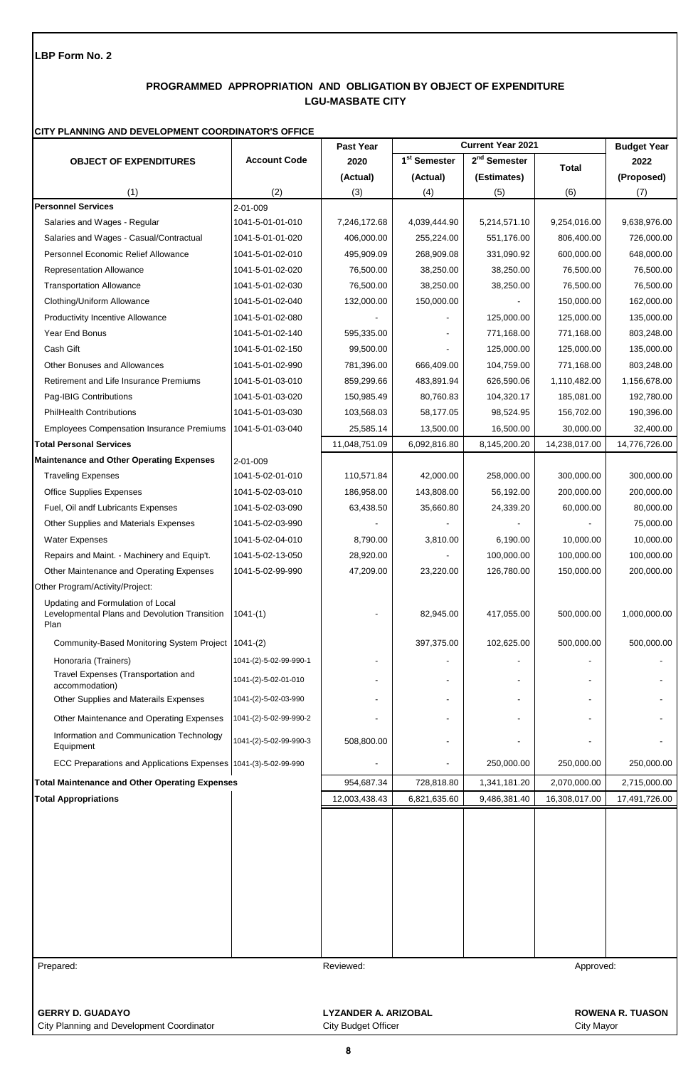# **PROGRAMMED APPROPRIATION AND OBLIGATION BY OBJECT OF EXPENDITURE LGU-MASBATE CITY**

### **CITY PLANNING AND DEVELOPMENT COORDINATOR'S OFFICE**

|                                                                                            |                        | Past Year                   |                          | <b>Current Year 2021</b> |               | <b>Budget Year</b>      |
|--------------------------------------------------------------------------------------------|------------------------|-----------------------------|--------------------------|--------------------------|---------------|-------------------------|
| <b>OBJECT OF EXPENDITURES</b>                                                              | <b>Account Code</b>    | 2020                        | 1 <sup>st</sup> Semester | $2nd$ Semester           | <b>Total</b>  | 2022                    |
|                                                                                            |                        | (Actual)                    | (Actual)                 | (Estimates)              |               | (Proposed)              |
| (1)                                                                                        | (2)                    | (3)                         | (4)                      | (5)                      | (6)           | (7)                     |
| <b>Personnel Services</b>                                                                  | 2-01-009               |                             |                          |                          |               |                         |
| Salaries and Wages - Regular                                                               | 1041-5-01-01-010       | 7,246,172.68                | 4,039,444.90             | 5,214,571.10             | 9,254,016.00  | 9,638,976.00            |
| Salaries and Wages - Casual/Contractual                                                    | 1041-5-01-01-020       | 406,000.00                  | 255,224.00               | 551,176.00               | 806,400.00    | 726,000.00              |
| Personnel Economic Relief Allowance                                                        | 1041-5-01-02-010       | 495,909.09                  | 268,909.08               | 331,090.92               | 600,000.00    | 648,000.00              |
| <b>Representation Allowance</b>                                                            | 1041-5-01-02-020       | 76,500.00                   | 38,250.00                | 38,250.00                | 76,500.00     | 76,500.00               |
| <b>Transportation Allowance</b>                                                            | 1041-5-01-02-030       | 76,500.00                   | 38,250.00                | 38,250.00                | 76,500.00     | 76,500.00               |
| Clothing/Uniform Allowance                                                                 | 1041-5-01-02-040       | 132,000.00                  | 150,000.00               |                          | 150,000.00    | 162,000.00              |
| <b>Productivity Incentive Allowance</b>                                                    | 1041-5-01-02-080       |                             |                          | 125,000.00               | 125,000.00    | 135,000.00              |
| Year End Bonus                                                                             | 1041-5-01-02-140       | 595,335.00                  |                          | 771,168.00               | 771,168.00    | 803,248.00              |
| Cash Gift                                                                                  | 1041-5-01-02-150       | 99,500.00                   |                          | 125,000.00               | 125,000.00    | 135,000.00              |
| Other Bonuses and Allowances                                                               | 1041-5-01-02-990       | 781,396.00                  | 666,409.00               | 104,759.00               | 771,168.00    | 803,248.00              |
| Retirement and Life Insurance Premiums                                                     | 1041-5-01-03-010       | 859,299.66                  | 483,891.94               | 626,590.06               | 1,110,482.00  | 1,156,678.00            |
| Pag-IBIG Contributions                                                                     | 1041-5-01-03-020       | 150,985.49                  | 80,760.83                | 104,320.17               | 185,081.00    | 192,780.00              |
| <b>PhilHealth Contributions</b>                                                            | 1041-5-01-03-030       | 103,568.03                  | 58,177.05                | 98,524.95                | 156,702.00    | 190,396.00              |
| <b>Employees Compensation Insurance Premiums</b>                                           | 1041-5-01-03-040       | 25,585.14                   | 13,500.00                | 16,500.00                | 30,000.00     | 32,400.00               |
| <b>Total Personal Services</b>                                                             |                        | 11,048,751.09               | 6,092,816.80             | 8,145,200.20             | 14,238,017.00 | 14,776,726.00           |
| <b>Maintenance and Other Operating Expenses</b>                                            | $2 - 01 - 009$         |                             |                          |                          |               |                         |
| <b>Traveling Expenses</b>                                                                  | 1041-5-02-01-010       | 110,571.84                  | 42,000.00                | 258,000.00               | 300,000.00    | 300,000.00              |
| <b>Office Supplies Expenses</b>                                                            | 1041-5-02-03-010       | 186,958.00                  | 143,808.00               | 56,192.00                | 200,000.00    | 200,000.00              |
| Fuel, Oil andf Lubricants Expenses                                                         | 1041-5-02-03-090       | 63,438.50                   | 35,660.80                | 24,339.20                | 60,000.00     | 80,000.00               |
| Other Supplies and Materials Expenses                                                      | 1041-5-02-03-990       |                             |                          |                          |               | 75,000.00               |
| <b>Water Expenses</b>                                                                      | 1041-5-02-04-010       | 8,790.00                    | 3,810.00                 | 6,190.00                 | 10,000.00     | 10,000.00               |
| Repairs and Maint. - Machinery and Equip't.                                                | 1041-5-02-13-050       | 28,920.00                   |                          | 100,000.00               | 100,000.00    | 100,000.00              |
| Other Maintenance and Operating Expenses                                                   | 1041-5-02-99-990       | 47,209.00                   | 23,220.00                | 126,780.00               | 150,000.00    | 200,000.00              |
| Other Program/Activity/Project:                                                            |                        |                             |                          |                          |               |                         |
| Updating and Formulation of Local<br>Levelopmental Plans and Devolution Transition<br>Plan | $1041-(1)$             |                             | 82,945.00                | 417,055.00               | 500,000.00    | 1,000,000.00            |
| Community-Based Monitoring System Project 1041-(2)                                         |                        |                             | 397,375.00               | 102,625.00               | 500,000.00    | 500,000.00              |
| Honoraria (Trainers)                                                                       | 1041-(2)-5-02-99-990-1 |                             |                          |                          |               |                         |
| Travel Expenses (Transportation and<br>accommodation)                                      | 1041-(2)-5-02-01-010   |                             |                          |                          |               |                         |
| Other Supplies and Materails Expenses                                                      | 1041-(2)-5-02-03-990   |                             |                          |                          |               |                         |
| Other Maintenance and Operating Expenses                                                   | 1041-(2)-5-02-99-990-2 |                             |                          |                          |               |                         |
| Information and Communication Technology<br>Equipment                                      | 1041-(2)-5-02-99-990-3 | 508,800.00                  |                          |                          |               |                         |
| ECC Preparations and Applications Expenses 1041-(3)-5-02-99-990                            |                        |                             |                          | 250,000.00               | 250,000.00    | 250,000.00              |
| <b>Total Maintenance and Other Operating Expenses</b>                                      |                        | 954,687.34                  | 728,818.80               | 1,341,181.20             | 2,070,000.00  | 2,715,000.00            |
| <b>Total Appropriations</b>                                                                |                        | 12,003,438.43               | 6,821,635.60             | 9,486,381.40             | 16,308,017.00 | 17,491,726.00           |
|                                                                                            |                        |                             |                          |                          |               |                         |
|                                                                                            |                        |                             |                          |                          |               |                         |
|                                                                                            |                        |                             |                          |                          |               |                         |
|                                                                                            |                        |                             |                          |                          |               |                         |
|                                                                                            |                        |                             |                          |                          |               |                         |
| Prepared:                                                                                  |                        | Reviewed:                   |                          |                          | Approved:     |                         |
|                                                                                            |                        |                             |                          |                          |               |                         |
| <b>GERRY D. GUADAYO</b>                                                                    |                        | <b>LYZANDER A. ARIZOBAL</b> |                          |                          |               | <b>ROWENA R. TUASON</b> |

City Planning and Development Coordinator City Subset City Budget Officer City City Mayor City Mayor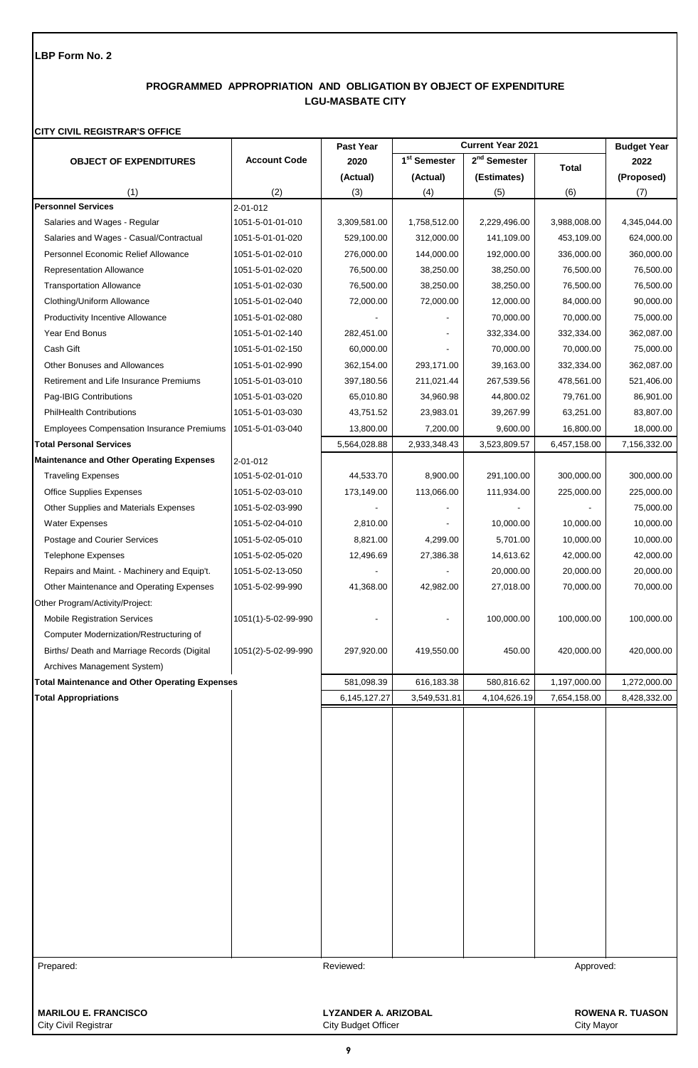# **PROGRAMMED APPROPRIATION AND OBLIGATION BY OBJECT OF EXPENDITURE LGU-MASBATE CITY**

### **CITY CIVIL REGISTRAR'S OFFICE**

|                                                       |                     | Past Year                   |                          | <b>Current Year 2021</b> |              | <b>Budget Year</b>      |
|-------------------------------------------------------|---------------------|-----------------------------|--------------------------|--------------------------|--------------|-------------------------|
| <b>OBJECT OF EXPENDITURES</b>                         | <b>Account Code</b> | 2020                        | 1 <sup>st</sup> Semester | $2nd$ Semester           | <b>Total</b> | 2022                    |
|                                                       |                     | (Actual)                    | (Actual)                 | (Estimates)              |              | (Proposed)              |
| (1)                                                   | (2)                 | (3)                         | (4)                      | (5)                      | (6)          | (7)                     |
| <b>Personnel Services</b>                             | 2-01-012            |                             |                          |                          |              |                         |
| Salaries and Wages - Regular                          | 1051-5-01-01-010    | 3,309,581.00                | 1,758,512.00             | 2,229,496.00             | 3,988,008.00 | 4,345,044.00            |
| Salaries and Wages - Casual/Contractual               | 1051-5-01-01-020    | 529,100.00                  | 312,000.00               | 141,109.00               | 453,109.00   | 624,000.00              |
| <b>Personnel Economic Relief Allowance</b>            | 1051-5-01-02-010    | 276,000.00                  | 144,000.00               | 192,000.00               | 336,000.00   | 360,000.00              |
| <b>Representation Allowance</b>                       | 1051-5-01-02-020    | 76,500.00                   | 38,250.00                | 38,250.00                | 76,500.00    | 76,500.00               |
| <b>Transportation Allowance</b>                       | 1051-5-01-02-030    | 76,500.00                   | 38,250.00                | 38,250.00                | 76,500.00    | 76,500.00               |
| Clothing/Uniform Allowance                            | 1051-5-01-02-040    | 72,000.00                   | 72,000.00                | 12,000.00                | 84,000.00    | 90,000.00               |
| <b>Productivity Incentive Allowance</b>               | 1051-5-01-02-080    |                             |                          | 70,000.00                | 70,000.00    | 75,000.00               |
| Year End Bonus                                        | 1051-5-01-02-140    | 282,451.00                  |                          | 332,334.00               | 332,334.00   | 362,087.00              |
| Cash Gift                                             | 1051-5-01-02-150    | 60,000.00                   |                          | 70,000.00                | 70,000.00    | 75,000.00               |
| <b>Other Bonuses and Allowances</b>                   | 1051-5-01-02-990    | 362,154.00                  | 293,171.00               | 39,163.00                | 332,334.00   | 362,087.00              |
| Retirement and Life Insurance Premiums                | 1051-5-01-03-010    | 397,180.56                  | 211,021.44               | 267,539.56               | 478,561.00   | 521,406.00              |
| Pag-IBIG Contributions                                | 1051-5-01-03-020    | 65,010.80                   | 34,960.98                | 44,800.02                | 79,761.00    | 86,901.00               |
| <b>PhilHealth Contributions</b>                       | 1051-5-01-03-030    | 43,751.52                   | 23,983.01                | 39,267.99                | 63,251.00    | 83,807.00               |
| <b>Employees Compensation Insurance Premiums</b>      | 1051-5-01-03-040    | 13,800.00                   | 7,200.00                 | 9,600.00                 | 16,800.00    | 18,000.00               |
| <b>Total Personal Services</b>                        |                     | 5,564,028.88                | 2,933,348.43             | 3,523,809.57             | 6,457,158.00 | 7,156,332.00            |
| <b>Maintenance and Other Operating Expenses</b>       | 2-01-012            |                             |                          |                          |              |                         |
| <b>Traveling Expenses</b>                             | 1051-5-02-01-010    | 44,533.70                   | 8,900.00                 | 291,100.00               | 300,000.00   | 300,000.00              |
| <b>Office Supplies Expenses</b>                       | 1051-5-02-03-010    | 173,149.00                  | 113,066.00               | 111,934.00               | 225,000.00   | 225,000.00              |
| Other Supplies and Materials Expenses                 | 1051-5-02-03-990    |                             |                          |                          |              | 75,000.00               |
| Water Expenses                                        | 1051-5-02-04-010    | 2,810.00                    |                          | 10,000.00                | 10,000.00    | 10,000.00               |
| Postage and Courier Services                          | 1051-5-02-05-010    | 8,821.00                    | 4,299.00                 | 5,701.00                 | 10,000.00    | 10,000.00               |
| <b>Telephone Expenses</b>                             | 1051-5-02-05-020    | 12,496.69                   | 27,386.38                | 14,613.62                | 42,000.00    | 42,000.00               |
| Repairs and Maint. - Machinery and Equip't.           | 1051-5-02-13-050    |                             |                          | 20,000.00                | 20,000.00    | 20,000.00               |
| Other Maintenance and Operating Expenses              | 1051-5-02-99-990    | 41,368.00                   | 42,982.00                | 27,018.00                | 70,000.00    | 70,000.00               |
| Other Program/Activity/Project:                       |                     |                             |                          |                          |              |                         |
| <b>Mobile Registration Services</b>                   | 1051(1)-5-02-99-990 |                             |                          | 100,000.00               | 100,000.00   | 100,000.00              |
| Computer Modernization/Restructuring of               |                     |                             |                          |                          |              |                         |
| Births/ Death and Marriage Records (Digital           | 1051(2)-5-02-99-990 | 297,920.00                  | 419,550.00               | 450.00                   | 420,000.00   | 420,000.00              |
| Archives Management System)                           |                     |                             |                          |                          |              |                         |
| <b>Total Maintenance and Other Operating Expenses</b> |                     | 581,098.39                  | 616,183.38               | 580,816.62               | 1,197,000.00 | 1,272,000.00            |
| <b>Total Appropriations</b>                           |                     | 6,145,127.27                | 3,549,531.81             | 4,104,626.19             | 7,654,158.00 | 8,428,332.00            |
|                                                       |                     |                             |                          |                          |              |                         |
|                                                       |                     |                             |                          |                          |              |                         |
|                                                       |                     |                             |                          |                          |              |                         |
|                                                       |                     |                             |                          |                          |              |                         |
|                                                       |                     |                             |                          |                          |              |                         |
|                                                       |                     |                             |                          |                          |              |                         |
|                                                       |                     |                             |                          |                          |              |                         |
|                                                       |                     |                             |                          |                          |              |                         |
|                                                       |                     |                             |                          |                          |              |                         |
|                                                       |                     |                             |                          |                          |              |                         |
|                                                       |                     |                             |                          |                          |              |                         |
|                                                       |                     |                             |                          |                          |              |                         |
|                                                       |                     |                             |                          |                          |              |                         |
|                                                       |                     |                             |                          |                          |              |                         |
|                                                       |                     |                             |                          |                          |              |                         |
|                                                       |                     |                             |                          |                          |              |                         |
| Prepared:                                             |                     | Reviewed:                   |                          |                          | Approved:    |                         |
|                                                       |                     |                             |                          |                          |              |                         |
|                                                       |                     |                             |                          |                          |              |                         |
| <b>MARILOU E. FRANCISCO</b>                           |                     | <b>LYZANDER A. ARIZOBAL</b> |                          |                          |              | <b>ROWENA R. TUASON</b> |
| <b>City Civil Registrar</b>                           |                     | <b>City Budget Officer</b>  |                          |                          | City Mayor   |                         |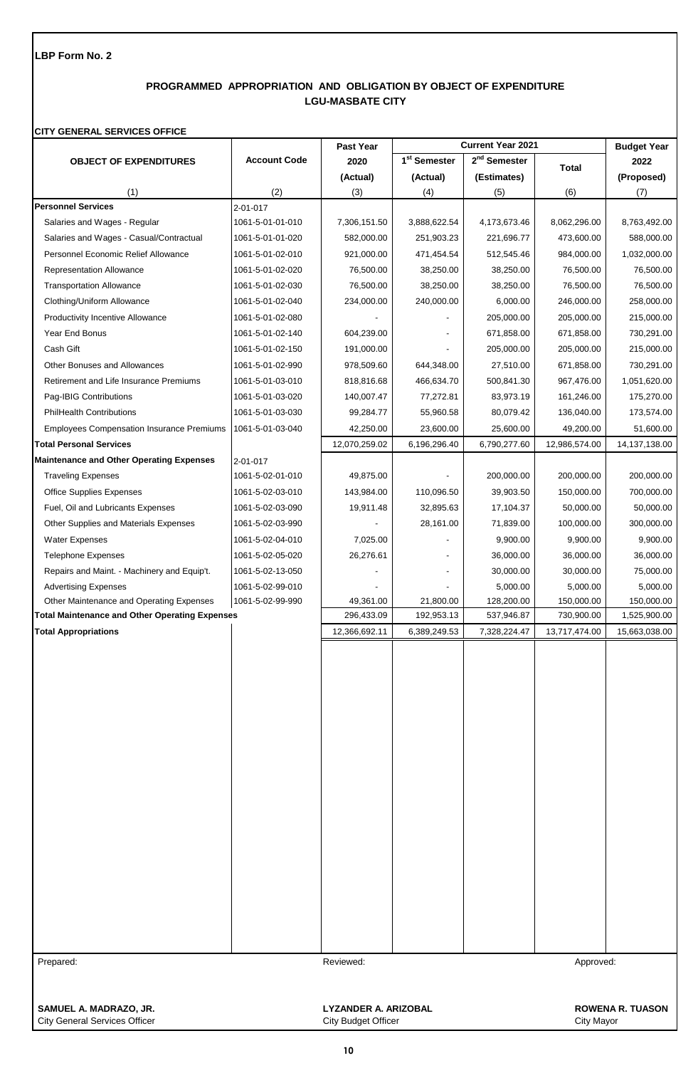# **PROGRAMMED APPROPRIATION AND OBLIGATION BY OBJECT OF EXPENDITURE LGU-MASBATE CITY**

## **CITY GENERAL SERVICES OFFICE**

|                                                                         |                                      | Past Year     | <b>Current Year 2021</b> |                          |               | <b>Budget Year</b> |
|-------------------------------------------------------------------------|--------------------------------------|---------------|--------------------------|--------------------------|---------------|--------------------|
| <b>OBJECT OF EXPENDITURES</b>                                           | <b>Account Code</b>                  | 2020          | 1 <sup>st</sup> Semester | 2 <sup>nd</sup> Semester | <b>Total</b>  | 2022               |
|                                                                         |                                      | (Actual)      | (Actual)                 | (Estimates)              |               | (Proposed)         |
| (1)                                                                     | (2)                                  | (3)           | (4)                      | (5)                      | (6)           | (7)                |
| <b>Personnel Services</b>                                               | 2-01-017                             |               |                          |                          |               |                    |
| Salaries and Wages - Regular                                            | 1061-5-01-01-010                     | 7,306,151.50  | 3,888,622.54             | 4,173,673.46             | 8,062,296.00  | 8,763,492.00       |
| Salaries and Wages - Casual/Contractual                                 | 1061-5-01-01-020                     | 582,000.00    | 251,903.23               | 221,696.77               | 473,600.00    | 588,000.00         |
| Personnel Economic Relief Allowance                                     | 1061-5-01-02-010                     | 921,000.00    | 471,454.54               | 512,545.46               | 984,000.00    | 1,032,000.00       |
| <b>Representation Allowance</b>                                         | 1061-5-01-02-020                     | 76,500.00     | 38,250.00                | 38,250.00                | 76,500.00     | 76,500.00          |
| <b>Transportation Allowance</b>                                         | 1061-5-01-02-030                     | 76,500.00     | 38,250.00                | 38,250.00                | 76,500.00     | 76,500.00          |
| Clothing/Uniform Allowance                                              | 1061-5-01-02-040                     | 234,000.00    | 240,000.00               | 6,000.00                 | 246,000.00    | 258,000.00         |
| <b>Productivity Incentive Allowance</b>                                 | 1061-5-01-02-080                     |               |                          | 205,000.00               | 205,000.00    | 215,000.00         |
| Year End Bonus                                                          | 1061-5-01-02-140                     | 604,239.00    |                          | 671,858.00               | 671,858.00    | 730,291.00         |
| Cash Gift                                                               | 1061-5-01-02-150                     | 191,000.00    |                          | 205,000.00               | 205,000.00    | 215,000.00         |
| Other Bonuses and Allowances                                            | 1061-5-01-02-990                     | 978,509.60    | 644,348.00               | 27,510.00                | 671,858.00    | 730,291.00         |
| Retirement and Life Insurance Premiums                                  | 1061-5-01-03-010                     | 818,816.68    | 466,634.70               | 500,841.30               | 967,476.00    | 1,051,620.00       |
| Pag-IBIG Contributions                                                  | 1061-5-01-03-020                     | 140,007.47    | 77,272.81                | 83,973.19                | 161,246.00    | 175,270.00         |
| <b>PhilHealth Contributions</b>                                         | 1061-5-01-03-030                     | 99,284.77     | 55,960.58                | 80,079.42                | 136,040.00    | 173,574.00         |
| <b>Employees Compensation Insurance Premiums</b>                        | 1061-5-01-03-040                     | 42,250.00     | 23,600.00                | 25,600.00                | 49,200.00     | 51,600.00          |
| <b>Total Personal Services</b>                                          |                                      | 12,070,259.02 | 6,196,296.40             | 6,790,277.60             | 12,986,574.00 | 14, 137, 138.00    |
| <b>Maintenance and Other Operating Expenses</b>                         | 2-01-017                             |               |                          |                          |               |                    |
| <b>Traveling Expenses</b>                                               | 1061-5-02-01-010                     | 49,875.00     |                          | 200,000.00               | 200,000.00    | 200,000.00         |
| <b>Office Supplies Expenses</b>                                         | 1061-5-02-03-010                     | 143,984.00    | 110,096.50               | 39,903.50                | 150,000.00    | 700,000.00         |
| Fuel, Oil and Lubricants Expenses                                       | 1061-5-02-03-090                     | 19,911.48     | 32,895.63                | 17,104.37                | 50,000.00     | 50,000.00          |
| Other Supplies and Materials Expenses                                   | 1061-5-02-03-990                     |               | 28,161.00                | 71,839.00                | 100,000.00    | 300,000.00         |
| <b>Water Expenses</b>                                                   | 1061-5-02-04-010                     | 7,025.00      |                          | 9,900.00                 | 9,900.00      | 9,900.00           |
| <b>Telephone Expenses</b>                                               | 1061-5-02-05-020                     | 26,276.61     |                          | 36,000.00                | 36,000.00     | 36,000.00          |
| Repairs and Maint. - Machinery and Equip't.                             | 1061-5-02-13-050                     |               |                          | 30,000.00                | 30,000.00     | 75,000.00          |
|                                                                         |                                      |               |                          | 5,000.00                 | 5,000.00      | 5,000.00           |
| <b>Advertising Expenses</b><br>Other Maintenance and Operating Expenses | 1061-5-02-99-010<br>1061-5-02-99-990 | 49,361.00     | 21,800.00                | 128,200.00               | 150,000.00    | 150,000.00         |
| <b>Total Maintenance and Other Operating Expenses</b>                   |                                      | 296,433.09    | 192,953.13               | 537,946.87               | 730,900.00    | 1,525,900.00       |
| <b>Total Appropriations</b>                                             |                                      | 12,366,692.11 | 6,389,249.53             | 7,328,224.47             | 13,717,474.00 | 15,663,038.00      |
|                                                                         |                                      |               |                          |                          |               |                    |
|                                                                         |                                      |               |                          |                          |               |                    |
|                                                                         |                                      |               |                          |                          |               |                    |
|                                                                         |                                      |               |                          |                          |               |                    |
|                                                                         |                                      |               |                          |                          |               |                    |
|                                                                         |                                      |               |                          |                          |               |                    |
|                                                                         |                                      |               |                          |                          |               |                    |
|                                                                         |                                      |               |                          |                          |               |                    |
|                                                                         |                                      |               |                          |                          |               |                    |
|                                                                         |                                      |               |                          |                          |               |                    |
|                                                                         |                                      |               |                          |                          |               |                    |
|                                                                         |                                      |               |                          |                          |               |                    |
|                                                                         |                                      |               |                          |                          |               |                    |
|                                                                         |                                      |               |                          |                          |               |                    |
|                                                                         |                                      |               |                          |                          |               |                    |
|                                                                         |                                      |               |                          |                          |               |                    |
|                                                                         |                                      |               |                          |                          |               |                    |
|                                                                         |                                      |               |                          |                          |               |                    |
|                                                                         |                                      |               |                          |                          |               |                    |
|                                                                         |                                      |               |                          |                          |               |                    |
|                                                                         |                                      |               |                          |                          |               |                    |
| Prepared:                                                               |                                      | Reviewed:     |                          |                          | Approved:     |                    |
|                                                                         |                                      |               |                          |                          |               |                    |
|                                                                         |                                      |               |                          |                          |               |                    |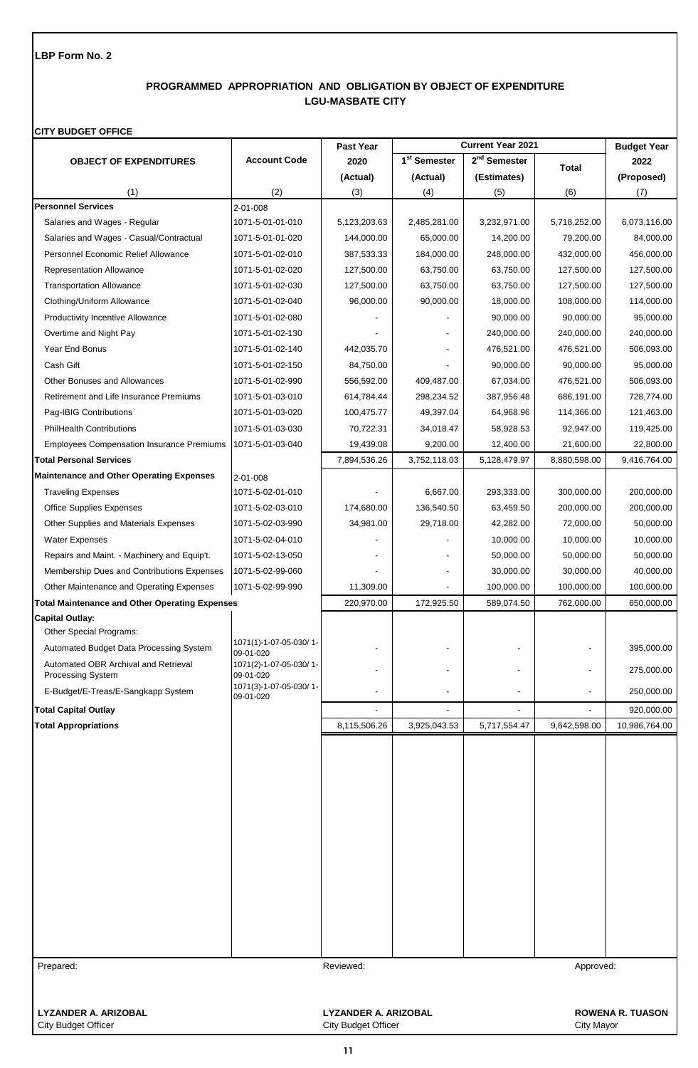# **PROGRAMMED APPROPRIATION AND OBLIGATION BY OBJECT OF EXPENDITURE LGU-MASBATE CITY**

#### **CITY BUDGET OFFICE**

|                                                           |                                     | Past Year                  |                          | <b>Current Year 2021</b> |                   | <b>Budget Year</b>      |
|-----------------------------------------------------------|-------------------------------------|----------------------------|--------------------------|--------------------------|-------------------|-------------------------|
| <b>OBJECT OF EXPENDITURES</b>                             | <b>Account Code</b>                 | 2020                       | 1 <sup>st</sup> Semester | 2 <sup>nd</sup> Semester | Total             | 2022                    |
|                                                           |                                     | (Actual)                   | (Actual)                 | (Estimates)              |                   | (Proposed)              |
| (1)                                                       | (2)                                 | (3)                        | (4)                      | (5)                      | (6)               | (7)                     |
| <b>Personnel Services</b>                                 | 2-01-008                            |                            |                          |                          |                   |                         |
| Salaries and Wages - Regular                              | 1071-5-01-01-010                    | 5,123,203.63               | 2,485,281.00             | 3,232,971.00             | 5,718,252.00      | 6,073,116.00            |
| Salaries and Wages - Casual/Contractual                   | 1071-5-01-01-020                    | 144,000.00                 | 65,000.00                | 14,200.00                | 79,200.00         | 84,000.00               |
| Personnel Economic Relief Allowance                       | 1071-5-01-02-010                    | 387,533.33                 | 184,000.00               | 248,000.00               | 432,000.00        | 456,000.00              |
| <b>Representation Allowance</b>                           | 1071-5-01-02-020                    | 127,500.00                 | 63,750.00                | 63,750.00                | 127,500.00        | 127,500.00              |
| <b>Transportation Allowance</b>                           | 1071-5-01-02-030                    | 127,500.00                 | 63,750.00                | 63,750.00                | 127,500.00        | 127,500.00              |
| Clothing/Uniform Allowance                                | 1071-5-01-02-040                    | 96,000.00                  | 90,000.00                | 18,000.00                | 108,000.00        | 114,000.00              |
| <b>Productivity Incentive Allowance</b>                   | 1071-5-01-02-080                    |                            |                          | 90,000.00                | 90,000.00         | 95,000.00               |
| Overtime and Night Pay                                    | 1071-5-01-02-130                    |                            |                          | 240,000.00               | 240,000.00        | 240,000.00              |
| Year End Bonus                                            | 1071-5-01-02-140                    | 442,035.70                 |                          | 476,521.00               | 476,521.00        | 506,093.00              |
| Cash Gift                                                 | 1071-5-01-02-150                    | 84,750.00                  |                          | 90,000.00                | 90,000.00         | 95,000.00               |
| <b>Other Bonuses and Allowances</b>                       | 1071-5-01-02-990                    | 556,592.00                 | 409,487.00               | 67,034.00                | 476,521.00        | 506,093.00              |
| Retirement and Life Insurance Premiums                    | 1071-5-01-03-010                    | 614,784.44                 | 298,234.52               | 387,956.48               | 686,191.00        | 728,774.00              |
| Pag-IBIG Contributions                                    | 1071-5-01-03-020                    | 100,475.77                 | 49,397.04                | 64,968.96                | 114,366.00        | 121,463.00              |
| <b>PhilHealth Contributions</b>                           | 1071-5-01-03-030                    | 70,722.31                  | 34,018.47                | 58,928.53                | 92,947.00         | 119,425.00              |
| <b>Employees Compensation Insurance Premiums</b>          | 1071-5-01-03-040                    | 19,439.08                  | 9,200.00                 | 12,400.00                | 21,600.00         | 22,800.00               |
| <b>Total Personal Services</b>                            |                                     | 7,894,536.26               | 3,752,118.03             | 5,128,479.97             | 8,880,598.00      | 9,416,764.00            |
| <b>Maintenance and Other Operating Expenses</b>           | 2-01-008                            |                            |                          |                          |                   |                         |
| <b>Traveling Expenses</b>                                 | 1071-5-02-01-010                    |                            | 6,667.00                 | 293,333.00               | 300,000.00        | 200,000.00              |
| <b>Office Supplies Expenses</b>                           | 1071-5-02-03-010                    | 174,680.00                 | 136,540.50               | 63,459.50                | 200,000.00        | 200,000.00              |
| Other Supplies and Materials Expenses                     | 1071-5-02-03-990                    | 34,981.00                  | 29,718.00                | 42,282.00                | 72,000.00         | 50,000.00               |
| <b>Water Expenses</b>                                     | 1071-5-02-04-010                    |                            |                          | 10,000.00                | 10,000.00         | 10,000.00               |
| Repairs and Maint. - Machinery and Equip't.               | 1071-5-02-13-050                    |                            |                          | 50,000.00                | 50,000.00         | 50,000.00               |
| Membership Dues and Contributions Expenses                | 1071-5-02-99-060                    |                            |                          | 30,000.00                | 30,000.00         | 40,000.00               |
| Other Maintenance and Operating Expenses                  | 1071-5-02-99-990                    | 11,309.00                  |                          | 100,000.00               | 100,000.00        | 100,000.00              |
| <b>Total Maintenance and Other Operating Expenses</b>     |                                     | 220,970.00                 | 172,925.50               | 589,074.50               | 762,000.00        | 650,000.00              |
| <b>Capital Outlay:</b>                                    |                                     |                            |                          |                          |                   |                         |
| Other Special Programs:                                   | 1071(1)-1-07-05-030/1-              |                            |                          |                          |                   |                         |
| Automated Budget Data Processing System                   | 09-01-020                           |                            |                          |                          |                   | 395,000.00              |
| Automated OBR Archival and Retrieval<br>Processing System | 1071(2)-1-07-05-030/1-<br>09-01-020 |                            |                          |                          |                   | 275,000.00              |
| E-Budget/E-Treas/E-Sangkapp System                        | 1071(3)-1-07-05-030/1-              |                            |                          |                          |                   | 250,000.00              |
|                                                           | 09-01-020                           |                            |                          |                          |                   |                         |
| <b>Total Capital Outlay</b>                               |                                     | $\overline{\phantom{a}}$   | ٠                        | $\overline{a}$           |                   | 920,000.00              |
| <b>Total Appropriations</b>                               |                                     | 8,115,506.26               | 3,925,043.53             | 5,717,554.47             | 9,642,598.00      | 10,986,764.00           |
|                                                           |                                     |                            |                          |                          |                   |                         |
|                                                           |                                     |                            |                          |                          |                   |                         |
|                                                           |                                     |                            |                          |                          |                   |                         |
|                                                           |                                     |                            |                          |                          |                   |                         |
|                                                           |                                     |                            |                          |                          |                   |                         |
|                                                           |                                     |                            |                          |                          |                   |                         |
|                                                           |                                     |                            |                          |                          |                   |                         |
|                                                           |                                     |                            |                          |                          |                   |                         |
|                                                           |                                     |                            |                          |                          |                   |                         |
|                                                           |                                     |                            |                          |                          |                   |                         |
|                                                           |                                     |                            |                          |                          |                   |                         |
|                                                           |                                     |                            |                          |                          |                   |                         |
|                                                           |                                     |                            |                          |                          |                   |                         |
|                                                           |                                     |                            |                          |                          |                   |                         |
| Prepared:                                                 |                                     | Reviewed:                  |                          |                          | Approved:         |                         |
|                                                           |                                     |                            |                          |                          |                   |                         |
|                                                           |                                     |                            |                          |                          |                   |                         |
| <b>LYZANDER A. ARIZOBAL</b>                               |                                     | LYZANDER A. ARIZOBAL       |                          |                          |                   | <b>ROWENA R. TUASON</b> |
| <b>City Budget Officer</b>                                |                                     | <b>City Budget Officer</b> |                          |                          | <b>City Mayor</b> |                         |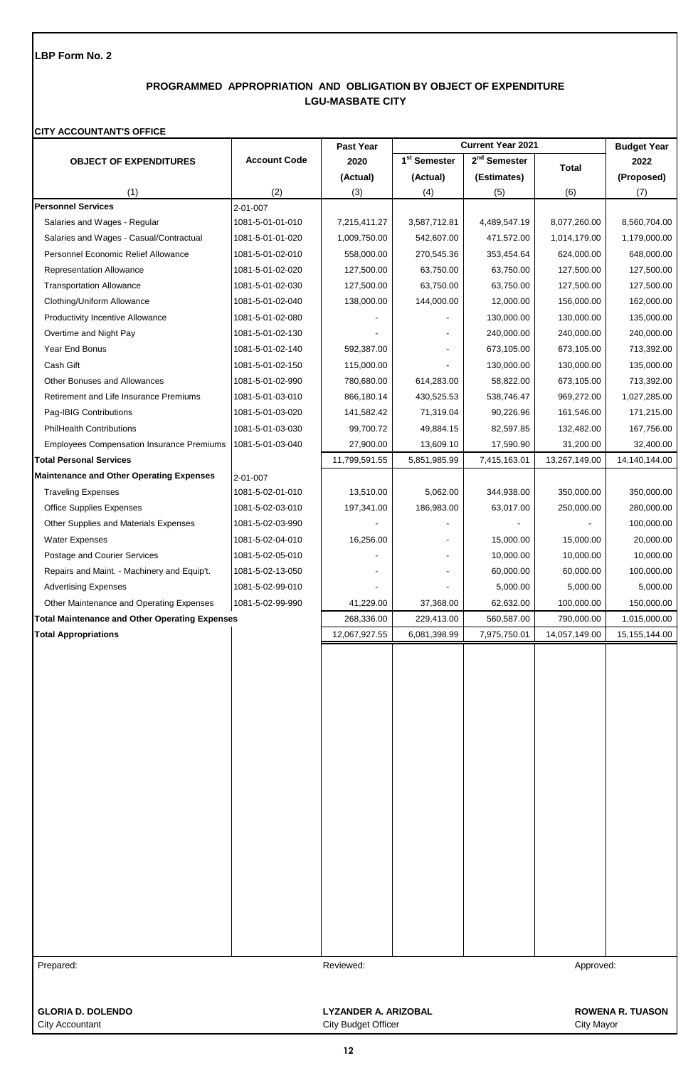# **PROGRAMMED APPROPRIATION AND OBLIGATION BY OBJECT OF EXPENDITURE LGU-MASBATE CITY**

### **CITY ACCOUNTANT'S OFFICE**

|                                                       |                     | Past Year     |                          | <b>Current Year 2021</b> |               | <b>Budget Year</b> |
|-------------------------------------------------------|---------------------|---------------|--------------------------|--------------------------|---------------|--------------------|
| <b>OBJECT OF EXPENDITURES</b>                         | <b>Account Code</b> | 2020          | 1 <sup>st</sup> Semester | 2 <sup>nd</sup> Semester | <b>Total</b>  | 2022               |
|                                                       |                     | (Actual)      | (Actual)                 | (Estimates)              |               | (Proposed)         |
| (1)                                                   | (2)                 | (3)           | (4)                      | (5)                      | (6)           | (7)                |
| <b>Personnel Services</b>                             | $2 - 01 - 007$      |               |                          |                          |               |                    |
| Salaries and Wages - Regular                          | 1081-5-01-01-010    | 7,215,411.27  | 3,587,712.81             | 4,489,547.19             | 8,077,260.00  | 8,560,704.00       |
| Salaries and Wages - Casual/Contractual               | 1081-5-01-01-020    | 1,009,750.00  | 542,607.00               | 471,572.00               | 1,014,179.00  | 1,179,000.00       |
| Personnel Economic Relief Allowance                   | 1081-5-01-02-010    | 558,000.00    | 270,545.36               | 353,454.64               | 624,000.00    | 648,000.00         |
| <b>Representation Allowance</b>                       | 1081-5-01-02-020    | 127,500.00    | 63,750.00                | 63,750.00                | 127,500.00    | 127,500.00         |
| <b>Transportation Allowance</b>                       | 1081-5-01-02-030    | 127,500.00    | 63,750.00                | 63,750.00                | 127,500.00    | 127,500.00         |
| Clothing/Uniform Allowance                            | 1081-5-01-02-040    | 138,000.00    | 144,000.00               | 12,000.00                | 156,000.00    | 162,000.00         |
| <b>Productivity Incentive Allowance</b>               | 1081-5-01-02-080    |               |                          | 130,000.00               | 130,000.00    | 135,000.00         |
| Overtime and Night Pay                                | 1081-5-01-02-130    |               |                          | 240,000.00               | 240,000.00    | 240,000.00         |
| Year End Bonus                                        | 1081-5-01-02-140    | 592,387.00    |                          | 673,105.00               | 673,105.00    | 713,392.00         |
| Cash Gift                                             | 1081-5-01-02-150    | 115,000.00    |                          | 130,000.00               | 130,000.00    | 135,000.00         |
| <b>Other Bonuses and Allowances</b>                   | 1081-5-01-02-990    | 780,680.00    | 614,283.00               | 58,822.00                | 673,105.00    | 713,392.00         |
| Retirement and Life Insurance Premiums                | 1081-5-01-03-010    | 866,180.14    | 430,525.53               | 538,746.47               | 969,272.00    | 1,027,285.00       |
| Pag-IBIG Contributions                                | 1081-5-01-03-020    | 141,582.42    | 71,319.04                | 90,226.96                | 161,546.00    | 171,215.00         |
| <b>PhilHealth Contributions</b>                       | 1081-5-01-03-030    | 99,700.72     | 49,884.15                | 82,597.85                | 132,482.00    | 167,756.00         |
| <b>Employees Compensation Insurance Premiums</b>      | 1081-5-01-03-040    | 27,900.00     | 13,609.10                | 17,590.90                | 31,200.00     | 32,400.00          |
| <b>Total Personal Services</b>                        |                     | 11,799,591.55 |                          |                          |               |                    |
|                                                       |                     |               | 5,851,985.99             | 7,415,163.01             | 13,267,149.00 | 14,140,144.00      |
| <b>Maintenance and Other Operating Expenses</b>       | 2-01-007            |               |                          |                          |               |                    |
| <b>Traveling Expenses</b>                             | 1081-5-02-01-010    | 13,510.00     | 5,062.00                 | 344,938.00               | 350,000.00    | 350,000.00         |
| <b>Office Supplies Expenses</b>                       | 1081-5-02-03-010    | 197,341.00    | 186,983.00               | 63,017.00                | 250,000.00    | 280,000.00         |
| Other Supplies and Materials Expenses                 | 1081-5-02-03-990    |               |                          |                          |               | 100,000.00         |
| <b>Water Expenses</b>                                 | 1081-5-02-04-010    | 16,256.00     |                          | 15,000.00                | 15,000.00     | 20,000.00          |
| Postage and Courier Services                          | 1081-5-02-05-010    |               |                          | 10,000.00                | 10,000.00     | 10,000.00          |
| Repairs and Maint. - Machinery and Equip't.           | 1081-5-02-13-050    |               |                          | 60,000.00                | 60,000.00     | 100,000.00         |
| <b>Advertising Expenses</b>                           | 1081-5-02-99-010    |               |                          | 5,000.00                 | 5,000.00      | 5,000.00           |
| Other Maintenance and Operating Expenses              | 1081-5-02-99-990    | 41,229.00     | 37,368.00                | 62,632.00                | 100,000.00    | 150,000.00         |
| <b>Total Maintenance and Other Operating Expenses</b> |                     | 268,336.00    | 229,413.00               | 560,587.00               | 790,000.00    | 1,015,000.00       |
| <b>Total Appropriations</b>                           |                     | 12,067,927.55 | 6,081,398.99             | 7,975,750.01             | 14,057,149.00 | 15, 155, 144.00    |
|                                                       |                     |               |                          |                          |               |                    |
|                                                       |                     |               |                          |                          |               |                    |
|                                                       |                     |               |                          |                          |               |                    |
|                                                       |                     |               |                          |                          |               |                    |
|                                                       |                     |               |                          |                          |               |                    |
|                                                       |                     |               |                          |                          |               |                    |
|                                                       |                     |               |                          |                          |               |                    |
|                                                       |                     |               |                          |                          |               |                    |
|                                                       |                     |               |                          |                          |               |                    |
|                                                       |                     |               |                          |                          |               |                    |
|                                                       |                     |               |                          |                          |               |                    |
|                                                       |                     |               |                          |                          |               |                    |
|                                                       |                     |               |                          |                          |               |                    |
|                                                       |                     |               |                          |                          |               |                    |
|                                                       |                     |               |                          |                          |               |                    |
|                                                       |                     |               |                          |                          |               |                    |
|                                                       |                     |               |                          |                          |               |                    |
|                                                       |                     |               |                          |                          |               |                    |
|                                                       |                     |               |                          |                          |               |                    |
|                                                       |                     |               |                          |                          |               |                    |
|                                                       |                     |               |                          |                          |               |                    |
| Prepared:                                             |                     | Reviewed:     |                          |                          | Approved:     |                    |
|                                                       |                     |               |                          |                          |               |                    |
|                                                       |                     |               |                          |                          |               |                    |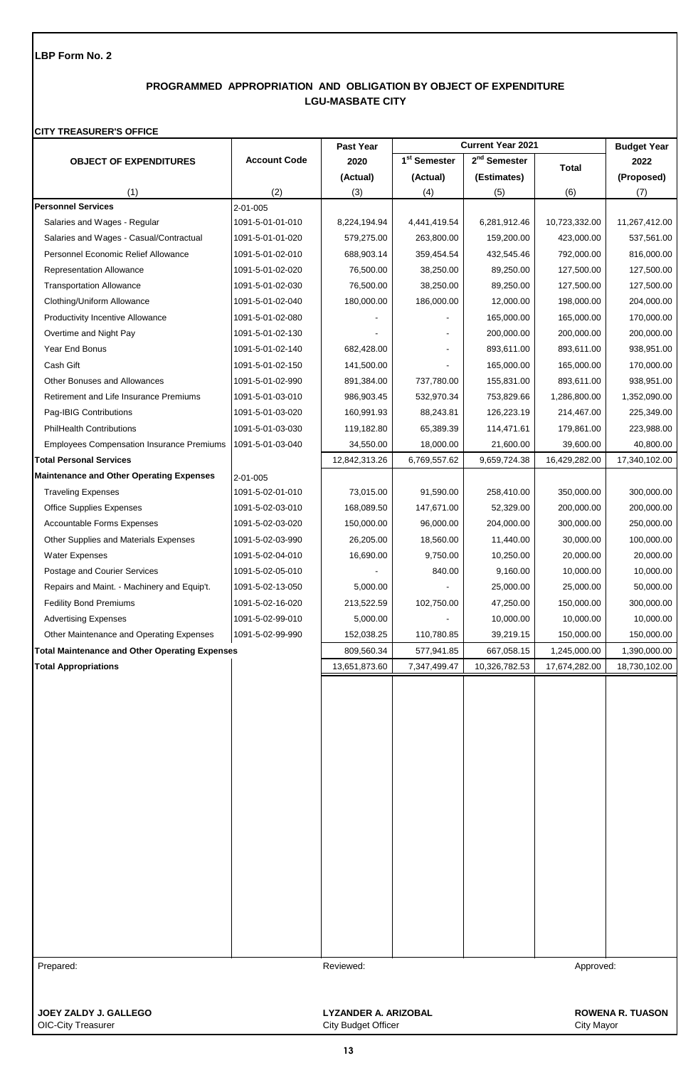# **PROGRAMMED APPROPRIATION AND OBLIGATION BY OBJECT OF EXPENDITURE LGU-MASBATE CITY**

## **CITY TREASURER'S OFFICE**

| <b>Current Year 2021</b><br>Past Year              |                     |                                                    | <b>Budget Year</b>       |                          |               |                         |
|----------------------------------------------------|---------------------|----------------------------------------------------|--------------------------|--------------------------|---------------|-------------------------|
| <b>OBJECT OF EXPENDITURES</b>                      | <b>Account Code</b> | 2020                                               | 1 <sup>st</sup> Semester | 2 <sup>nd</sup> Semester | <b>Total</b>  | 2022                    |
|                                                    |                     | (Actual)                                           | (Actual)                 | (Estimates)              |               | (Proposed)              |
| (1)                                                | (2)                 | (3)                                                | (4)                      | (5)                      | (6)           | (7)                     |
| <b>Personnel Services</b>                          | 2-01-005            |                                                    |                          |                          |               |                         |
| Salaries and Wages - Regular                       | 1091-5-01-01-010    | 8,224,194.94                                       | 4,441,419.54             | 6,281,912.46             | 10,723,332.00 | 11,267,412.00           |
| Salaries and Wages - Casual/Contractual            | 1091-5-01-01-020    | 579,275.00                                         | 263,800.00               | 159,200.00               | 423,000.00    | 537,561.00              |
| Personnel Economic Relief Allowance                | 1091-5-01-02-010    | 688,903.14                                         | 359,454.54               | 432,545.46               | 792,000.00    | 816,000.00              |
| <b>Representation Allowance</b>                    | 1091-5-01-02-020    | 76,500.00                                          | 38,250.00                | 89,250.00                | 127,500.00    | 127,500.00              |
| <b>Transportation Allowance</b>                    | 1091-5-01-02-030    | 76,500.00                                          | 38,250.00                | 89,250.00                | 127,500.00    | 127,500.00              |
| Clothing/Uniform Allowance                         | 1091-5-01-02-040    | 180,000.00                                         | 186,000.00               | 12,000.00                | 198,000.00    | 204,000.00              |
| <b>Productivity Incentive Allowance</b>            | 1091-5-01-02-080    |                                                    |                          | 165,000.00               | 165,000.00    | 170,000.00              |
| Overtime and Night Pay                             | 1091-5-01-02-130    |                                                    |                          | 200,000.00               | 200,000.00    | 200,000.00              |
| Year End Bonus                                     | 1091-5-01-02-140    | 682,428.00                                         |                          | 893,611.00               | 893,611.00    | 938,951.00              |
| Cash Gift                                          | 1091-5-01-02-150    | 141,500.00                                         |                          | 165,000.00               | 165,000.00    | 170,000.00              |
| <b>Other Bonuses and Allowances</b>                | 1091-5-01-02-990    | 891,384.00                                         | 737,780.00               | 155,831.00               | 893,611.00    | 938,951.00              |
| Retirement and Life Insurance Premiums             | 1091-5-01-03-010    | 986,903.45                                         | 532,970.34               | 753,829.66               | 1,286,800.00  | 1,352,090.00            |
| Pag-IBIG Contributions                             | 1091-5-01-03-020    | 160,991.93                                         | 88,243.81                | 126,223.19               | 214,467.00    | 225,349.00              |
| <b>PhilHealth Contributions</b>                    | 1091-5-01-03-030    | 119,182.80                                         | 65,389.39                | 114,471.61               | 179,861.00    | 223,988.00              |
| <b>Employees Compensation Insurance Premiums</b>   | 1091-5-01-03-040    | 34,550.00                                          | 18,000.00                | 21,600.00                | 39,600.00     | 40,800.00               |
| <b>Total Personal Services</b>                     |                     | 12,842,313.26                                      | 6,769,557.62             | 9,659,724.38             | 16,429,282.00 | 17,340,102.00           |
| <b>Maintenance and Other Operating Expenses</b>    | 2-01-005            |                                                    |                          |                          |               |                         |
| <b>Traveling Expenses</b>                          | 1091-5-02-01-010    | 73,015.00                                          | 91,590.00                | 258,410.00               | 350,000.00    | 300,000.00              |
| <b>Office Supplies Expenses</b>                    | 1091-5-02-03-010    | 168,089.50                                         | 147,671.00               | 52,329.00                | 200,000.00    | 200,000.00              |
| <b>Accountable Forms Expenses</b>                  | 1091-5-02-03-020    | 150,000.00                                         | 96,000.00                | 204,000.00               | 300,000.00    | 250,000.00              |
| Other Supplies and Materials Expenses              | 1091-5-02-03-990    | 26,205.00                                          | 18,560.00                | 11,440.00                | 30,000.00     | 100,000.00              |
| <b>Water Expenses</b>                              | 1091-5-02-04-010    | 16,690.00                                          | 9,750.00                 | 10,250.00                | 20,000.00     | 20,000.00               |
| Postage and Courier Services                       | 1091-5-02-05-010    |                                                    | 840.00                   | 9,160.00                 | 10,000.00     | 10,000.00               |
| Repairs and Maint. - Machinery and Equip't.        | 1091-5-02-13-050    | 5,000.00                                           |                          | 25,000.00                | 25,000.00     | 50,000.00               |
| <b>Fedility Bond Premiums</b>                      | 1091-5-02-16-020    | 213,522.59                                         | 102,750.00               | 47,250.00                | 150,000.00    | 300,000.00              |
| <b>Advertising Expenses</b>                        | 1091-5-02-99-010    | 5,000.00                                           |                          | 10,000.00                | 10,000.00     | 10,000.00               |
| Other Maintenance and Operating Expenses           | 1091-5-02-99-990    | 152,038.25                                         | 110,780.85               | 39,219.15                | 150,000.00    | 150,000.00              |
| Total Maintenance and Other Operating Expenses     |                     | 809,560.34                                         | 577,941.85               | 667,058.15               | 1,245,000.00  | 1,390,000.00            |
| <b>Total Appropriations</b>                        |                     | 13,651,873.60                                      | 7,347,499.47             | 10,326,782.53            | 17,674,282.00 | 18,730,102.00           |
|                                                    |                     |                                                    |                          |                          |               |                         |
| Prepared:                                          |                     | Reviewed:                                          |                          |                          | Approved:     |                         |
|                                                    |                     |                                                    |                          |                          |               |                         |
| JOEY ZALDY J. GALLEGO<br><b>OIC-City Treasurer</b> |                     | <b>LYZANDER A. ARIZOBAL</b><br>City Budget Officer |                          |                          | City Mayor    | <b>ROWENA R. TUASON</b> |

OIC-City Treasurer City Budget Officer City Budget Officer City And City Mayor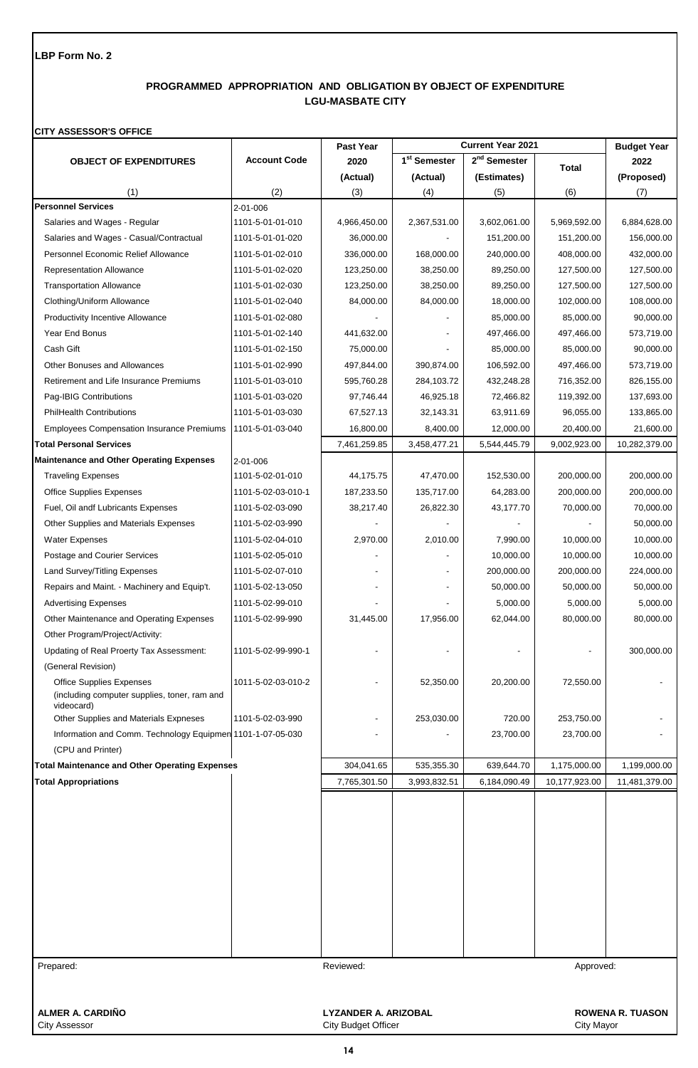# **PROGRAMMED APPROPRIATION AND OBLIGATION BY OBJECT OF EXPENDITURE LGU-MASBATE CITY**

### **CITY ASSESSOR'S OFFICE**

|                                                                                               |                             | Past Year    |                          | <b>Current Year 2021</b> |                         | <b>Budget Year</b> |
|-----------------------------------------------------------------------------------------------|-----------------------------|--------------|--------------------------|--------------------------|-------------------------|--------------------|
| <b>OBJECT OF EXPENDITURES</b>                                                                 | <b>Account Code</b>         | 2020         | 1 <sup>st</sup> Semester | $2nd$ Semester           | <b>Total</b>            | 2022               |
|                                                                                               |                             | (Actual)     | (Actual)                 | (Estimates)              |                         | (Proposed)         |
| (1)                                                                                           | (2)                         | (3)          | (4)                      | (5)                      | (6)                     | (7)                |
| <b>Personnel Services</b>                                                                     | 2-01-006                    |              |                          |                          |                         |                    |
| Salaries and Wages - Regular                                                                  | 1101-5-01-01-010            | 4,966,450.00 | 2,367,531.00             | 3,602,061.00             | 5,969,592.00            | 6,884,628.00       |
| Salaries and Wages - Casual/Contractual                                                       | 1101-5-01-01-020            | 36,000.00    |                          | 151,200.00               | 151,200.00              | 156,000.00         |
| Personnel Economic Relief Allowance                                                           | 1101-5-01-02-010            | 336,000.00   | 168,000.00               | 240,000.00               | 408,000.00              | 432,000.00         |
| <b>Representation Allowance</b>                                                               | 1101-5-01-02-020            | 123,250.00   | 38,250.00                | 89,250.00                | 127,500.00              | 127,500.00         |
| <b>Transportation Allowance</b>                                                               | 1101-5-01-02-030            | 123,250.00   | 38,250.00                | 89,250.00                | 127,500.00              | 127,500.00         |
| Clothing/Uniform Allowance                                                                    | 1101-5-01-02-040            | 84,000.00    | 84,000.00                | 18,000.00                | 102,000.00              | 108,000.00         |
| <b>Productivity Incentive Allowance</b>                                                       | 1101-5-01-02-080            |              |                          | 85,000.00                | 85,000.00               | 90,000.00          |
| Year End Bonus                                                                                | 1101-5-01-02-140            | 441,632.00   |                          | 497,466.00               | 497,466.00              | 573,719.00         |
| Cash Gift                                                                                     | 1101-5-01-02-150            | 75,000.00    |                          | 85,000.00                | 85,000.00               | 90,000.00          |
| <b>Other Bonuses and Allowances</b>                                                           | 1101-5-01-02-990            | 497,844.00   | 390,874.00               | 106,592.00               | 497,466.00              | 573,719.00         |
| Retirement and Life Insurance Premiums                                                        | 1101-5-01-03-010            | 595,760.28   | 284,103.72               | 432,248.28               | 716,352.00              | 826,155.00         |
| Pag-IBIG Contributions                                                                        | 1101-5-01-03-020            | 97,746.44    | 46,925.18                | 72,466.82                | 119,392.00              | 137,693.00         |
| <b>PhilHealth Contributions</b>                                                               | 1101-5-01-03-030            | 67,527.13    | 32,143.31                | 63,911.69                | 96,055.00               | 133,865.00         |
| <b>Employees Compensation Insurance Premiums</b>                                              | 1101-5-01-03-040            | 16,800.00    | 8,400.00                 | 12,000.00                | 20,400.00               | 21,600.00          |
| <b>Total Personal Services</b>                                                                |                             | 7,461,259.85 | 3,458,477.21             | 5,544,445.79             | 9,002,923.00            | 10,282,379.00      |
| <b>Maintenance and Other Operating Expenses</b>                                               | 2-01-006                    |              |                          |                          |                         |                    |
| <b>Traveling Expenses</b>                                                                     | 1101-5-02-01-010            | 44,175.75    | 47,470.00                | 152,530.00               | 200,000.00              | 200,000.00         |
| <b>Office Supplies Expenses</b>                                                               | 1101-5-02-03-010-1          | 187,233.50   | 135,717.00               | 64,283.00                | 200,000.00              | 200,000.00         |
| Fuel, Oil andf Lubricants Expenses                                                            | 1101-5-02-03-090            | 38,217.40    | 26,822.30                | 43,177.70                | 70,000.00               | 70,000.00          |
| Other Supplies and Materials Expenses                                                         | 1101-5-02-03-990            |              |                          |                          |                         | 50,000.00          |
| <b>Water Expenses</b>                                                                         | 1101-5-02-04-010            | 2,970.00     | 2,010.00                 | 7,990.00                 | 10,000.00               | 10,000.00          |
| Postage and Courier Services                                                                  | 1101-5-02-05-010            |              |                          | 10,000.00                | 10,000.00               | 10,000.00          |
| Land Survey/Titling Expenses                                                                  | 1101-5-02-07-010            |              |                          | 200,000.00               | 200,000.00              | 224,000.00         |
| Repairs and Maint. - Machinery and Equip't.                                                   | 1101-5-02-13-050            |              |                          | 50,000.00                | 50,000.00               | 50,000.00          |
| <b>Advertising Expenses</b>                                                                   | 1101-5-02-99-010            |              |                          | 5,000.00                 | 5,000.00                | 5,000.00           |
| Other Maintenance and Operating Expenses                                                      | 1101-5-02-99-990            | 31,445.00    | 17,956.00                | 62,044.00                | 80,000.00               | 80,000.00          |
|                                                                                               |                             |              |                          |                          |                         |                    |
| Other Program/Project/Activity:                                                               |                             |              |                          |                          |                         |                    |
| Updating of Real Proerty Tax Assessment:                                                      | 1101-5-02-99-990-1          |              |                          |                          |                         | 300,000.00         |
| (General Revision)                                                                            |                             |              |                          |                          |                         |                    |
| <b>Office Supplies Expenses</b><br>(including computer supplies, toner, ram and<br>videocard) | 1011-5-02-03-010-2          |              | 52,350.00                | 20,200.00                | 72,550.00               |                    |
| Other Supplies and Materials Expneses                                                         | 1101-5-02-03-990            |              | 253,030.00               | 720.00                   | 253,750.00              |                    |
| Information and Comm. Technology Equipmen 1101-1-07-05-030                                    |                             |              |                          | 23,700.00                | 23,700.00               |                    |
| (CPU and Printer)                                                                             |                             |              |                          |                          |                         |                    |
| <b>Total Maintenance and Other Operating Expenses</b>                                         |                             | 304,041.65   | 535,355.30               | 639,644.70               | 1,175,000.00            | 1,199,000.00       |
| <b>Total Appropriations</b>                                                                   |                             | 7,765,301.50 | 3,993,832.51             | 6,184,090.49             | 10,177,923.00           | 11,481,379.00      |
|                                                                                               |                             |              |                          |                          |                         |                    |
| Prepared:                                                                                     |                             | Reviewed:    |                          |                          | Approved:               |                    |
| ALMER A. CARDIÑO                                                                              | <b>LYZANDER A. ARIZOBAL</b> |              |                          |                          | <b>ROWENA R. TUASON</b> |                    |

City Assessor City Budget Officer City Budget Officer City Assessor City Mayor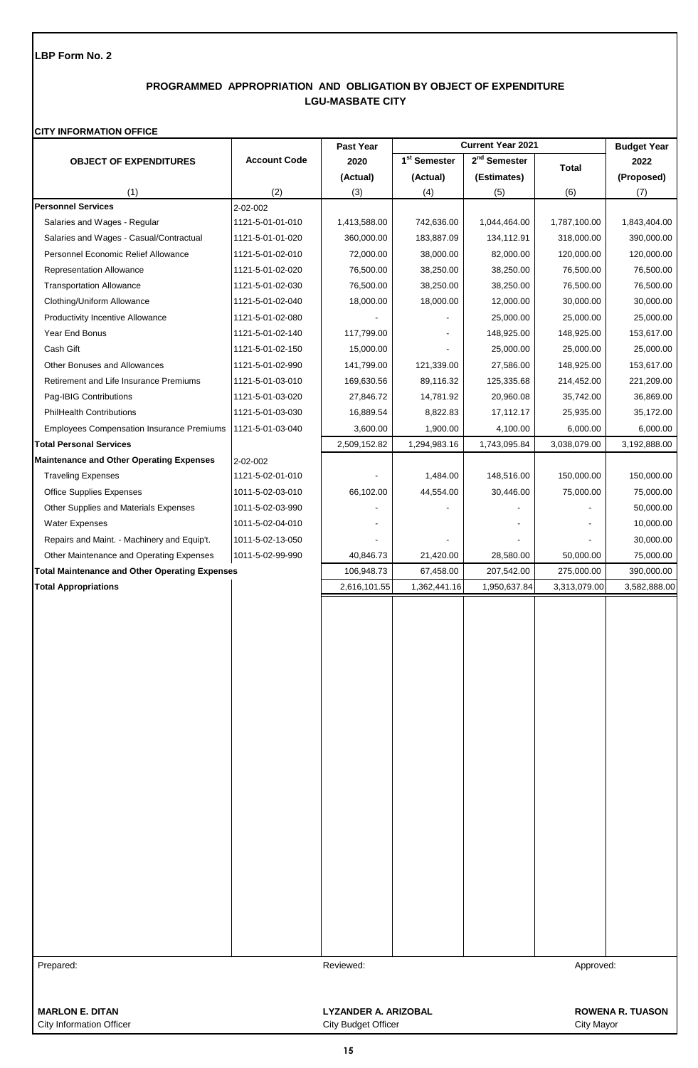# **PROGRAMMED APPROPRIATION AND OBLIGATION BY OBJECT OF EXPENDITURE LGU-MASBATE CITY**

### **CITY INFORMATION OFFICE**

|                                                       |                     | Past Year                   |                          | <b>Current Year 2021</b> |              | <b>Budget Year</b>      |
|-------------------------------------------------------|---------------------|-----------------------------|--------------------------|--------------------------|--------------|-------------------------|
| <b>OBJECT OF EXPENDITURES</b>                         | <b>Account Code</b> | 2020                        | 1 <sup>st</sup> Semester | 2 <sup>nd</sup> Semester | <b>Total</b> | 2022                    |
|                                                       |                     | (Actual)                    | (Actual)                 | (Estimates)              |              | (Proposed)              |
| (1)                                                   | (2)                 | (3)                         | (4)                      | (5)                      | (6)          | (7)                     |
| <b>Personnel Services</b>                             | 2-02-002            |                             |                          |                          |              |                         |
| Salaries and Wages - Regular                          | 1121-5-01-01-010    | 1,413,588.00                | 742,636.00               | 1,044,464.00             | 1,787,100.00 | 1,843,404.00            |
| Salaries and Wages - Casual/Contractual               | 1121-5-01-01-020    | 360,000.00                  | 183,887.09               | 134,112.91               | 318,000.00   | 390,000.00              |
| Personnel Economic Relief Allowance                   | 1121-5-01-02-010    | 72,000.00                   | 38,000.00                | 82,000.00                | 120,000.00   | 120,000.00              |
| Representation Allowance                              | 1121-5-01-02-020    | 76,500.00                   | 38,250.00                | 38,250.00                | 76,500.00    | 76,500.00               |
| <b>Transportation Allowance</b>                       | 1121-5-01-02-030    | 76,500.00                   | 38,250.00                | 38,250.00                | 76,500.00    | 76,500.00               |
| Clothing/Uniform Allowance                            | 1121-5-01-02-040    | 18,000.00                   | 18,000.00                | 12,000.00                | 30,000.00    | 30,000.00               |
| <b>Productivity Incentive Allowance</b>               | 1121-5-01-02-080    |                             |                          | 25,000.00                | 25,000.00    | 25,000.00               |
| Year End Bonus                                        | 1121-5-01-02-140    | 117,799.00                  |                          | 148,925.00               | 148,925.00   | 153,617.00              |
| Cash Gift                                             | 1121-5-01-02-150    | 15,000.00                   |                          | 25,000.00                | 25,000.00    | 25,000.00               |
| Other Bonuses and Allowances                          | 1121-5-01-02-990    | 141,799.00                  | 121,339.00               | 27,586.00                | 148,925.00   | 153,617.00              |
| Retirement and Life Insurance Premiums                | 1121-5-01-03-010    | 169,630.56                  | 89,116.32                | 125,335.68               | 214,452.00   | 221,209.00              |
| Pag-IBIG Contributions                                | 1121-5-01-03-020    | 27,846.72                   | 14,781.92                | 20,960.08                | 35,742.00    | 36,869.00               |
| <b>PhilHealth Contributions</b>                       | 1121-5-01-03-030    | 16,889.54                   | 8,822.83                 | 17,112.17                | 25,935.00    | 35,172.00               |
| <b>Employees Compensation Insurance Premiums</b>      | 1121-5-01-03-040    | 3,600.00                    | 1,900.00                 | 4,100.00                 | 6,000.00     | 6,000.00                |
| <b>Total Personal Services</b>                        |                     | 2,509,152.82                | 1,294,983.16             | 1,743,095.84             | 3,038,079.00 | 3,192,888.00            |
| <b>Maintenance and Other Operating Expenses</b>       | 2-02-002            |                             |                          |                          |              |                         |
| <b>Traveling Expenses</b>                             | 1121-5-02-01-010    |                             | 1,484.00                 | 148,516.00               | 150,000.00   | 150,000.00              |
| <b>Office Supplies Expenses</b>                       | 1011-5-02-03-010    | 66,102.00                   | 44,554.00                | 30,446.00                | 75,000.00    | 75,000.00               |
| Other Supplies and Materials Expenses                 | 1011-5-02-03-990    |                             |                          |                          |              | 50,000.00               |
| <b>Water Expenses</b>                                 | 1011-5-02-04-010    |                             |                          |                          |              | 10,000.00               |
| Repairs and Maint. - Machinery and Equip't.           | 1011-5-02-13-050    |                             |                          |                          |              | 30,000.00               |
| Other Maintenance and Operating Expenses              | 1011-5-02-99-990    | 40,846.73                   | 21,420.00                | 28,580.00                | 50,000.00    | 75,000.00               |
| <b>Total Maintenance and Other Operating Expenses</b> |                     | 106,948.73                  | 67,458.00                | 207,542.00               | 275,000.00   | 390,000.00              |
| <b>Total Appropriations</b>                           |                     | 2,616,101.55                | 1,362,441.16             | 1,950,637.84             | 3,313,079.00 | 3,582,888.00            |
|                                                       |                     |                             |                          |                          |              |                         |
|                                                       |                     |                             |                          |                          |              |                         |
|                                                       |                     |                             |                          |                          |              |                         |
|                                                       |                     |                             |                          |                          |              |                         |
|                                                       |                     |                             |                          |                          |              |                         |
|                                                       |                     |                             |                          |                          |              |                         |
|                                                       |                     |                             |                          |                          |              |                         |
|                                                       |                     |                             |                          |                          |              |                         |
|                                                       |                     |                             |                          |                          |              |                         |
|                                                       |                     |                             |                          |                          |              |                         |
|                                                       |                     |                             |                          |                          |              |                         |
|                                                       |                     |                             |                          |                          |              |                         |
|                                                       |                     |                             |                          |                          |              |                         |
|                                                       |                     |                             |                          |                          |              |                         |
|                                                       |                     |                             |                          |                          |              |                         |
|                                                       |                     |                             |                          |                          |              |                         |
|                                                       |                     |                             |                          |                          |              |                         |
|                                                       |                     |                             |                          |                          |              |                         |
|                                                       |                     |                             |                          |                          |              |                         |
|                                                       |                     |                             |                          |                          |              |                         |
|                                                       |                     |                             |                          |                          |              |                         |
|                                                       |                     |                             |                          |                          |              |                         |
|                                                       |                     |                             |                          |                          |              |                         |
|                                                       |                     | Reviewed:                   |                          |                          |              |                         |
| Prepared:                                             |                     |                             |                          |                          | Approved:    |                         |
|                                                       |                     |                             |                          |                          |              |                         |
| <b>MARLON E. DITAN</b>                                |                     | <b>LYZANDER A. ARIZOBAL</b> |                          |                          |              | <b>ROWENA R. TUASON</b> |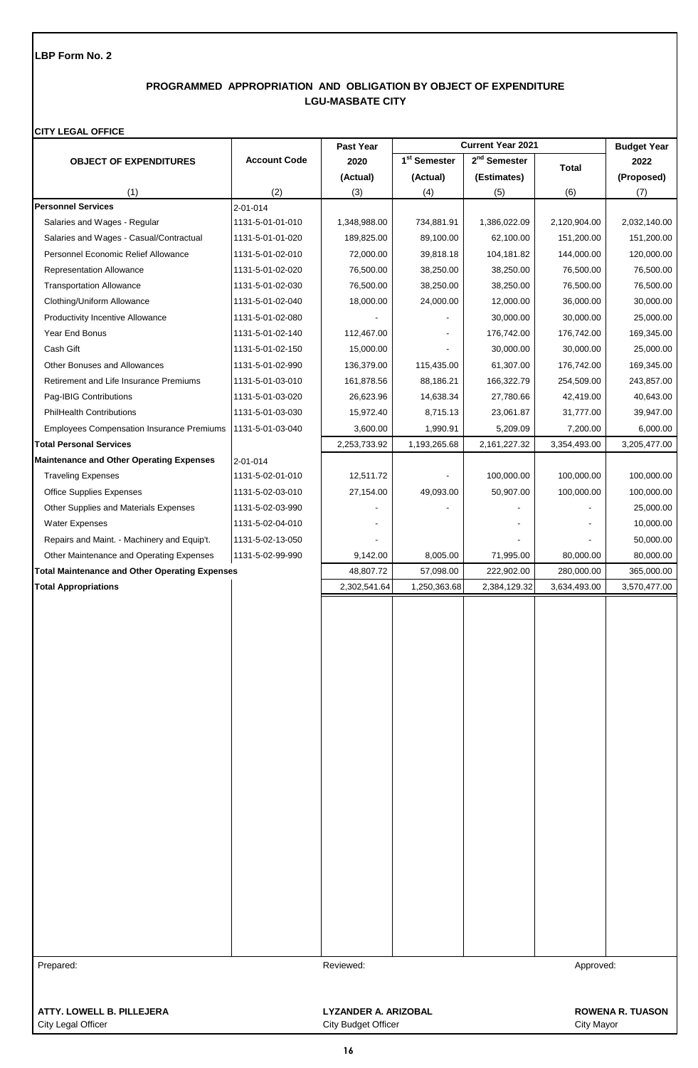# **PROGRAMMED APPROPRIATION AND OBLIGATION BY OBJECT OF EXPENDITURE LGU-MASBATE CITY**

### **CITY LEGAL OFFICE**

|                                                       |                     | Past Year                   | <b>Current Year 2021</b> |                          | <b>Budget Year</b> |                         |
|-------------------------------------------------------|---------------------|-----------------------------|--------------------------|--------------------------|--------------------|-------------------------|
| <b>OBJECT OF EXPENDITURES</b>                         | <b>Account Code</b> | 2020                        | 1 <sup>st</sup> Semester | 2 <sup>nd</sup> Semester | <b>Total</b>       | 2022                    |
|                                                       |                     | (Actual)                    | (Actual)                 | (Estimates)              |                    | (Proposed)              |
| (1)                                                   | (2)                 | (3)                         | (4)                      | (5)                      | (6)                | (7)                     |
| <b>Personnel Services</b>                             | $2 - 01 - 014$      |                             |                          |                          |                    |                         |
| Salaries and Wages - Regular                          | 1131-5-01-01-010    | 1,348,988.00                | 734,881.91               | 1,386,022.09             | 2,120,904.00       | 2,032,140.00            |
| Salaries and Wages - Casual/Contractual               | 1131-5-01-01-020    | 189,825.00                  | 89,100.00                | 62,100.00                | 151,200.00         | 151,200.00              |
| Personnel Economic Relief Allowance                   | 1131-5-01-02-010    | 72,000.00                   | 39,818.18                | 104,181.82               | 144,000.00         | 120,000.00              |
| <b>Representation Allowance</b>                       | 1131-5-01-02-020    | 76,500.00                   | 38,250.00                | 38,250.00                | 76,500.00          | 76,500.00               |
| <b>Transportation Allowance</b>                       | 1131-5-01-02-030    | 76,500.00                   | 38,250.00                | 38,250.00                | 76,500.00          | 76,500.00               |
| Clothing/Uniform Allowance                            | 1131-5-01-02-040    | 18,000.00                   | 24,000.00                | 12,000.00                | 36,000.00          | 30,000.00               |
| <b>Productivity Incentive Allowance</b>               | 1131-5-01-02-080    |                             |                          | 30,000.00                | 30,000.00          | 25,000.00               |
| Year End Bonus                                        | 1131-5-01-02-140    | 112,467.00                  |                          | 176,742.00               | 176,742.00         | 169,345.00              |
| Cash Gift                                             | 1131-5-01-02-150    | 15,000.00                   |                          | 30,000.00                | 30,000.00          | 25,000.00               |
| Other Bonuses and Allowances                          | 1131-5-01-02-990    | 136,379.00                  | 115,435.00               | 61,307.00                | 176,742.00         | 169,345.00              |
| Retirement and Life Insurance Premiums                | 1131-5-01-03-010    | 161,878.56                  | 88,186.21                | 166,322.79               | 254,509.00         | 243,857.00              |
| Pag-IBIG Contributions                                | 1131-5-01-03-020    | 26,623.96                   | 14,638.34                | 27,780.66                | 42,419.00          | 40,643.00               |
| <b>PhilHealth Contributions</b>                       | 1131-5-01-03-030    | 15,972.40                   | 8,715.13                 | 23,061.87                | 31,777.00          | 39,947.00               |
| <b>Employees Compensation Insurance Premiums</b>      | 1131-5-01-03-040    | 3,600.00                    | 1,990.91                 | 5,209.09                 | 7,200.00           | 6,000.00                |
| <b>Total Personal Services</b>                        |                     | 2,253,733.92                | 1,193,265.68             | 2,161,227.32             | 3,354,493.00       | 3,205,477.00            |
| <b>Maintenance and Other Operating Expenses</b>       | 2-01-014            |                             |                          |                          |                    |                         |
| <b>Traveling Expenses</b>                             | 1131-5-02-01-010    | 12,511.72                   |                          | 100,000.00               | 100,000.00         | 100,000.00              |
| <b>Office Supplies Expenses</b>                       | 1131-5-02-03-010    | 27,154.00                   | 49,093.00                | 50,907.00                | 100,000.00         | 100,000.00              |
| Other Supplies and Materials Expenses                 | 1131-5-02-03-990    |                             |                          |                          |                    | 25,000.00               |
| <b>Water Expenses</b>                                 | 1131-5-02-04-010    |                             |                          |                          |                    | 10,000.00               |
| Repairs and Maint. - Machinery and Equip't.           | 1131-5-02-13-050    |                             |                          |                          |                    | 50,000.00               |
| Other Maintenance and Operating Expenses              | 1131-5-02-99-990    | 9,142.00                    | 8,005.00                 | 71,995.00                | 80,000.00          | 80,000.00               |
| <b>Total Maintenance and Other Operating Expenses</b> |                     | 48,807.72                   | 57,098.00                | 222,902.00               | 280,000.00         | 365,000.00              |
| <b>Total Appropriations</b>                           |                     | 2,302,541.64                | 1,250,363.68             | 2,384,129.32             | 3,634,493.00       | 3,570,477.00            |
|                                                       |                     |                             |                          |                          |                    |                         |
|                                                       |                     |                             |                          |                          |                    |                         |
|                                                       |                     |                             |                          |                          |                    |                         |
|                                                       |                     |                             |                          |                          |                    |                         |
|                                                       |                     |                             |                          |                          |                    |                         |
|                                                       |                     |                             |                          |                          |                    |                         |
|                                                       |                     |                             |                          |                          |                    |                         |
|                                                       |                     |                             |                          |                          |                    |                         |
|                                                       |                     |                             |                          |                          |                    |                         |
|                                                       |                     |                             |                          |                          |                    |                         |
|                                                       |                     |                             |                          |                          |                    |                         |
|                                                       |                     |                             |                          |                          |                    |                         |
|                                                       |                     |                             |                          |                          |                    |                         |
|                                                       |                     |                             |                          |                          |                    |                         |
|                                                       |                     |                             |                          |                          |                    |                         |
|                                                       |                     |                             |                          |                          |                    |                         |
|                                                       |                     |                             |                          |                          |                    |                         |
|                                                       |                     |                             |                          |                          |                    |                         |
|                                                       |                     |                             |                          |                          |                    |                         |
|                                                       |                     |                             |                          |                          |                    |                         |
|                                                       |                     |                             |                          |                          |                    |                         |
|                                                       |                     |                             |                          |                          |                    |                         |
|                                                       |                     |                             |                          |                          |                    |                         |
|                                                       |                     |                             |                          |                          |                    |                         |
| Prepared:                                             |                     | Reviewed:                   |                          |                          | Approved:          |                         |
|                                                       |                     |                             |                          |                          |                    |                         |
|                                                       |                     |                             |                          |                          |                    |                         |
| ATTY. LOWELL B. PILLEJERA                             |                     | <b>LYZANDER A. ARIZOBAL</b> |                          |                          |                    | <b>ROWENA R. TUASON</b> |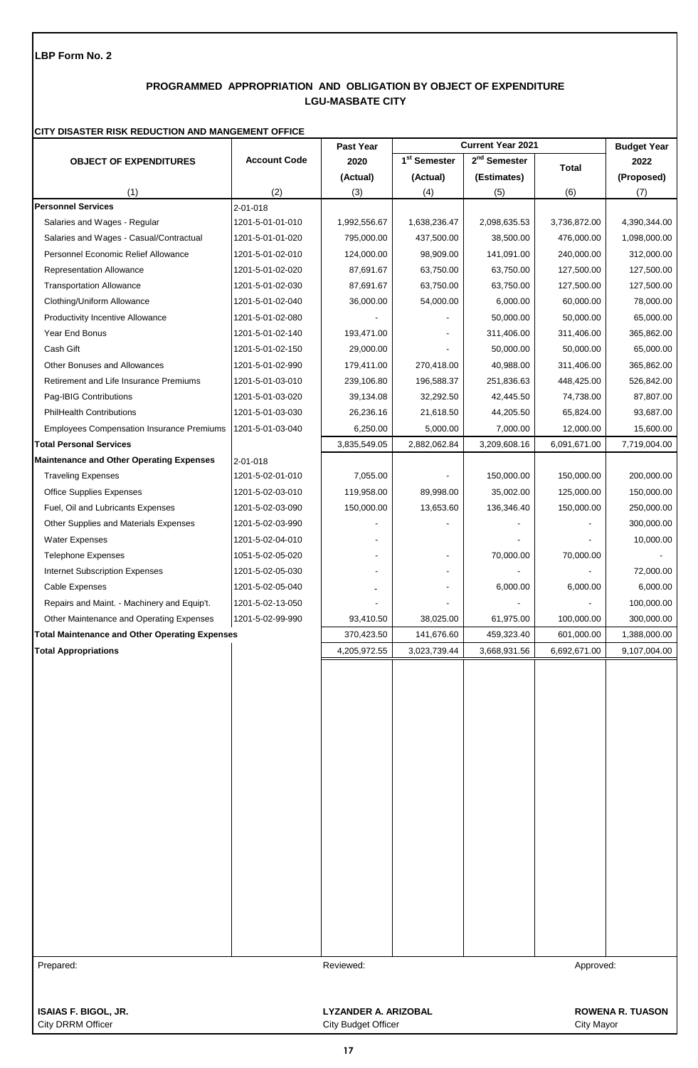# **PROGRAMMED APPROPRIATION AND OBLIGATION BY OBJECT OF EXPENDITURE LGU-MASBATE CITY**

#### **CITY DISASTER RISK REDUCTION AND MANGEMENT OFFICE**

|                                                       |                     | Past Year                |                          | <b>Current Year 2021</b> |              | <b>Budget Year</b> |
|-------------------------------------------------------|---------------------|--------------------------|--------------------------|--------------------------|--------------|--------------------|
| <b>OBJECT OF EXPENDITURES</b>                         | <b>Account Code</b> | 2020                     | 1 <sup>st</sup> Semester | 2 <sup>nd</sup> Semester | <b>Total</b> | 2022               |
|                                                       |                     | (Actual)                 | (Actual)                 | (Estimates)              |              | (Proposed)         |
| (1)                                                   | (2)                 | (3)                      | (4)                      | (5)                      | (6)          | (7)                |
| <b>Personnel Services</b>                             | 2-01-018            |                          |                          |                          |              |                    |
| Salaries and Wages - Regular                          | 1201-5-01-01-010    | 1,992,556.67             | 1,638,236.47             | 2,098,635.53             | 3,736,872.00 | 4,390,344.00       |
| Salaries and Wages - Casual/Contractual               | 1201-5-01-01-020    | 795,000.00               | 437,500.00               | 38,500.00                | 476,000.00   | 1,098,000.00       |
| Personnel Economic Relief Allowance                   | 1201-5-01-02-010    | 124,000.00               | 98,909.00                | 141,091.00               | 240,000.00   | 312,000.00         |
| <b>Representation Allowance</b>                       | 1201-5-01-02-020    | 87,691.67                | 63,750.00                | 63,750.00                | 127,500.00   | 127,500.00         |
| <b>Transportation Allowance</b>                       | 1201-5-01-02-030    | 87,691.67                | 63,750.00                | 63,750.00                | 127,500.00   | 127,500.00         |
| Clothing/Uniform Allowance                            | 1201-5-01-02-040    | 36,000.00                | 54,000.00                | 6,000.00                 | 60,000.00    | 78,000.00          |
| <b>Productivity Incentive Allowance</b>               | 1201-5-01-02-080    |                          |                          | 50,000.00                | 50,000.00    | 65,000.00          |
| Year End Bonus                                        | 1201-5-01-02-140    | 193,471.00               |                          | 311,406.00               | 311,406.00   | 365,862.00         |
| Cash Gift                                             | 1201-5-01-02-150    | 29,000.00                |                          | 50,000.00                | 50,000.00    | 65,000.00          |
| <b>Other Bonuses and Allowances</b>                   | 1201-5-01-02-990    | 179,411.00               | 270,418.00               | 40,988.00                | 311,406.00   | 365,862.00         |
| Retirement and Life Insurance Premiums                | 1201-5-01-03-010    | 239,106.80               | 196,588.37               | 251,836.63               | 448,425.00   | 526,842.00         |
| Pag-IBIG Contributions                                | 1201-5-01-03-020    | 39,134.08                | 32,292.50                | 42,445.50                | 74,738.00    | 87,807.00          |
| <b>PhilHealth Contributions</b>                       | 1201-5-01-03-030    | 26,236.16                | 21,618.50                | 44,205.50                | 65,824.00    | 93,687.00          |
| <b>Employees Compensation Insurance Premiums</b>      | 1201-5-01-03-040    | 6,250.00                 | 5,000.00                 | 7,000.00                 | 12,000.00    | 15,600.00          |
| <b>Total Personal Services</b>                        |                     | 3,835,549.05             | 2,882,062.84             | 3,209,608.16             | 6,091,671.00 | 7,719,004.00       |
| <b>Maintenance and Other Operating Expenses</b>       | $2 - 01 - 018$      |                          |                          |                          |              |                    |
| <b>Traveling Expenses</b>                             | 1201-5-02-01-010    | 7,055.00                 |                          | 150,000.00               | 150,000.00   | 200,000.00         |
| <b>Office Supplies Expenses</b>                       | 1201-5-02-03-010    | 119,958.00               | 89,998.00                | 35,002.00                | 125,000.00   | 150,000.00         |
| Fuel, Oil and Lubricants Expenses                     | 1201-5-02-03-090    | 150,000.00               | 13,653.60                | 136,346.40               | 150,000.00   | 250,000.00         |
| Other Supplies and Materials Expenses                 | 1201-5-02-03-990    |                          |                          |                          |              | 300,000.00         |
| <b>Water Expenses</b>                                 | 1201-5-02-04-010    |                          |                          |                          |              | 10,000.00          |
| <b>Telephone Expenses</b>                             | 1051-5-02-05-020    |                          |                          | 70,000.00                | 70,000.00    |                    |
| Internet Subscription Expenses                        | 1201-5-02-05-030    | $\overline{\phantom{a}}$ |                          |                          |              | 72,000.00          |
| Cable Expenses                                        | 1201-5-02-05-040    |                          |                          | 6,000.00                 | 6,000.00     | 6,000.00           |
| Repairs and Maint. - Machinery and Equip't.           | 1201-5-02-13-050    |                          |                          |                          |              | 100,000.00         |
|                                                       | 1201-5-02-99-990    |                          |                          |                          |              | 300,000.00         |
| Other Maintenance and Operating Expenses              |                     | 93,410.50                | 38,025.00                | 61,975.00                | 100,000.00   |                    |
| <b>Total Maintenance and Other Operating Expenses</b> |                     | 370,423.50               | 141,676.60               | 459,323.40               | 601,000.00   | 1,388,000.00       |
| <b>Total Appropriations</b>                           |                     | 4,205,972.55             | 3,023,739.44             | 3,668,931.56             | 6,692,671.00 | 9,107,004.00       |
|                                                       |                     |                          |                          |                          |              |                    |
|                                                       |                     |                          |                          |                          |              |                    |
|                                                       |                     |                          |                          |                          |              |                    |
|                                                       |                     |                          |                          |                          |              |                    |
|                                                       |                     |                          |                          |                          |              |                    |
|                                                       |                     |                          |                          |                          |              |                    |
|                                                       |                     |                          |                          |                          |              |                    |
|                                                       |                     |                          |                          |                          |              |                    |
|                                                       |                     |                          |                          |                          |              |                    |
|                                                       |                     |                          |                          |                          |              |                    |
|                                                       |                     |                          |                          |                          |              |                    |
|                                                       |                     |                          |                          |                          |              |                    |
|                                                       |                     |                          |                          |                          |              |                    |
|                                                       |                     |                          |                          |                          |              |                    |
|                                                       |                     |                          |                          |                          |              |                    |
|                                                       |                     |                          |                          |                          |              |                    |
|                                                       |                     |                          |                          |                          |              |                    |
|                                                       |                     |                          |                          |                          |              |                    |
|                                                       |                     |                          |                          |                          |              |                    |
| Prepared:                                             |                     | Reviewed:                |                          |                          | Approved:    |                    |
|                                                       |                     |                          |                          |                          |              |                    |
|                                                       |                     |                          |                          |                          |              |                    |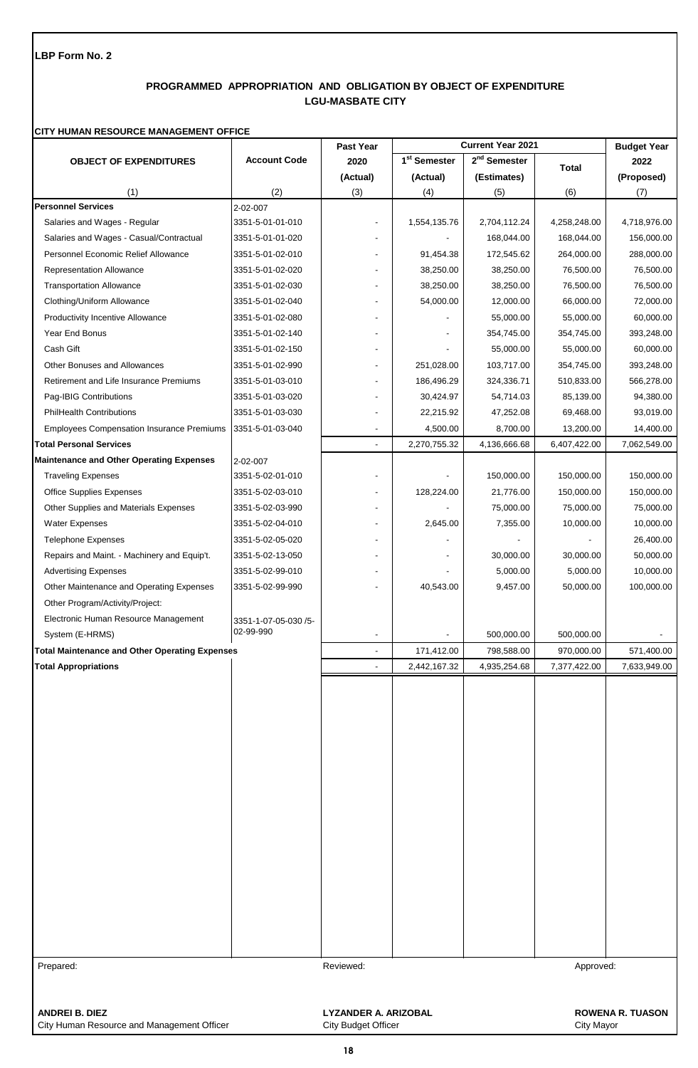# **PROGRAMMED APPROPRIATION AND OBLIGATION BY OBJECT OF EXPENDITURE LGU-MASBATE CITY**

## **CITY HUMAN RESOURCE MANAGEMENT OFFICE**

|                                                       |                      | Past Year                   |                          | <b>Current Year 2021</b> |                   | <b>Budget Year</b>      |
|-------------------------------------------------------|----------------------|-----------------------------|--------------------------|--------------------------|-------------------|-------------------------|
| <b>OBJECT OF EXPENDITURES</b>                         | <b>Account Code</b>  | 2020                        | 1 <sup>st</sup> Semester | 2 <sup>nd</sup> Semester | <b>Total</b>      | 2022                    |
|                                                       |                      | (Actual)                    | (Actual)                 | (Estimates)              |                   | (Proposed)              |
| (1)                                                   | (2)                  | (3)                         | (4)                      | (5)                      | (6)               | (7)                     |
| <b>Personnel Services</b>                             | 2-02-007             |                             |                          |                          |                   |                         |
| Salaries and Wages - Regular                          | 3351-5-01-01-010     |                             | 1,554,135.76             | 2,704,112.24             | 4,258,248.00      | 4,718,976.00            |
| Salaries and Wages - Casual/Contractual               | 3351-5-01-01-020     | $\blacksquare$              |                          | 168,044.00               | 168,044.00        | 156,000.00              |
| Personnel Economic Relief Allowance                   | 3351-5-01-02-010     | $\blacksquare$              | 91,454.38                | 172,545.62               | 264,000.00        | 288,000.00              |
| Representation Allowance                              | 3351-5-01-02-020     | $\blacksquare$              | 38,250.00                | 38,250.00                | 76,500.00         | 76,500.00               |
| <b>Transportation Allowance</b>                       | 3351-5-01-02-030     |                             | 38,250.00                | 38,250.00                | 76,500.00         | 76,500.00               |
| Clothing/Uniform Allowance                            | 3351-5-01-02-040     |                             | 54,000.00                | 12,000.00                | 66,000.00         | 72,000.00               |
| Productivity Incentive Allowance                      | 3351-5-01-02-080     | $\blacksquare$              |                          | 55,000.00                | 55,000.00         | 60,000.00               |
| Year End Bonus                                        | 3351-5-01-02-140     | $\blacksquare$              |                          | 354,745.00               | 354,745.00        | 393,248.00              |
| Cash Gift                                             | 3351-5-01-02-150     | $\blacksquare$              |                          | 55,000.00                | 55,000.00         | 60,000.00               |
| Other Bonuses and Allowances                          | 3351-5-01-02-990     | $\blacksquare$              | 251,028.00               | 103,717.00               | 354,745.00        | 393,248.00              |
| Retirement and Life Insurance Premiums                | 3351-5-01-03-010     | $\overline{\phantom{a}}$    | 186,496.29               | 324,336.71               | 510,833.00        | 566,278.00              |
| Pag-IBIG Contributions                                | 3351-5-01-03-020     |                             | 30,424.97                | 54,714.03                | 85,139.00         | 94,380.00               |
| <b>PhilHealth Contributions</b>                       | 3351-5-01-03-030     |                             | 22,215.92                | 47,252.08                | 69,468.00         | 93,019.00               |
| <b>Employees Compensation Insurance Premiums</b>      | 3351-5-01-03-040     | $\overline{\phantom{a}}$    | 4,500.00                 | 8,700.00                 | 13,200.00         | 14,400.00               |
| <b>Total Personal Services</b>                        |                      |                             | 2,270,755.32             | 4,136,666.68             | 6,407,422.00      | 7,062,549.00            |
| <b>Maintenance and Other Operating Expenses</b>       | 2-02-007             |                             |                          |                          |                   |                         |
| <b>Traveling Expenses</b>                             | 3351-5-02-01-010     | $\blacksquare$              |                          | 150,000.00               | 150,000.00        | 150,000.00              |
| <b>Office Supplies Expenses</b>                       | 3351-5-02-03-010     | $\overline{\phantom{a}}$    | 128,224.00               | 21,776.00                | 150,000.00        | 150,000.00              |
| Other Supplies and Materials Expenses                 | 3351-5-02-03-990     | $\blacksquare$              |                          | 75,000.00                | 75,000.00         | 75,000.00               |
| <b>Water Expenses</b>                                 | 3351-5-02-04-010     |                             | 2,645.00                 | 7,355.00                 | 10,000.00         | 10,000.00               |
| <b>Telephone Expenses</b>                             | 3351-5-02-05-020     |                             |                          |                          |                   | 26,400.00               |
| Repairs and Maint. - Machinery and Equip't.           | 3351-5-02-13-050     | $\overline{\phantom{a}}$    |                          | 30,000.00                | 30,000.00         | 50,000.00               |
| <b>Advertising Expenses</b>                           | 3351-5-02-99-010     | $\blacksquare$              |                          | 5,000.00                 | 5,000.00          | 10,000.00               |
| Other Maintenance and Operating Expenses              | 3351-5-02-99-990     |                             | 40,543.00                | 9,457.00                 | 50,000.00         | 100,000.00              |
| Other Program/Activity/Project:                       |                      |                             |                          |                          |                   |                         |
| Electronic Human Resource Management                  | 3351-1-07-05-030 /5- |                             |                          |                          |                   |                         |
| System (E-HRMS)                                       | 02-99-990            |                             |                          | 500,000.00               | 500,000.00        |                         |
| <b>Total Maintenance and Other Operating Expenses</b> |                      |                             | 171,412.00               | 798,588.00               | 970,000.00        | 571,400.00              |
| <b>Total Appropriations</b>                           |                      |                             | 2,442,167.32             | 4,935,254.68             | 7,377,422.00      | 7,633,949.00            |
|                                                       |                      |                             |                          |                          |                   |                         |
|                                                       |                      |                             |                          |                          |                   |                         |
|                                                       |                      |                             |                          |                          |                   |                         |
|                                                       |                      |                             |                          |                          |                   |                         |
|                                                       |                      |                             |                          |                          |                   |                         |
|                                                       |                      |                             |                          |                          |                   |                         |
|                                                       |                      |                             |                          |                          |                   |                         |
|                                                       |                      |                             |                          |                          |                   |                         |
|                                                       |                      |                             |                          |                          |                   |                         |
|                                                       |                      |                             |                          |                          |                   |                         |
|                                                       |                      |                             |                          |                          |                   |                         |
|                                                       |                      |                             |                          |                          |                   |                         |
|                                                       |                      |                             |                          |                          |                   |                         |
|                                                       |                      |                             |                          |                          |                   |                         |
|                                                       |                      |                             |                          |                          |                   |                         |
|                                                       |                      |                             |                          |                          |                   |                         |
|                                                       |                      |                             |                          |                          |                   |                         |
|                                                       |                      |                             |                          |                          |                   |                         |
|                                                       |                      |                             |                          |                          |                   |                         |
| Prepared:                                             |                      | Reviewed:                   |                          |                          | Approved:         |                         |
|                                                       |                      |                             |                          |                          |                   |                         |
|                                                       |                      |                             |                          |                          |                   |                         |
| <b>ANDREI B. DIEZ</b>                                 |                      | <b>LYZANDER A. ARIZOBAL</b> |                          |                          |                   | <b>ROWENA R. TUASON</b> |
| City Human Resource and Management Officer            |                      | <b>City Budget Officer</b>  |                          |                          | <b>City Mayor</b> |                         |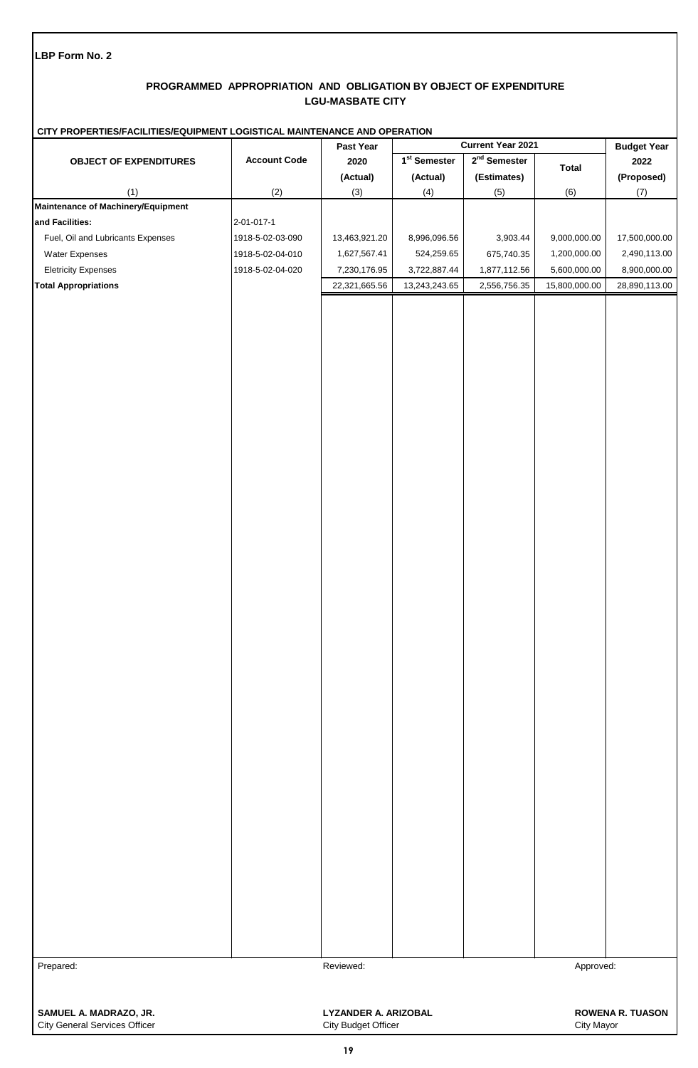# **PROGRAMMED APPROPRIATION AND OBLIGATION BY OBJECT OF EXPENDITURE LGU-MASBATE CITY**

|                                      | CITY PROPERTIES/FACILITIES/EQUIPMENT LOGISTICAL MAINTENANCE AND OPERATION |                             |                              |                |               |                         |  |
|--------------------------------------|---------------------------------------------------------------------------|-----------------------------|------------------------------|----------------|---------------|-------------------------|--|
|                                      |                                                                           | Past Year                   | <b>Current Year 2021</b>     |                |               | <b>Budget Year</b>      |  |
| <b>OBJECT OF EXPENDITURES</b>        | <b>Account Code</b>                                                       | 2020                        | $\overline{1^{st}}$ Semester | $2nd$ Semester | <b>Total</b>  | 2022                    |  |
|                                      |                                                                           | (Actual)                    | (Actual)                     | (Estimates)    |               | (Proposed)              |  |
| (1)                                  | (2)                                                                       | (3)                         | (4)                          | (5)            | (6)           | (7)                     |  |
| Maintenance of Machinery/Equipment   |                                                                           |                             |                              |                |               |                         |  |
| and Facilities:                      | 2-01-017-1                                                                |                             |                              |                |               |                         |  |
| Fuel, Oil and Lubricants Expenses    | 1918-5-02-03-090                                                          | 13,463,921.20               | 8,996,096.56                 | 3,903.44       | 9,000,000.00  | 17,500,000.00           |  |
| Water Expenses                       | 1918-5-02-04-010                                                          | 1,627,567.41                | 524,259.65                   | 675,740.35     | 1,200,000.00  | 2,490,113.00            |  |
| <b>Eletricity Expenses</b>           | 1918-5-02-04-020                                                          | 7,230,176.95                | 3,722,887.44                 | 1,877,112.56   | 5,600,000.00  | 8,900,000.00            |  |
| <b>Total Appropriations</b>          |                                                                           | 22,321,665.56               | 13,243,243.65                | 2,556,756.35   | 15,800,000.00 | 28,890,113.00           |  |
|                                      |                                                                           |                             |                              |                |               |                         |  |
|                                      |                                                                           |                             |                              |                |               |                         |  |
|                                      |                                                                           |                             |                              |                |               |                         |  |
|                                      |                                                                           |                             |                              |                |               |                         |  |
|                                      |                                                                           |                             |                              |                |               |                         |  |
|                                      |                                                                           |                             |                              |                |               |                         |  |
|                                      |                                                                           |                             |                              |                |               |                         |  |
|                                      |                                                                           |                             |                              |                |               |                         |  |
|                                      |                                                                           |                             |                              |                |               |                         |  |
|                                      |                                                                           |                             |                              |                |               |                         |  |
|                                      |                                                                           |                             |                              |                |               |                         |  |
|                                      |                                                                           |                             |                              |                |               |                         |  |
|                                      |                                                                           |                             |                              |                |               |                         |  |
|                                      |                                                                           |                             |                              |                |               |                         |  |
|                                      |                                                                           |                             |                              |                |               |                         |  |
|                                      |                                                                           |                             |                              |                |               |                         |  |
|                                      |                                                                           |                             |                              |                |               |                         |  |
|                                      |                                                                           |                             |                              |                |               |                         |  |
|                                      |                                                                           |                             |                              |                |               |                         |  |
|                                      |                                                                           |                             |                              |                |               |                         |  |
|                                      |                                                                           |                             |                              |                |               |                         |  |
|                                      |                                                                           |                             |                              |                |               |                         |  |
|                                      |                                                                           |                             |                              |                |               |                         |  |
|                                      |                                                                           |                             |                              |                |               |                         |  |
|                                      |                                                                           |                             |                              |                |               |                         |  |
|                                      |                                                                           |                             |                              |                |               |                         |  |
|                                      |                                                                           |                             |                              |                |               |                         |  |
|                                      |                                                                           |                             |                              |                |               |                         |  |
|                                      |                                                                           |                             |                              |                |               |                         |  |
|                                      |                                                                           |                             |                              |                |               |                         |  |
|                                      |                                                                           |                             |                              |                |               |                         |  |
|                                      |                                                                           |                             |                              |                |               |                         |  |
|                                      |                                                                           |                             |                              |                |               |                         |  |
|                                      |                                                                           |                             |                              |                |               |                         |  |
|                                      |                                                                           |                             |                              |                |               |                         |  |
|                                      |                                                                           |                             |                              |                |               |                         |  |
|                                      |                                                                           |                             |                              |                |               |                         |  |
|                                      |                                                                           |                             |                              |                |               |                         |  |
|                                      |                                                                           |                             |                              |                |               |                         |  |
|                                      |                                                                           |                             |                              |                |               |                         |  |
|                                      |                                                                           |                             |                              |                |               |                         |  |
|                                      |                                                                           |                             |                              |                |               |                         |  |
|                                      |                                                                           |                             |                              |                |               |                         |  |
|                                      |                                                                           |                             |                              |                |               |                         |  |
|                                      |                                                                           |                             |                              |                |               |                         |  |
|                                      |                                                                           |                             |                              |                |               |                         |  |
| Prepared:                            |                                                                           | Reviewed:                   |                              |                | Approved:     |                         |  |
|                                      |                                                                           |                             |                              |                |               |                         |  |
|                                      |                                                                           |                             |                              |                |               |                         |  |
| SAMUEL A. MADRAZO, JR.               |                                                                           | <b>LYZANDER A. ARIZOBAL</b> |                              |                |               | <b>ROWENA R. TUASON</b> |  |
| <b>City General Services Officer</b> |                                                                           | City Budget Officer         |                              |                | City Mayor    |                         |  |
|                                      |                                                                           |                             |                              |                |               |                         |  |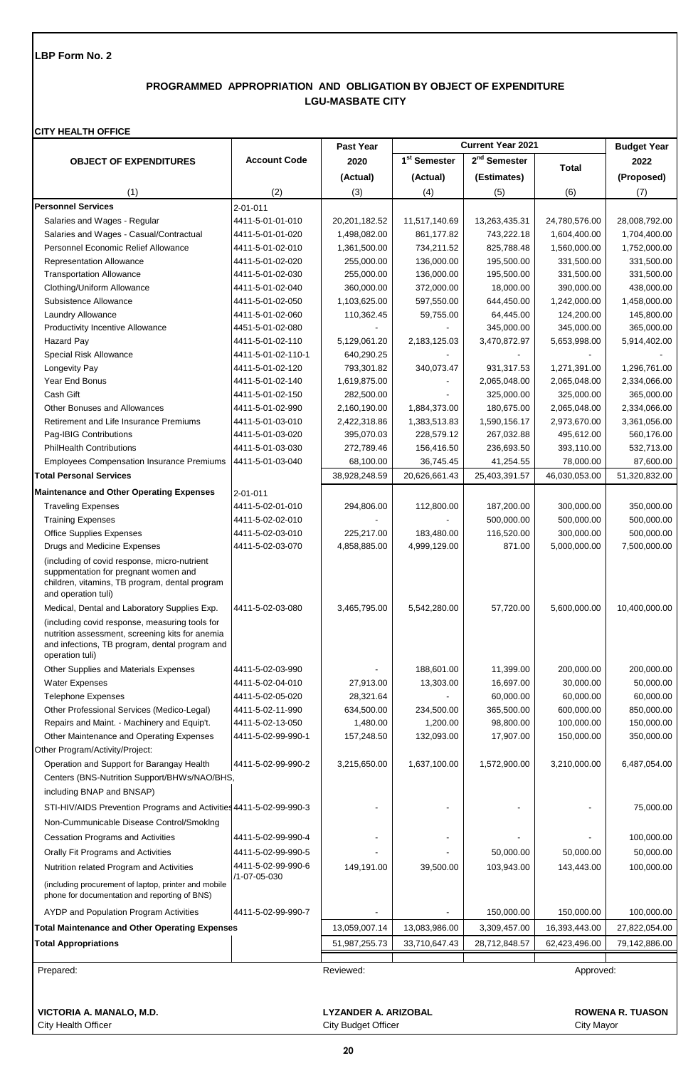## **PROGRAMMED APPROPRIATION AND OBLIGATION BY OBJECT OF EXPENDITURE LGU-MASBATE CITY**

#### **CITY HEALTH OFFICE**

|                                                                                                                                                                                                                        |                     | Past Year     |                          | <b>Current Year 2021</b> |               | <b>Budget Year</b> |
|------------------------------------------------------------------------------------------------------------------------------------------------------------------------------------------------------------------------|---------------------|---------------|--------------------------|--------------------------|---------------|--------------------|
| <b>OBJECT OF EXPENDITURES</b>                                                                                                                                                                                          | <b>Account Code</b> | 2020          | 1 <sup>st</sup> Semester | 2 <sup>nd</sup> Semester | <b>Total</b>  | 2022               |
|                                                                                                                                                                                                                        |                     | (Actual)      | (Actual)                 | (Estimates)              |               | (Proposed)         |
| (1)                                                                                                                                                                                                                    | (2)                 | (3)           | (4)                      | (5)                      | (6)           | (7)                |
| <b>Personnel Services</b>                                                                                                                                                                                              | 2-01-011            |               |                          |                          |               |                    |
| Salaries and Wages - Regular                                                                                                                                                                                           | 4411-5-01-01-010    | 20,201,182.52 | 11,517,140.69            | 13,263,435.31            | 24,780,576.00 | 28,008,792.00      |
| Salaries and Wages - Casual/Contractual                                                                                                                                                                                | 4411-5-01-01-020    | 1,498,082.00  | 861,177.82               | 743,222.18               | 1,604,400.00  | 1,704,400.00       |
| Personnel Economic Relief Allowance                                                                                                                                                                                    | 4411-5-01-02-010    | 1,361,500.00  | 734,211.52               | 825,788.48               | 1,560,000.00  | 1,752,000.00       |
| Representation Allowance                                                                                                                                                                                               | 4411-5-01-02-020    | 255,000.00    | 136,000.00               | 195,500.00               | 331,500.00    | 331,500.00         |
| <b>Transportation Allowance</b>                                                                                                                                                                                        | 4411-5-01-02-030    | 255,000.00    | 136,000.00               | 195,500.00               | 331,500.00    | 331,500.00         |
| Clothing/Uniform Allowance                                                                                                                                                                                             | 4411-5-01-02-040    | 360,000.00    | 372,000.00               | 18,000.00                | 390,000.00    | 438,000.00         |
| Subsistence Allowance                                                                                                                                                                                                  | 4411-5-01-02-050    | 1,103,625.00  | 597,550.00               | 644,450.00               | 1,242,000.00  | 1,458,000.00       |
| Laundry Allowance                                                                                                                                                                                                      | 4411-5-01-02-060    | 110,362.45    | 59,755.00                | 64,445.00                | 124,200.00    | 145,800.00         |
| <b>Productivity Incentive Allowance</b>                                                                                                                                                                                | 4451-5-01-02-080    |               |                          | 345,000.00               | 345,000.00    | 365,000.00         |
| Hazard Pay                                                                                                                                                                                                             | 4411-5-01-02-110    | 5,129,061.20  | 2,183,125.03             | 3,470,872.97             | 5,653,998.00  | 5,914,402.00       |
| Special Risk Allowance                                                                                                                                                                                                 | 4411-5-01-02-110-1  | 640,290.25    |                          |                          |               |                    |
| Longevity Pay                                                                                                                                                                                                          | 4411-5-01-02-120    | 793,301.82    | 340,073.47               | 931,317.53               | 1,271,391.00  | 1,296,761.00       |
| Year End Bonus                                                                                                                                                                                                         | 4411-5-01-02-140    | 1,619,875.00  |                          | 2,065,048.00             | 2,065,048.00  | 2,334,066.00       |
| Cash Gift                                                                                                                                                                                                              | 4411-5-01-02-150    | 282,500.00    |                          | 325,000.00               | 325,000.00    | 365,000.00         |
| Other Bonuses and Allowances                                                                                                                                                                                           | 4411-5-01-02-990    | 2,160,190.00  | 1,884,373.00             | 180,675.00               | 2,065,048.00  | 2,334,066.00       |
| Retirement and Life Insurance Premiums                                                                                                                                                                                 | 4411-5-01-03-010    | 2,422,318.86  | 1,383,513.83             | 1,590,156.17             | 2,973,670.00  | 3,361,056.00       |
| Pag-IBIG Contributions                                                                                                                                                                                                 | 4411-5-01-03-020    | 395,070.03    | 228,579.12               | 267,032.88               | 495,612.00    | 560,176.00         |
| <b>PhilHealth Contributions</b>                                                                                                                                                                                        | 4411-5-01-03-030    | 272,789.46    | 156,416.50               | 236,693.50               | 393,110.00    | 532,713.00         |
| <b>Employees Compensation Insurance Premiums</b>                                                                                                                                                                       | 4411-5-01-03-040    | 68,100.00     | 36,745.45                | 41,254.55                | 78,000.00     | 87,600.00          |
| <b>Total Personal Services</b>                                                                                                                                                                                         |                     | 38,928,248.59 | 20,626,661.43            | 25,403,391.57            | 46,030,053.00 | 51,320,832.00      |
| <b>Maintenance and Other Operating Expenses</b>                                                                                                                                                                        | $2 - 01 - 011$      |               |                          |                          |               |                    |
| <b>Traveling Expenses</b>                                                                                                                                                                                              | 4411-5-02-01-010    | 294,806.00    | 112,800.00               | 187,200.00               | 300,000.00    | 350,000.00         |
| <b>Training Expenses</b>                                                                                                                                                                                               | 4411-5-02-02-010    |               |                          | 500,000.00               | 500,000.00    | 500,000.00         |
| <b>Office Supplies Expenses</b>                                                                                                                                                                                        | 4411-5-02-03-010    | 225,217.00    | 183,480.00               | 116,520.00               | 300,000.00    | 500,000.00         |
| Drugs and Medicine Expenses                                                                                                                                                                                            | 4411-5-02-03-070    | 4,858,885.00  | 4,999,129.00             | 871.00                   | 5,000,000.00  | 7,500,000.00       |
| (including of covid response, micro-nutrient<br>suppmentation for pregnant women and<br>children, vitamins, TB program, dental program<br>and operation tuli)                                                          |                     |               |                          |                          |               |                    |
| Medical, Dental and Laboratory Supplies Exp.<br>(including covid response, measuring tools for<br>nutrition assessment, screening kits for anemia<br>and infections, TB program, dental program and<br>operation tuli) | 4411-5-02-03-080    | 3,465,795.00  | 5,542,280.00             | 57,720.00                | 5,600,000.00  | 10,400,000.00      |
| Other Supplies and Materials Expenses                                                                                                                                                                                  | 4411-5-02-03-990    |               | 188,601.00               | 11,399.00                | 200,000.00    | 200,000.00         |
| <b>Water Expenses</b>                                                                                                                                                                                                  | 4411-5-02-04-010    | 27,913.00     | 13,303.00                | 16,697.00                | 30,000.00     | 50,000.00          |
| <b>Telephone Expenses</b>                                                                                                                                                                                              | 4411-5-02-05-020    | 28,321.64     |                          | 60,000.00                | 60,000.00     | 60,000.00          |
| Other Professional Services (Medico-Legal)                                                                                                                                                                             | 4411-5-02-11-990    | 634,500.00    | 234,500.00               | 365,500.00               | 600,000.00    | 850,000.00         |
| Repairs and Maint. - Machinery and Equip't.                                                                                                                                                                            | 4411-5-02-13-050    | 1,480.00      | 1,200.00                 | 98,800.00                | 100,000.00    | 150,000.00         |
| Other Maintenance and Operating Expenses                                                                                                                                                                               | 4411-5-02-99-990-1  | 157,248.50    | 132,093.00               | 17,907.00                | 150,000.00    | 350,000.00         |
| Other Program/Activity/Project:                                                                                                                                                                                        |                     |               |                          |                          |               |                    |
| Operation and Support for Barangay Health                                                                                                                                                                              | 4411-5-02-99-990-2  | 3,215,650.00  | 1,637,100.00             | 1,572,900.00             | 3,210,000.00  | 6,487,054.00       |
| Centers (BNS-Nutrition Support/BHWs/NAO/BHS,                                                                                                                                                                           |                     |               |                          |                          |               |                    |
| including BNAP and BNSAP)                                                                                                                                                                                              |                     |               |                          |                          |               |                    |
| STI-HIV/AIDS Prevention Programs and Activities 4411-5-02-99-990-3                                                                                                                                                     |                     |               |                          |                          |               | 75,000.00          |
| Non-Cummunicable Disease Control/Smoking                                                                                                                                                                               |                     |               |                          |                          |               |                    |
| <b>Cessation Programs and Activities</b>                                                                                                                                                                               | 4411-5-02-99-990-4  |               |                          |                          |               | 100,000.00         |
| Orally Fit Programs and Activities                                                                                                                                                                                     | 4411-5-02-99-990-5  |               |                          | 50,000.00                | 50,000.00     | 50,000.00          |
| Nutrition related Program and Activities                                                                                                                                                                               | 4411-5-02-99-990-6  | 149,191.00    | 39,500.00                | 103,943.00               | 143,443.00    | 100,000.00         |
|                                                                                                                                                                                                                        | /1-07-05-030        |               |                          |                          |               |                    |
| (including procurement of laptop, printer and mobile<br>phone for documentation and reporting of BNS)                                                                                                                  |                     |               |                          |                          |               |                    |
| AYDP and Population Program Activities                                                                                                                                                                                 | 4411-5-02-99-990-7  |               |                          | 150,000.00               | 150,000.00    | 100,000.00         |
| <b>Total Maintenance and Other Operating Expenses</b>                                                                                                                                                                  |                     | 13,059,007.14 | 13,083,986.00            | 3,309,457.00             | 16,393,443.00 | 27,822,054.00      |
| <b>Total Appropriations</b>                                                                                                                                                                                            |                     | 51,987,255.73 | 33,710,647.43            | 28,712,848.57            | 62,423,496.00 | 79,142,886.00      |
| Prepared:                                                                                                                                                                                                              |                     | Reviewed:     |                          |                          | Approved:     |                    |
| VICTORIA A. MANALO, M.D.<br><b>LYZANDER A. ARIZOBAL</b><br><b>ROWENA R. TUASON</b><br>City Health Officer<br><b>City Budget Officer</b><br>City Mayor                                                                  |                     |               |                          |                          |               |                    |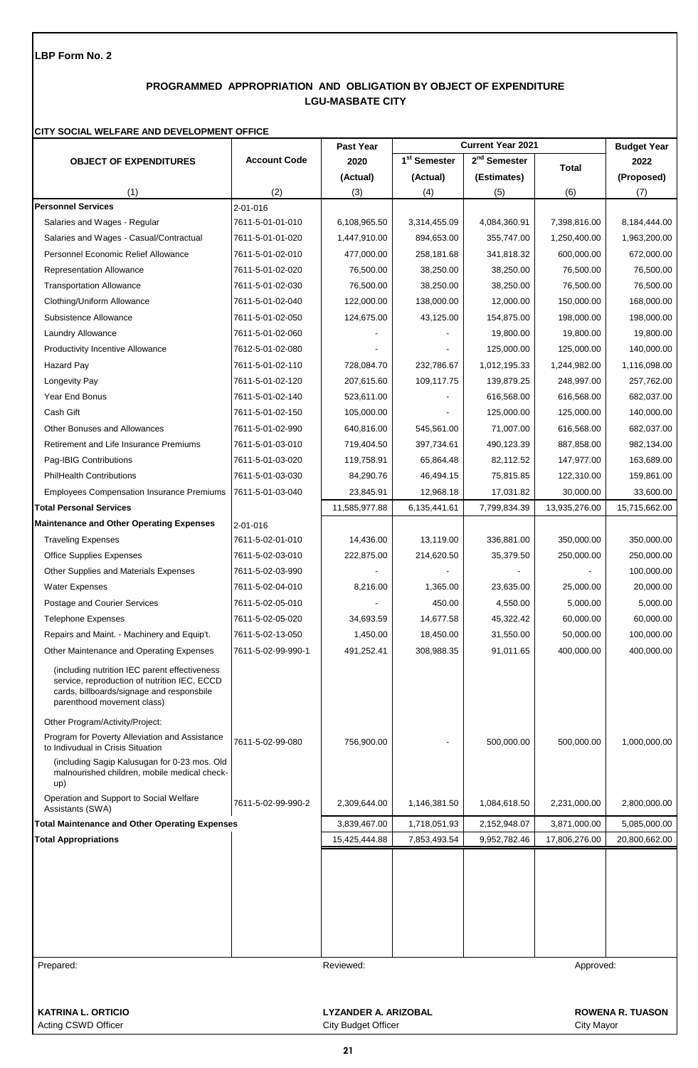# **PROGRAMMED APPROPRIATION AND OBLIGATION BY OBJECT OF EXPENDITURE LGU-MASBATE CITY**

## **CITY SOCIAL WELFARE AND DEVELOPMENT OFFICE**

|                                                                                                                                                                          |                     | Past Year                   |                          | <b>Current Year 2021</b> |               | <b>Budget Year</b>      |
|--------------------------------------------------------------------------------------------------------------------------------------------------------------------------|---------------------|-----------------------------|--------------------------|--------------------------|---------------|-------------------------|
| <b>OBJECT OF EXPENDITURES</b>                                                                                                                                            | <b>Account Code</b> | 2020                        | 1 <sup>st</sup> Semester | $2nd$ Semester           | <b>Total</b>  | 2022                    |
|                                                                                                                                                                          |                     | (Actual)                    | (Actual)                 | (Estimates)              |               | (Proposed)              |
| (1)                                                                                                                                                                      | (2)                 | (3)                         | (4)                      | (5)                      | (6)           | (7)                     |
| <b>Personnel Services</b>                                                                                                                                                | $2 - 01 - 016$      |                             |                          |                          |               |                         |
| Salaries and Wages - Regular                                                                                                                                             | 7611-5-01-01-010    | 6,108,965.50                | 3,314,455.09             | 4,084,360.91             | 7,398,816.00  | 8,184,444.00            |
| Salaries and Wages - Casual/Contractual                                                                                                                                  | 7611-5-01-01-020    | 1,447,910.00                | 894,653.00               | 355,747.00               | 1,250,400.00  | 1,963,200.00            |
| <b>Personnel Economic Relief Allowance</b>                                                                                                                               | 7611-5-01-02-010    | 477,000.00                  | 258,181.68               | 341,818.32               | 600,000.00    | 672,000.00              |
| <b>Representation Allowance</b>                                                                                                                                          | 7611-5-01-02-020    | 76,500.00                   | 38,250.00                | 38,250.00                | 76,500.00     | 76,500.00               |
| <b>Transportation Allowance</b>                                                                                                                                          | 7611-5-01-02-030    | 76,500.00                   | 38,250.00                | 38,250.00                | 76,500.00     | 76,500.00               |
| Clothing/Uniform Allowance                                                                                                                                               | 7611-5-01-02-040    | 122,000.00                  | 138,000.00               | 12,000.00                | 150,000.00    | 168,000.00              |
| Subsistence Allowance                                                                                                                                                    | 7611-5-01-02-050    | 124,675.00                  | 43,125.00                | 154,875.00               | 198,000.00    | 198,000.00              |
| Laundry Allowance                                                                                                                                                        | 7611-5-01-02-060    |                             |                          | 19,800.00                | 19,800.00     | 19,800.00               |
| <b>Productivity Incentive Allowance</b>                                                                                                                                  | 7612-5-01-02-080    |                             |                          | 125,000.00               | 125,000.00    | 140,000.00              |
| <b>Hazard Pay</b>                                                                                                                                                        | 7611-5-01-02-110    | 728,084.70                  | 232,786.67               | 1,012,195.33             | 1,244,982.00  | 1,116,098.00            |
| Longevity Pay                                                                                                                                                            | 7611-5-01-02-120    | 207,615.60                  | 109,117.75               | 139,879.25               | 248,997.00    | 257,762.00              |
| Year End Bonus                                                                                                                                                           | 7611-5-01-02-140    | 523,611.00                  |                          | 616,568.00               | 616,568.00    | 682,037.00              |
| Cash Gift                                                                                                                                                                | 7611-5-01-02-150    | 105,000.00                  |                          | 125,000.00               | 125,000.00    | 140,000.00              |
| Other Bonuses and Allowances                                                                                                                                             | 7611-5-01-02-990    | 640,816.00                  | 545,561.00               | 71,007.00                | 616,568.00    | 682,037.00              |
| Retirement and Life Insurance Premiums                                                                                                                                   | 7611-5-01-03-010    | 719,404.50                  | 397,734.61               | 490,123.39               | 887,858.00    | 982,134.00              |
| Pag-IBIG Contributions                                                                                                                                                   | 7611-5-01-03-020    | 119,758.91                  | 65,864.48                | 82,112.52                | 147,977.00    | 163,689.00              |
| <b>PhilHealth Contributions</b>                                                                                                                                          | 7611-5-01-03-030    | 84,290.76                   | 46,494.15                | 75,815.85                | 122,310.00    | 159,861.00              |
| <b>Employees Compensation Insurance Premiums</b>                                                                                                                         | 7611-5-01-03-040    | 23,845.91                   | 12,968.18                | 17,031.82                | 30,000.00     | 33,600.00               |
| <b>Total Personal Services</b>                                                                                                                                           |                     | 11,585,977.88               | 6,135,441.61             | 7,799,834.39             | 13,935,276.00 | 15,715,662.00           |
| <b>Maintenance and Other Operating Expenses</b>                                                                                                                          | 2-01-016            |                             |                          |                          |               |                         |
| <b>Traveling Expenses</b>                                                                                                                                                | 7611-5-02-01-010    | 14,436.00                   | 13,119.00                | 336,881.00               | 350,000.00    | 350,000.00              |
| <b>Office Supplies Expenses</b>                                                                                                                                          | 7611-5-02-03-010    | 222,875.00                  | 214,620.50               | 35,379.50                | 250,000.00    | 250,000.00              |
| Other Supplies and Materials Expenses                                                                                                                                    | 7611-5-02-03-990    |                             |                          |                          |               | 100,000.00              |
| <b>Water Expenses</b>                                                                                                                                                    | 7611-5-02-04-010    | 8,216.00                    | 1,365.00                 | 23,635.00                | 25,000.00     | 20,000.00               |
| Postage and Courier Services                                                                                                                                             | 7611-5-02-05-010    |                             | 450.00                   | 4,550.00                 | 5,000.00      | 5,000.00                |
| <b>Telephone Expenses</b>                                                                                                                                                | 7611-5-02-05-020    | 34,693.59                   | 14,677.58                | 45,322.42                | 60,000.00     | 60,000.00               |
| Repairs and Maint. - Machinery and Equip't.                                                                                                                              | 7611-5-02-13-050    | 1,450.00                    | 18,450.00                | 31,550.00                | 50,000.00     | 100,000.00              |
| Other Maintenance and Operating Expenses                                                                                                                                 | 7611-5-02-99-990-1  | 491,252.41                  | 308,988.35               | 91,011.65                | 400,000.00    | 400.000.00              |
| (including nutrition IEC parent effectiveness<br>service, reproduction of nutrition IEC, ECCD<br>cards, billboards/signage and responsbile<br>parenthood movement class) |                     |                             |                          |                          |               |                         |
| Other Program/Activity/Project:                                                                                                                                          |                     |                             |                          |                          |               |                         |
| Program for Poverty Alleviation and Assistance<br>to Indivudual in Crisis Situation                                                                                      | 7611-5-02-99-080    | 756,900.00                  |                          | 500,000.00               | 500,000.00    | 1,000,000.00            |
| (including Sagip Kalusugan for 0-23 mos. Old<br>malnourished children, mobile medical check-<br>up)                                                                      |                     |                             |                          |                          |               |                         |
| Operation and Support to Social Welfare<br>Assistants (SWA)                                                                                                              | 7611-5-02-99-990-2  | 2,309,644.00                | 1,146,381.50             | 1,084,618.50             | 2,231,000.00  | 2,800,000.00            |
| <b>Total Maintenance and Other Operating Expenses</b>                                                                                                                    |                     | 3,839,467.00                | 1,718,051.93             | 2,152,948.07             | 3,871,000.00  | 5,085,000.00            |
| <b>Total Appropriations</b>                                                                                                                                              |                     | 15,425,444.88               | 7,853,493.54             | 9,952,782.46             | 17,806,276.00 | 20,800,662.00           |
|                                                                                                                                                                          |                     |                             |                          |                          |               |                         |
| Prepared:                                                                                                                                                                |                     | Reviewed:                   |                          |                          | Approved:     |                         |
|                                                                                                                                                                          |                     |                             |                          |                          |               |                         |
| <b>KATRINA L. ORTICIO</b>                                                                                                                                                |                     | <b>LYZANDER A. ARIZOBAL</b> |                          |                          |               | <b>ROWENA R. TUASON</b> |

Acting CSWD Officer City Budget Officer City Budget Officer City City Mayor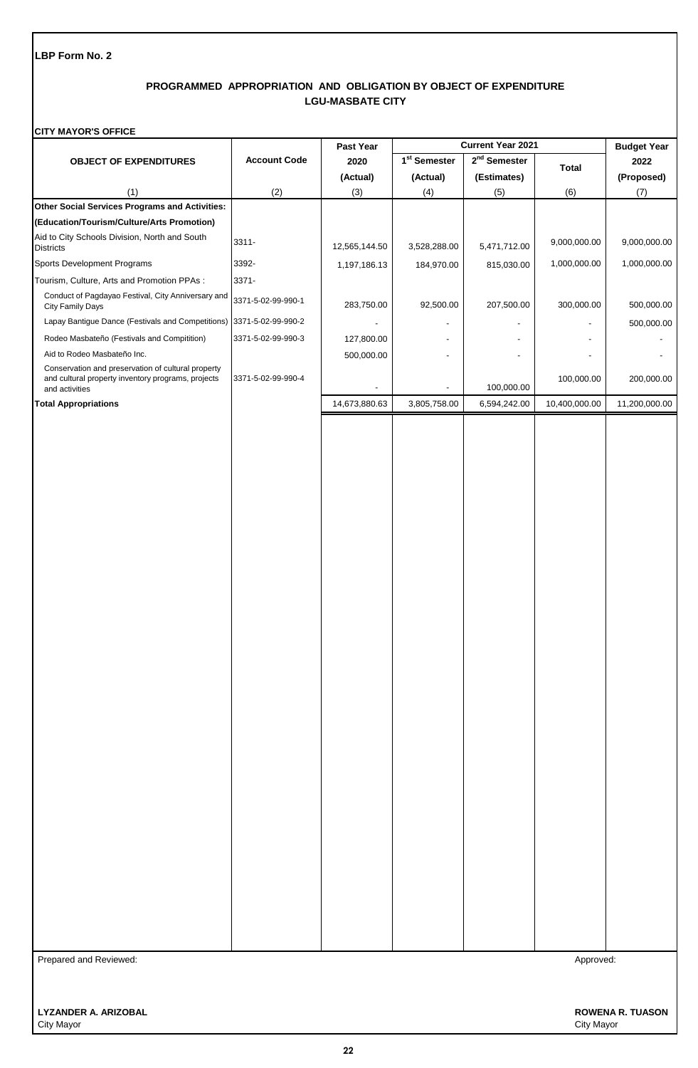## **PROGRAMMED APPROPRIATION AND OBLIGATION BY OBJECT OF EXPENDITURE LGU-MASBATE CITY**

#### **CITY MAYOR'S OFFICE**

|                                                                                                                            |                     | Past Year     | Current Year 2021        |                          |               | <b>Budget Year</b> |
|----------------------------------------------------------------------------------------------------------------------------|---------------------|---------------|--------------------------|--------------------------|---------------|--------------------|
| <b>OBJECT OF EXPENDITURES</b>                                                                                              | <b>Account Code</b> | 2020          | 1 <sup>st</sup> Semester | 2 <sup>nd</sup> Semester | <b>Total</b>  | 2022               |
|                                                                                                                            |                     | (Actual)      | (Actual)                 | (Estimates)              |               | (Proposed)         |
| (1)                                                                                                                        | (2)                 | (3)           | (4)                      | (5)                      | (6)           | (7)                |
| Other Social Services Programs and Activities:                                                                             |                     |               |                          |                          |               |                    |
| (Education/Tourism/Culture/Arts Promotion)                                                                                 |                     |               |                          |                          |               |                    |
| Aid to City Schools Division, North and South<br><b>Districts</b>                                                          | 3311-               | 12,565,144.50 | 3,528,288.00             | 5,471,712.00             | 9,000,000.00  | 9,000,000.00       |
| Sports Development Programs                                                                                                | 3392-               | 1,197,186.13  | 184,970.00               | 815,030.00               | 1,000,000.00  | 1,000,000.00       |
| Tourism, Culture, Arts and Promotion PPAs :                                                                                | 3371-               |               |                          |                          |               |                    |
| Conduct of Pagdayao Festival, City Anniversary and<br>City Family Days                                                     | 3371-5-02-99-990-1  | 283,750.00    | 92,500.00                | 207,500.00               | 300,000.00    | 500,000.00         |
| Lapay Bantigue Dance (Festivals and Competitions) 3371-5-02-99-990-2                                                       |                     |               |                          |                          |               | 500,000.00         |
| Rodeo Masbateño (Festivals and Compitition)                                                                                | 3371-5-02-99-990-3  | 127,800.00    |                          |                          |               |                    |
| Aid to Rodeo Masbateño Inc.                                                                                                |                     | 500,000.00    |                          |                          |               |                    |
| Conservation and preservation of cultural property<br>and cultural property inventory programs, projects<br>and activities | 3371-5-02-99-990-4  |               |                          | 100,000.00               | 100,000.00    | 200,000.00         |
| <b>Total Appropriations</b>                                                                                                |                     | 14,673,880.63 | 3,805,758.00             | 6,594,242.00             | 10,400,000.00 | 11,200,000.00      |
|                                                                                                                            |                     |               |                          |                          |               |                    |
|                                                                                                                            |                     |               |                          |                          |               |                    |
| Prepared and Reviewed:                                                                                                     |                     |               |                          |                          | Approved:     |                    |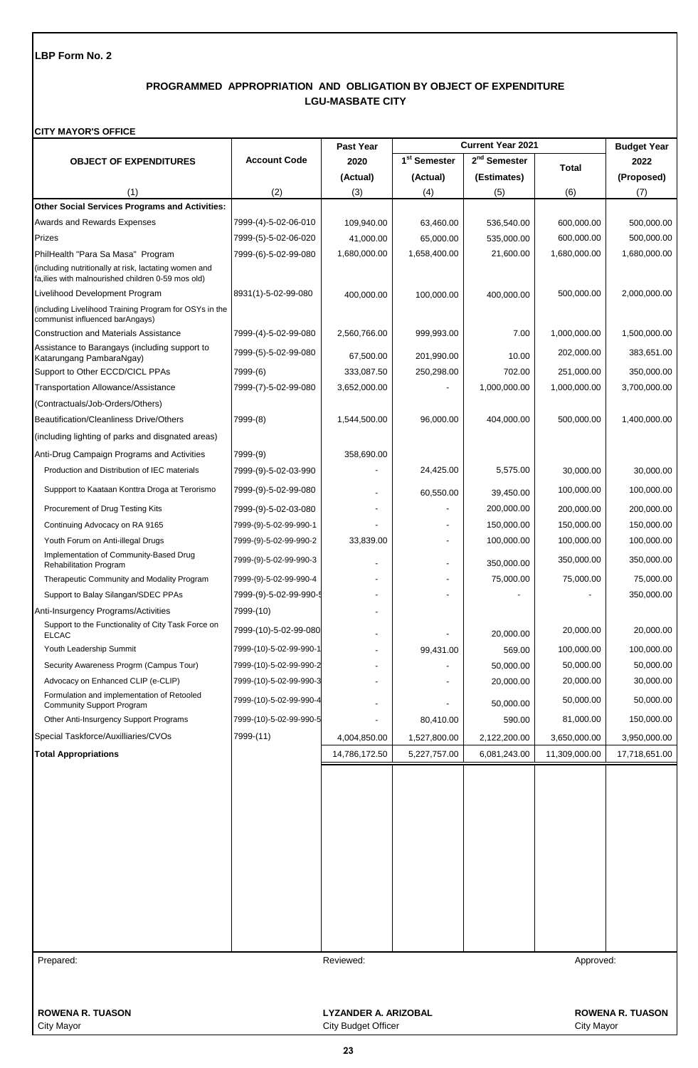## **PROGRAMMED APPROPRIATION AND OBLIGATION BY OBJECT OF EXPENDITURE LGU-MASBATE CITY**

#### **CITY MAYOR'S OFFICE**

|                                                                                                             |                         | <b>Past Year</b>            |                          | <b>Current Year 2021</b> |               | <b>Budget Year</b>      |
|-------------------------------------------------------------------------------------------------------------|-------------------------|-----------------------------|--------------------------|--------------------------|---------------|-------------------------|
| <b>OBJECT OF EXPENDITURES</b>                                                                               | <b>Account Code</b>     | 2020                        | 1 <sup>st</sup> Semester | 2 <sup>nd</sup> Semester | <b>Total</b>  | 2022                    |
|                                                                                                             |                         | (Actual)                    | (Actual)                 | (Estimates)              |               | (Proposed)              |
| (1)                                                                                                         | (2)                     | (3)                         | (4)                      | (5)                      | (6)           | (7)                     |
| Other Social Services Programs and Activities:                                                              |                         |                             |                          |                          |               |                         |
| <b>Awards and Rewards Expenses</b>                                                                          | 7999-(4)-5-02-06-010    | 109,940.00                  | 63,460.00                | 536,540.00               | 600,000.00    | 500,000.00              |
| Prizes                                                                                                      | 7999-(5)-5-02-06-020    | 41,000.00                   | 65,000.00                | 535,000.00               | 600,000.00    | 500,000.00              |
| PhilHealth "Para Sa Masa" Program                                                                           | 7999-(6)-5-02-99-080    | 1,680,000.00                | 1,658,400.00             | 21,600.00                | 1,680,000.00  | 1,680,000.00            |
| (including nutritionally at risk, lactating women and<br>fa, ilies with malnourished children 0-59 mos old) |                         |                             |                          |                          |               |                         |
| Livelihood Development Program                                                                              | 8931(1)-5-02-99-080     | 400,000.00                  | 100,000.00               | 400,000.00               | 500,000.00    | 2,000,000.00            |
| (including Livelihood Training Program for OSYs in the<br>communist influenced barAngays)                   |                         |                             |                          |                          |               |                         |
| <b>Construction and Materials Assistance</b>                                                                | 7999-(4)-5-02-99-080    | 2,560,766.00                | 999,993.00               | 7.00                     | 1,000,000.00  | 1,500,000.00            |
| Assistance to Barangays (including support to<br>Katarungang PambaraNgay)                                   | 7999-(5)-5-02-99-080    | 67,500.00                   | 201,990.00               | 10.00                    | 202,000.00    | 383,651.00              |
| Support to Other ECCD/CICL PPAs                                                                             | 7999-(6)                | 333,087.50                  | 250,298.00               | 702.00                   | 251,000.00    | 350,000.00              |
| Transportation Allowance/Assistance                                                                         | 7999-(7)-5-02-99-080    | 3,652,000.00                |                          | 1,000,000.00             | 1,000,000.00  | 3,700,000.00            |
| (Contractuals/Job-Orders/Others)                                                                            |                         |                             |                          |                          |               |                         |
| Beautification/Cleanliness Drive/Others                                                                     | 7999-(8)                | 1,544,500.00                | 96,000.00                | 404,000.00               | 500,000.00    | 1,400,000.00            |
| (including lighting of parks and disgnated areas)                                                           |                         |                             |                          |                          |               |                         |
| Anti-Drug Campaign Programs and Activities                                                                  | 7999-(9)                | 358,690.00                  |                          |                          |               |                         |
| Production and Distribution of IEC materials                                                                | 7999-(9)-5-02-03-990    |                             | 24,425.00                | 5,575.00                 | 30,000.00     | 30,000.00               |
| Suppport to Kaataan Konttra Droga at Terorismo                                                              | 7999-(9)-5-02-99-080    |                             | 60,550.00                | 39,450.00                | 100,000.00    | 100,000.00              |
| Procurement of Drug Testing Kits                                                                            | 7999-(9)-5-02-03-080    |                             |                          | 200,000.00               | 200,000.00    | 200,000.00              |
| Continuing Advocacy on RA 9165                                                                              | 7999-(9)-5-02-99-990-1  |                             |                          | 150,000.00               | 150,000.00    | 150,000.00              |
| Youth Forum on Anti-illegal Drugs                                                                           | 7999-(9)-5-02-99-990-2  | 33,839.00                   |                          | 100,000.00               | 100,000.00    | 100,000.00              |
| Implementation of Community-Based Drug<br>Rehabilitation Program                                            | 7999-(9)-5-02-99-990-3  |                             |                          | 350,000.00               | 350,000.00    | 350,000.00              |
| Therapeutic Community and Modality Program                                                                  | 7999-(9)-5-02-99-990-4  |                             |                          | 75,000.00                | 75,000.00     | 75,000.00               |
| Support to Balay Silangan/SDEC PPAs                                                                         | 7999-(9)-5-02-99-990-5  |                             |                          |                          |               | 350,000.00              |
| Anti-Insurgency Programs/Activities                                                                         | 7999-(10)               |                             |                          |                          |               |                         |
| Support to the Functionality of City Task Force on<br><b>ELCAC</b>                                          | 7999-(10)-5-02-99-080   |                             |                          | 20,000.00                | 20,000.00     | 20,000.00               |
| Youth Leadership Summit                                                                                     | 7999-(10)-5-02-99-990-1 |                             | 99,431.00                | 569.00                   | 100,000.00    | 100,000.00              |
| Security Awareness Progrm (Campus Tour)                                                                     | 7999-(10)-5-02-99-990-2 |                             |                          | 50,000.00                | 50,000.00     | 50,000.00               |
| Advocacy on Enhanced CLIP (e-CLIP)                                                                          | 7999-(10)-5-02-99-990-3 |                             |                          | 20,000.00                | 20,000.00     | 30,000.00               |
| Formulation and implementation of Retooled<br><b>Community Support Program</b>                              | 7999-(10)-5-02-99-990-4 |                             |                          | 50,000.00                | 50,000.00     | 50,000.00               |
| Other Anti-Insurgency Support Programs                                                                      | 7999-(10)-5-02-99-990-5 |                             | 80,410.00                | 590.00                   | 81,000.00     | 150,000.00              |
| Special Taskforce/Auxilliaries/CVOs                                                                         | 7999-(11)               | 4,004,850.00                | 1,527,800.00             | 2,122,200.00             | 3,650,000.00  | 3,950,000.00            |
| <b>Total Appropriations</b>                                                                                 |                         | 14,786,172.50               | 5,227,757.00             | 6,081,243.00             | 11,309,000.00 | 17,718,651.00           |
|                                                                                                             |                         |                             |                          |                          |               |                         |
| Prepared:                                                                                                   |                         | Reviewed:                   |                          |                          | Approved:     |                         |
|                                                                                                             |                         |                             |                          |                          |               |                         |
| <b>ROWENA R. TUASON</b>                                                                                     |                         | <b>LYZANDER A. ARIZOBAL</b> |                          |                          |               | <b>ROWENA R. TUASON</b> |

City Mayor City Budget Officer City Budget Officer City Mayor City Mayor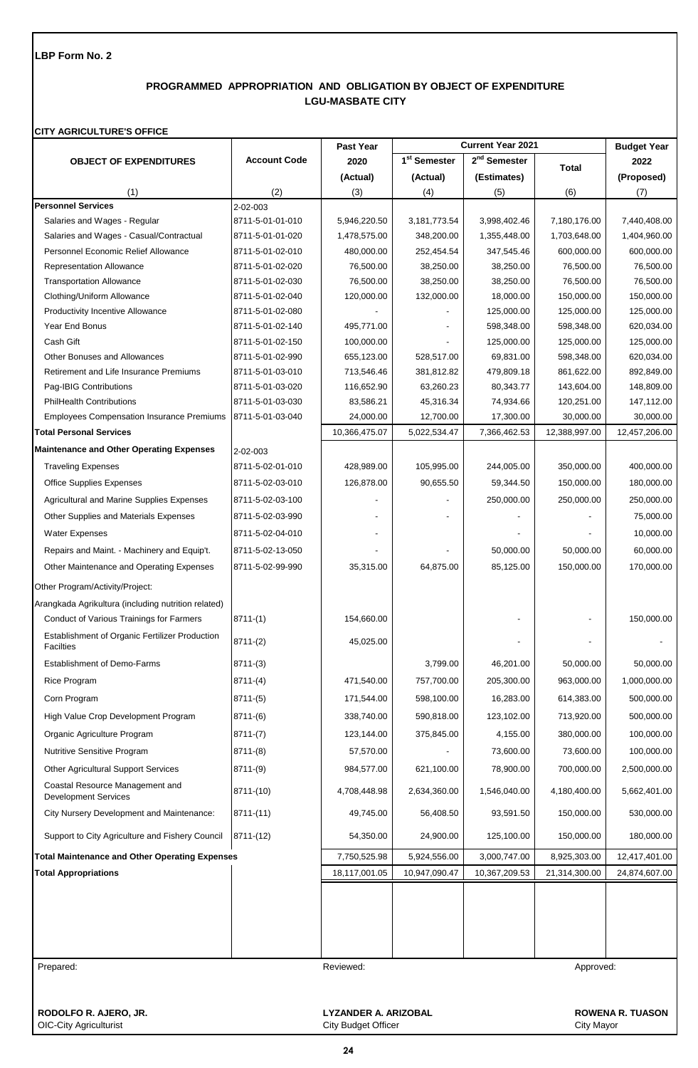# **PROGRAMMED APPROPRIATION AND OBLIGATION BY OBJECT OF EXPENDITURE LGU-MASBATE CITY**

### **CITY AGRICULTURE'S OFFICE**

|                                                                    |                     | Past Year     |                          | <b>Current Year 2021</b> |               | <b>Budget Year</b> |
|--------------------------------------------------------------------|---------------------|---------------|--------------------------|--------------------------|---------------|--------------------|
| <b>OBJECT OF EXPENDITURES</b>                                      | <b>Account Code</b> | 2020          | 1 <sup>st</sup> Semester | 2 <sup>nd</sup> Semester | <b>Total</b>  | 2022               |
|                                                                    |                     | (Actual)      | (Actual)                 | (Estimates)              |               | (Proposed)         |
| (1)                                                                | (2)                 | (3)           | (4)                      | (5)                      | (6)           | (7)                |
| <b>Personnel Services</b>                                          | 2-02-003            |               |                          |                          |               |                    |
| Salaries and Wages - Regular                                       | 8711-5-01-01-010    | 5,946,220.50  | 3,181,773.54             | 3,998,402.46             | 7,180,176.00  | 7,440,408.00       |
| Salaries and Wages - Casual/Contractual                            | 8711-5-01-01-020    | 1,478,575.00  | 348,200.00               | 1,355,448.00             | 1,703,648.00  | 1,404,960.00       |
| Personnel Economic Relief Allowance                                | 8711-5-01-02-010    | 480,000.00    | 252,454.54               | 347,545.46               | 600,000.00    | 600,000.00         |
| Representation Allowance                                           | 8711-5-01-02-020    | 76,500.00     | 38,250.00                | 38,250.00                | 76,500.00     | 76,500.00          |
| <b>Transportation Allowance</b>                                    | 8711-5-01-02-030    | 76,500.00     | 38,250.00                | 38,250.00                | 76,500.00     | 76,500.00          |
| Clothing/Uniform Allowance                                         | 8711-5-01-02-040    | 120,000.00    | 132,000.00               | 18,000.00                | 150,000.00    | 150,000.00         |
| Productivity Incentive Allowance                                   | 8711-5-01-02-080    |               |                          | 125,000.00               | 125,000.00    | 125,000.00         |
| Year End Bonus                                                     | 8711-5-01-02-140    | 495,771.00    |                          | 598,348.00               | 598,348.00    | 620,034.00         |
| Cash Gift                                                          | 8711-5-01-02-150    | 100,000.00    |                          | 125,000.00               | 125,000.00    | 125,000.00         |
| Other Bonuses and Allowances                                       | 8711-5-01-02-990    | 655,123.00    | 528,517.00               | 69,831.00                | 598,348.00    | 620,034.00         |
| Retirement and Life Insurance Premiums                             | 8711-5-01-03-010    | 713,546.46    | 381,812.82               | 479,809.18               | 861,622.00    | 892,849.00         |
| Pag-IBIG Contributions                                             | 8711-5-01-03-020    | 116,652.90    | 63,260.23                | 80,343.77                | 143,604.00    | 148,809.00         |
| <b>PhilHealth Contributions</b>                                    | 8711-5-01-03-030    | 83,586.21     | 45,316.34                | 74,934.66                | 120,251.00    | 147,112.00         |
| <b>Employees Compensation Insurance Premiums</b>                   | 8711-5-01-03-040    | 24,000.00     | 12,700.00                | 17,300.00                | 30,000.00     | 30,000.00          |
| <b>Total Personal Services</b>                                     |                     | 10,366,475.07 | 5,022,534.47             | 7,366,462.53             | 12,388,997.00 | 12,457,206.00      |
| <b>Maintenance and Other Operating Expenses</b>                    | 2-02-003            |               |                          |                          |               |                    |
| <b>Traveling Expenses</b>                                          | 8711-5-02-01-010    | 428,989.00    | 105,995.00               | 244,005.00               | 350,000.00    | 400,000.00         |
| <b>Office Supplies Expenses</b>                                    | 8711-5-02-03-010    | 126,878.00    | 90,655.50                | 59,344.50                | 150,000.00    | 180,000.00         |
| Agricultural and Marine Supplies Expenses                          | 8711-5-02-03-100    |               |                          | 250,000.00               | 250,000.00    | 250,000.00         |
| Other Supplies and Materials Expenses                              | 8711-5-02-03-990    |               |                          |                          |               | 75,000.00          |
|                                                                    |                     |               |                          |                          |               |                    |
| <b>Water Expenses</b>                                              | 8711-5-02-04-010    |               |                          |                          |               | 10,000.00          |
| Repairs and Maint. - Machinery and Equip't.                        | 8711-5-02-13-050    |               |                          | 50,000.00                | 50,000.00     | 60,000.00          |
| Other Maintenance and Operating Expenses                           | 8711-5-02-99-990    | 35,315.00     | 64,875.00                | 85,125.00                | 150,000.00    | 170,000.00         |
| Other Program/Activity/Project:                                    |                     |               |                          |                          |               |                    |
| Arangkada Agrikultura (including nutrition related)                |                     |               |                          |                          |               |                    |
| Conduct of Various Trainings for Farmers                           | $8711-(1)$          | 154,660.00    |                          |                          |               | 150,000.00         |
| Establishment of Organic Fertilizer Production<br><b>Facilties</b> | $8711-(2)$          | 45,025.00     |                          |                          |               |                    |
| <b>Establishment of Demo-Farms</b>                                 | $8711-(3)$          |               | 3,799.00                 | 46,201.00                | 50,000.00     | 50,000.00          |
| <b>Rice Program</b>                                                | $8711-(4)$          | 471,540.00    | 757,700.00               | 205,300.00               | 963,000.00    | 1,000,000.00       |
|                                                                    |                     | 171,544.00    |                          |                          |               | 500,000.00         |
| Corn Program                                                       | $8711-(5)$          |               | 598,100.00               | 16,283.00                | 614,383.00    |                    |
| High Value Crop Development Program                                | $8711-(6)$          | 338,740.00    | 590,818.00               | 123,102.00               | 713,920.00    | 500,000.00         |
| Organic Agriculture Program                                        | $8711-(7)$          | 123,144.00    | 375,845.00               | 4,155.00                 | 380,000.00    | 100,000.00         |
| Nutritive Sensitive Program                                        | 8711-(8)            | 57,570.00     |                          | 73,600.00                | 73,600.00     | 100,000.00         |
| Other Agricultural Support Services                                | 8711-(9)            | 984,577.00    | 621,100.00               | 78,900.00                | 700,000.00    | 2,500,000.00       |
| Coastal Resource Management and<br><b>Development Services</b>     | 8711-(10)           | 4,708,448.98  | 2,634,360.00             | 1,546,040.00             | 4,180,400.00  | 5,662,401.00       |
| City Nursery Development and Maintenance:                          | $8711-(11)$         | 49,745.00     | 56,408.50                | 93,591.50                | 150,000.00    | 530,000.00         |
| Support to City Agriculture and Fishery Council                    | 8711-(12)           | 54,350.00     | 24,900.00                | 125,100.00               | 150,000.00    | 180,000.00         |
| <b>Total Maintenance and Other Operating Expenses</b>              |                     | 7,750,525.98  | 5,924,556.00             | 3,000,747.00             | 8,925,303.00  | 12,417,401.00      |
| <b>Total Appropriations</b>                                        |                     | 18,117,001.05 | 10,947,090.47            | 10,367,209.53            | 21,314,300.00 | 24,874,607.00      |
|                                                                    |                     |               |                          |                          |               |                    |
| Prepared:                                                          |                     | Reviewed:     |                          |                          | Approved:     |                    |

OIC-City Agriculturist

**RODOLFO R. AJERO, JR. LYZANDER A. ARIZOBAL ROWENA R. TUASON**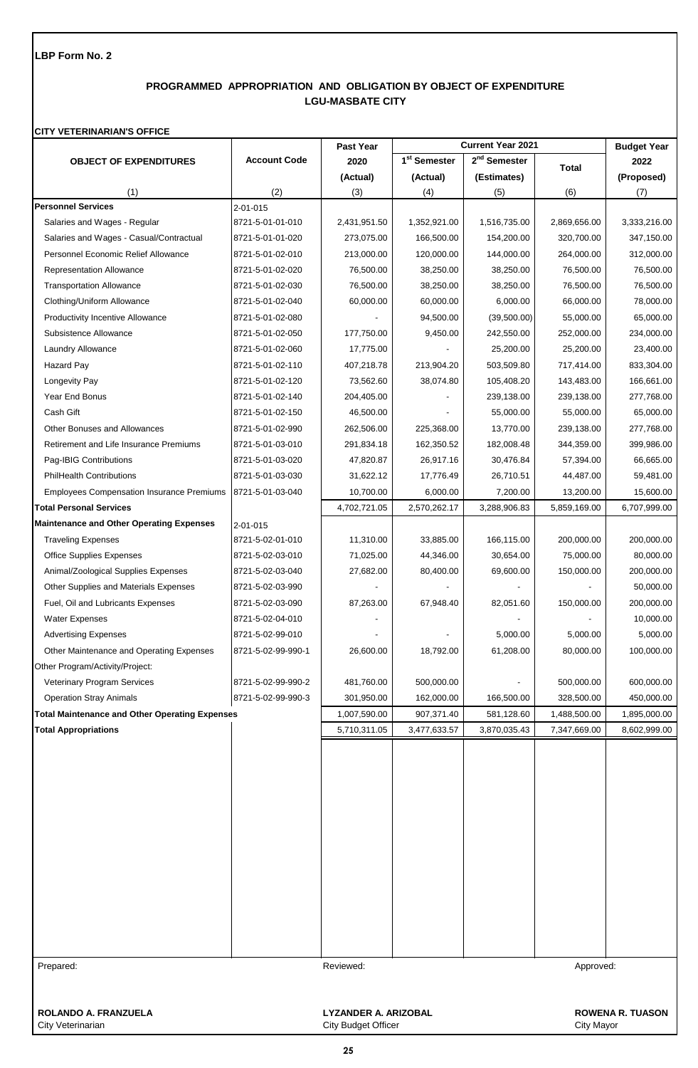# **PROGRAMMED APPROPRIATION AND OBLIGATION BY OBJECT OF EXPENDITURE LGU-MASBATE CITY**

## **CITY VETERINARIAN'S OFFICE**

|                                                       |                     | Past Year                   |                          | <b>Current Year 2021</b> |              | <b>Budget Year</b>      |
|-------------------------------------------------------|---------------------|-----------------------------|--------------------------|--------------------------|--------------|-------------------------|
| <b>OBJECT OF EXPENDITURES</b>                         | <b>Account Code</b> | 2020                        | 1 <sup>st</sup> Semester | $2nd$ Semester           | <b>Total</b> | 2022                    |
|                                                       |                     | (Actual)                    | (Actual)                 | (Estimates)              |              | (Proposed)              |
| (1)                                                   | (2)                 | (3)                         | (4)                      | (5)                      | (6)          | (7)                     |
| <b>Personnel Services</b>                             | 2-01-015            |                             |                          |                          |              |                         |
| Salaries and Wages - Regular                          | 8721-5-01-01-010    | 2,431,951.50                | 1,352,921.00             | 1,516,735.00             | 2,869,656.00 | 3,333,216.00            |
| Salaries and Wages - Casual/Contractual               | 8721-5-01-01-020    | 273,075.00                  | 166,500.00               | 154,200.00               | 320,700.00   | 347,150.00              |
| Personnel Economic Relief Allowance                   | 8721-5-01-02-010    | 213,000.00                  | 120,000.00               | 144,000.00               | 264,000.00   | 312,000.00              |
| <b>Representation Allowance</b>                       | 8721-5-01-02-020    | 76,500.00                   | 38,250.00                | 38,250.00                | 76,500.00    | 76,500.00               |
| <b>Transportation Allowance</b>                       | 8721-5-01-02-030    | 76,500.00                   | 38,250.00                | 38,250.00                | 76,500.00    | 76,500.00               |
| Clothing/Uniform Allowance                            | 8721-5-01-02-040    | 60,000.00                   | 60,000.00                | 6,000.00                 | 66,000.00    | 78,000.00               |
| <b>Productivity Incentive Allowance</b>               | 8721-5-01-02-080    |                             | 94,500.00                | (39,500.00)              | 55,000.00    | 65,000.00               |
| Subsistence Allowance                                 | 8721-5-01-02-050    | 177,750.00                  | 9,450.00                 | 242,550.00               | 252,000.00   | 234,000.00              |
| Laundry Allowance                                     | 8721-5-01-02-060    | 17,775.00                   |                          | 25,200.00                | 25,200.00    | 23,400.00               |
| <b>Hazard Pay</b>                                     | 8721-5-01-02-110    | 407,218.78                  | 213,904.20               | 503,509.80               | 717,414.00   | 833,304.00              |
| Longevity Pay                                         | 8721-5-01-02-120    | 73,562.60                   | 38,074.80                | 105,408.20               | 143,483.00   | 166,661.00              |
| Year End Bonus                                        | 8721-5-01-02-140    | 204,405.00                  |                          | 239,138.00               | 239,138.00   | 277,768.00              |
| Cash Gift                                             | 8721-5-01-02-150    | 46,500.00                   |                          | 55,000.00                | 55,000.00    | 65,000.00               |
| Other Bonuses and Allowances                          | 8721-5-01-02-990    | 262,506.00                  | 225,368.00               | 13,770.00                | 239,138.00   | 277,768.00              |
| Retirement and Life Insurance Premiums                | 8721-5-01-03-010    | 291,834.18                  | 162,350.52               | 182,008.48               | 344,359.00   | 399,986.00              |
| Pag-IBIG Contributions                                | 8721-5-01-03-020    | 47,820.87                   | 26,917.16                | 30,476.84                | 57,394.00    | 66,665.00               |
| <b>PhilHealth Contributions</b>                       | 8721-5-01-03-030    | 31,622.12                   | 17,776.49                | 26,710.51                | 44,487.00    | 59,481.00               |
| <b>Employees Compensation Insurance Premiums</b>      | 8721-5-01-03-040    | 10,700.00                   | 6,000.00                 | 7,200.00                 | 13,200.00    | 15,600.00               |
| <b>Total Personal Services</b>                        |                     | 4,702,721.05                | 2,570,262.17             | 3,288,906.83             | 5,859,169.00 | 6,707,999.00            |
| <b>Maintenance and Other Operating Expenses</b>       | 2-01-015            |                             |                          |                          |              |                         |
| <b>Traveling Expenses</b>                             | 8721-5-02-01-010    | 11,310.00                   | 33,885.00                | 166,115.00               | 200,000.00   | 200,000.00              |
| <b>Office Supplies Expenses</b>                       | 8721-5-02-03-010    | 71,025.00                   | 44,346.00                | 30,654.00                | 75,000.00    | 80,000.00               |
| Animal/Zoological Supplies Expenses                   | 8721-5-02-03-040    | 27,682.00                   | 80,400.00                | 69,600.00                | 150,000.00   | 200,000.00              |
| Other Supplies and Materials Expenses                 | 8721-5-02-03-990    |                             |                          |                          |              | 50,000.00               |
| Fuel, Oil and Lubricants Expenses                     | 8721-5-02-03-090    | 87,263.00                   | 67,948.40                | 82,051.60                | 150,000.00   | 200,000.00              |
| Water Expenses                                        | 8721-5-02-04-010    |                             |                          |                          |              | 10,000.00               |
| <b>Advertising Expenses</b>                           | 8721-5-02-99-010    |                             |                          | 5,000.00                 | 5,000.00     | 5,000.00                |
| Other Maintenance and Operating Expenses              | 8721-5-02-99-990-1  | 26,600.00                   | 18,792.00                | 61,208.00                | 80,000.00    | 100,000.00              |
| Other Program/Activity/Project:                       |                     |                             |                          |                          |              |                         |
| Veterinary Program Services                           | 8721-5-02-99-990-2  | 481,760.00                  | 500,000.00               |                          | 500,000.00   | 600,000.00              |
| <b>Operation Stray Animals</b>                        | 8721-5-02-99-990-3  | 301,950.00                  | 162,000.00               | 166,500.00               | 328,500.00   | 450,000.00              |
| <b>Total Maintenance and Other Operating Expenses</b> |                     | 1,007,590.00                | 907,371.40               | 581,128.60               | 1,488,500.00 | 1,895,000.00            |
| <b>Total Appropriations</b>                           |                     | 5,710,311.05                | 3,477,633.57             | 3,870,035.43             | 7,347,669.00 | 8,602,999.00            |
|                                                       |                     |                             |                          |                          |              |                         |
|                                                       |                     |                             |                          |                          |              |                         |
|                                                       |                     |                             |                          |                          |              |                         |
|                                                       |                     |                             |                          |                          |              |                         |
|                                                       |                     |                             |                          |                          |              |                         |
|                                                       |                     |                             |                          |                          |              |                         |
|                                                       |                     |                             |                          |                          |              |                         |
|                                                       |                     |                             |                          |                          |              |                         |
|                                                       |                     |                             |                          |                          |              |                         |
|                                                       |                     |                             |                          |                          |              |                         |
|                                                       |                     |                             |                          |                          |              |                         |
|                                                       |                     |                             |                          |                          |              |                         |
|                                                       |                     |                             |                          |                          |              |                         |
|                                                       |                     |                             |                          |                          |              |                         |
| Prepared:                                             |                     | Reviewed:                   |                          |                          | Approved:    |                         |
|                                                       |                     |                             |                          |                          |              |                         |
|                                                       |                     |                             |                          |                          |              |                         |
| ROLANDO A. FRANZUELA                                  |                     | <b>LYZANDER A. ARIZOBAL</b> |                          |                          |              | <b>ROWENA R. TUASON</b> |
| City Veterinarian                                     |                     | <b>City Budget Officer</b>  |                          |                          | City Mayor   |                         |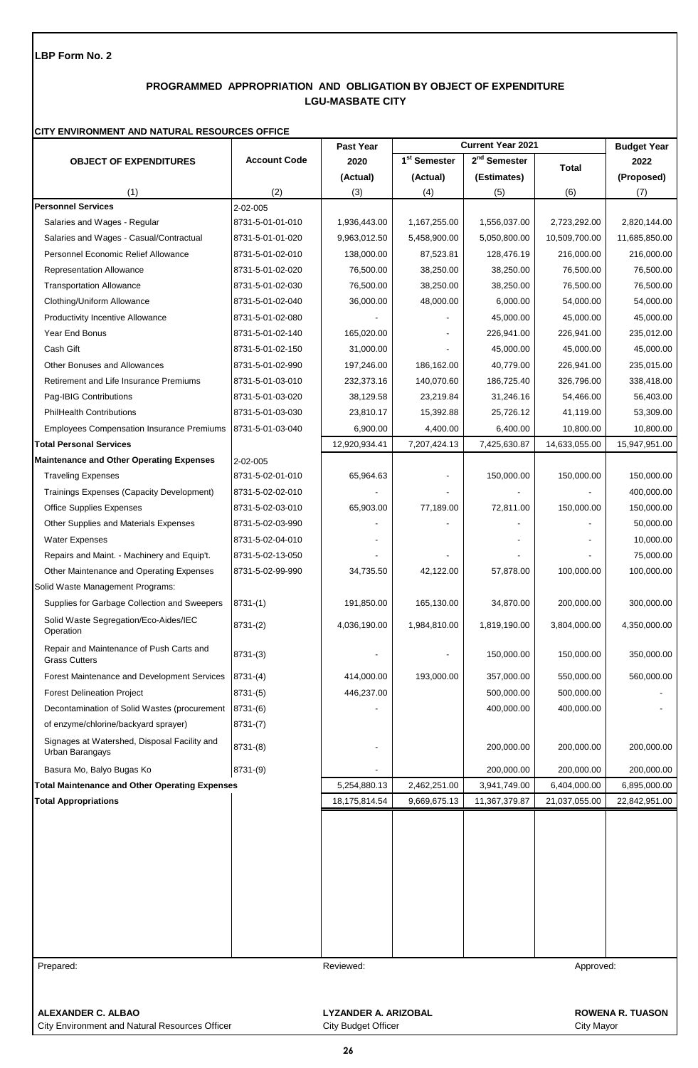# **PROGRAMMED APPROPRIATION AND OBLIGATION BY OBJECT OF EXPENDITURE LGU-MASBATE CITY**

#### **CITY ENVIRONMENT AND NATURAL RESOURCES OFFICE**

|                                                                  |                                                        | Past Year     |                          | <b>Current Year 2021</b> |               | <b>Budget Year</b> |  |
|------------------------------------------------------------------|--------------------------------------------------------|---------------|--------------------------|--------------------------|---------------|--------------------|--|
| <b>OBJECT OF EXPENDITURES</b>                                    | <b>Account Code</b>                                    | 2020          | 1 <sup>st</sup> Semester | 2 <sup>nd</sup> Semester | <b>Total</b>  | 2022               |  |
|                                                                  |                                                        | (Actual)      | (Actual)                 | (Estimates)              |               | (Proposed)         |  |
| (1)                                                              | (2)                                                    | (3)           | (4)                      | (5)                      | (6)           | (7)                |  |
| <b>Personnel Services</b>                                        | 2-02-005                                               |               |                          |                          |               |                    |  |
| Salaries and Wages - Regular                                     | 8731-5-01-01-010                                       | 1,936,443.00  | 1,167,255.00             | 1,556,037.00             | 2,723,292.00  | 2,820,144.00       |  |
| Salaries and Wages - Casual/Contractual                          | 8731-5-01-01-020                                       | 9,963,012.50  | 5,458,900.00             | 5,050,800.00             | 10,509,700.00 | 11,685,850.00      |  |
| Personnel Economic Relief Allowance                              | 8731-5-01-02-010                                       | 138,000.00    | 87,523.81                | 128,476.19               | 216,000.00    | 216,000.00         |  |
| <b>Representation Allowance</b>                                  | 8731-5-01-02-020                                       | 76,500.00     | 38,250.00                | 38,250.00                | 76,500.00     | 76,500.00          |  |
| <b>Transportation Allowance</b>                                  | 8731-5-01-02-030                                       | 76,500.00     | 38,250.00                | 38,250.00                | 76,500.00     | 76,500.00          |  |
| Clothing/Uniform Allowance                                       | 8731-5-01-02-040                                       | 36,000.00     | 48,000.00                | 6,000.00                 | 54,000.00     | 54,000.00          |  |
| <b>Productivity Incentive Allowance</b>                          | 8731-5-01-02-080                                       |               |                          | 45,000.00                | 45,000.00     | 45,000.00          |  |
| Year End Bonus                                                   | 8731-5-01-02-140                                       | 165,020.00    |                          | 226,941.00               | 226,941.00    | 235,012.00         |  |
| Cash Gift                                                        | 8731-5-01-02-150                                       | 31,000.00     |                          | 45,000.00                | 45,000.00     | 45,000.00          |  |
| Other Bonuses and Allowances                                     | 8731-5-01-02-990                                       | 197,246.00    | 186,162.00               | 40,779.00                | 226,941.00    | 235,015.00         |  |
| Retirement and Life Insurance Premiums                           | 8731-5-01-03-010                                       | 232,373.16    | 140,070.60               | 186,725.40               | 326,796.00    | 338,418.00         |  |
| Pag-IBIG Contributions                                           | 8731-5-01-03-020                                       | 38,129.58     | 23,219.84                | 31,246.16                | 54,466.00     | 56,403.00          |  |
| <b>PhilHealth Contributions</b>                                  | 8731-5-01-03-030                                       | 23,810.17     | 15,392.88                | 25,726.12                | 41,119.00     | 53,309.00          |  |
| <b>Employees Compensation Insurance Premiums</b>                 | 8731-5-01-03-040                                       | 6,900.00      | 4,400.00                 | 6,400.00                 | 10,800.00     | 10,800.00          |  |
| <b>Total Personal Services</b>                                   |                                                        | 12,920,934.41 | 7,207,424.13             | 7,425,630.87             | 14,633,055.00 | 15,947,951.00      |  |
| <b>Maintenance and Other Operating Expenses</b>                  | 2-02-005                                               |               |                          |                          |               |                    |  |
| <b>Traveling Expenses</b>                                        | 8731-5-02-01-010                                       | 65,964.63     |                          | 150,000.00               | 150,000.00    | 150,000.00         |  |
| Trainings Expenses (Capacity Development)                        | 8731-5-02-02-010                                       |               |                          |                          |               | 400,000.00         |  |
| <b>Office Supplies Expenses</b>                                  | 8731-5-02-03-010                                       | 65,903.00     | 77,189.00                | 72,811.00                | 150,000.00    | 150,000.00         |  |
| Other Supplies and Materials Expenses                            | 8731-5-02-03-990                                       |               |                          |                          |               | 50,000.00          |  |
| <b>Water Expenses</b>                                            | 8731-5-02-04-010                                       |               |                          |                          |               | 10,000.00          |  |
| Repairs and Maint. - Machinery and Equip't.                      | 8731-5-02-13-050                                       |               |                          |                          |               | 75,000.00          |  |
| Other Maintenance and Operating Expenses                         | 8731-5-02-99-990                                       | 34,735.50     | 42,122.00                | 57,878.00                | 100,000.00    | 100,000.00         |  |
| Solid Waste Management Programs:                                 |                                                        |               |                          |                          |               |                    |  |
| Supplies for Garbage Collection and Sweepers                     | $8731-(1)$                                             | 191,850.00    | 165,130.00               | 34,870.00                | 200,000.00    | 300,000.00         |  |
| Solid Waste Segregation/Eco-Aides/IEC<br>Operation               | $8731-(2)$                                             | 4,036,190.00  | 1,984,810.00             | 1,819,190.00             | 3,804,000.00  | 4,350,000.00       |  |
| Repair and Maintenance of Push Carts and<br><b>Grass Cutters</b> | $8731-(3)$                                             |               |                          | 150,000.00               | 150,000.00    | 350,000.00         |  |
| Forest Maintenance and Development Services                      | $8731-(4)$                                             | 414,000.00    | 193,000.00               | 357,000.00               | 550,000.00    | 560,000.00         |  |
| <b>Forest Delineation Project</b>                                | $8731-(5)$                                             | 446,237.00    |                          | 500,000.00               | 500,000.00    |                    |  |
| Decontamination of Solid Wastes (procurement                     | $8731-(6)$                                             |               |                          | 400,000.00               | 400,000.00    |                    |  |
| of enzyme/chlorine/backyard sprayer)                             | $8731-(7)$                                             |               |                          |                          |               |                    |  |
| Signages at Watershed, Disposal Facility and<br>Urban Barangays  | $8731-(8)$                                             |               |                          | 200,000.00               | 200,000.00    | 200,000.00         |  |
| Basura Mo, Balyo Bugas Ko                                        | $8731-(9)$                                             |               |                          | 200,000.00               | 200,000.00    | 200,000.00         |  |
| <b>Total Maintenance and Other Operating Expenses</b>            |                                                        | 5,254,880.13  | 2,462,251.00             | 3,941,749.00             | 6,404,000.00  | 6,895,000.00       |  |
| <b>Total Appropriations</b>                                      |                                                        | 18,175,814.54 | 9,669,675.13             | 11,367,379.87            | 21,037,055.00 | 22,842,951.00      |  |
|                                                                  |                                                        |               |                          |                          |               |                    |  |
|                                                                  |                                                        |               |                          |                          |               |                    |  |
|                                                                  |                                                        |               |                          |                          |               |                    |  |
|                                                                  |                                                        |               |                          |                          |               |                    |  |
|                                                                  |                                                        |               |                          |                          |               |                    |  |
|                                                                  |                                                        |               |                          |                          |               |                    |  |
|                                                                  |                                                        |               |                          |                          |               |                    |  |
|                                                                  |                                                        |               |                          |                          |               |                    |  |
|                                                                  |                                                        |               |                          |                          |               |                    |  |
|                                                                  |                                                        |               |                          |                          |               |                    |  |
| Prepared:                                                        | Approved:<br>Reviewed:                                 |               |                          |                          |               |                    |  |
|                                                                  |                                                        |               |                          |                          |               |                    |  |
| ALEXANDER C. ALBAO                                               | <b>LYZANDER A. ARIZOBAL</b><br><b>ROWENA R. TUASON</b> |               |                          |                          |               |                    |  |

City Environment and Natural Resources Officer City City Budget Officer City City Mayor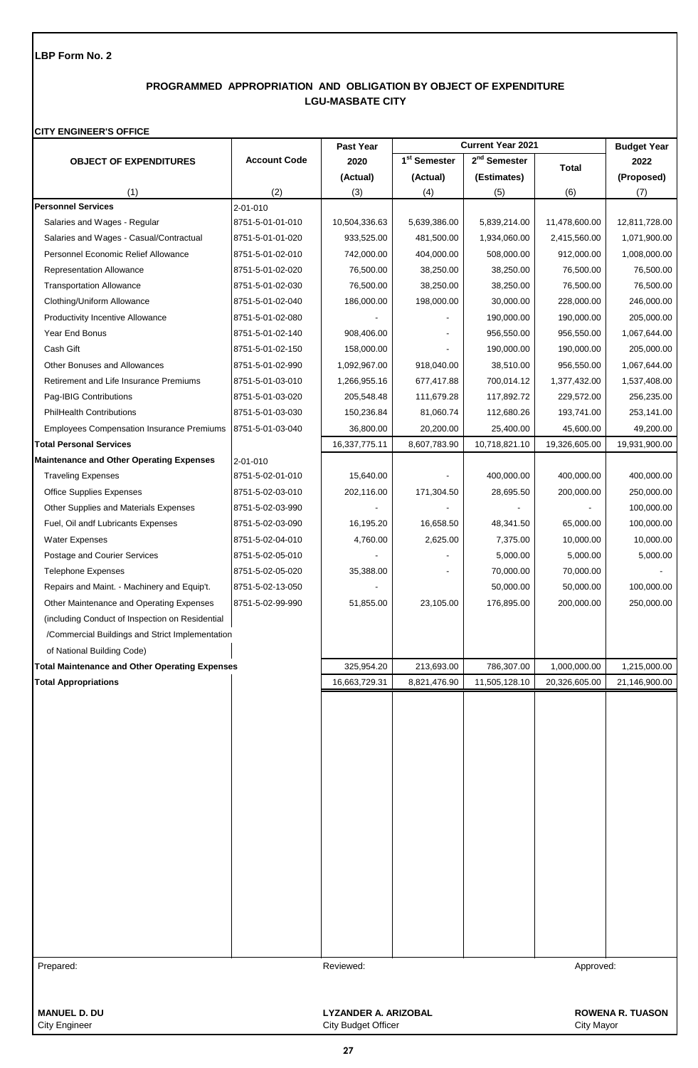# **PROGRAMMED APPROPRIATION AND OBLIGATION BY OBJECT OF EXPENDITURE LGU-MASBATE CITY**

### **CITY ENGINEER'S OFFICE**

|                                                       | <b>Current Year 2021</b><br><b>Past Year</b> |                      |                          | <b>Budget Year</b>       |               |                         |
|-------------------------------------------------------|----------------------------------------------|----------------------|--------------------------|--------------------------|---------------|-------------------------|
| <b>OBJECT OF EXPENDITURES</b>                         | <b>Account Code</b>                          | 2020                 | 1 <sup>st</sup> Semester | 2 <sup>nd</sup> Semester | <b>Total</b>  | 2022                    |
|                                                       |                                              | (Actual)             | (Actual)                 | (Estimates)              |               | (Proposed)              |
| (1)                                                   | (2)                                          | (3)                  | (4)                      | (5)                      | (6)           | (7)                     |
| <b>Personnel Services</b>                             | 2-01-010                                     |                      |                          |                          |               |                         |
| Salaries and Wages - Regular                          | 8751-5-01-01-010                             | 10,504,336.63        | 5,639,386.00             | 5,839,214.00             | 11,478,600.00 | 12,811,728.00           |
| Salaries and Wages - Casual/Contractual               | 8751-5-01-01-020                             | 933,525.00           | 481,500.00               | 1,934,060.00             | 2,415,560.00  | 1,071,900.00            |
| Personnel Economic Relief Allowance                   | 8751-5-01-02-010                             | 742,000.00           | 404,000.00               | 508,000.00               | 912,000.00    | 1,008,000.00            |
| <b>Representation Allowance</b>                       | 8751-5-01-02-020                             | 76,500.00            | 38,250.00                | 38,250.00                | 76,500.00     | 76,500.00               |
| <b>Transportation Allowance</b>                       | 8751-5-01-02-030                             | 76,500.00            | 38,250.00                | 38,250.00                | 76,500.00     | 76,500.00               |
| Clothing/Uniform Allowance                            | 8751-5-01-02-040                             | 186,000.00           | 198,000.00               | 30,000.00                | 228,000.00    | 246,000.00              |
| <b>Productivity Incentive Allowance</b>               | 8751-5-01-02-080                             |                      |                          | 190,000.00               | 190,000.00    | 205,000.00              |
| Year End Bonus                                        | 8751-5-01-02-140                             | 908,406.00           |                          | 956,550.00               | 956,550.00    | 1,067,644.00            |
| Cash Gift                                             | 8751-5-01-02-150                             | 158,000.00           |                          | 190,000.00               | 190,000.00    | 205,000.00              |
| Other Bonuses and Allowances                          | 8751-5-01-02-990                             | 1,092,967.00         | 918,040.00               | 38,510.00                | 956,550.00    | 1,067,644.00            |
| Retirement and Life Insurance Premiums                | 8751-5-01-03-010                             | 1,266,955.16         | 677,417.88               | 700,014.12               | 1,377,432.00  | 1,537,408.00            |
| Pag-IBIG Contributions                                | 8751-5-01-03-020                             | 205,548.48           | 111,679.28               | 117,892.72               | 229,572.00    | 256,235.00              |
| <b>PhilHealth Contributions</b>                       | 8751-5-01-03-030                             | 150,236.84           | 81,060.74                | 112,680.26               | 193,741.00    | 253,141.00              |
| <b>Employees Compensation Insurance Premiums</b>      | 8751-5-01-03-040                             | 36,800.00            | 20,200.00                | 25,400.00                | 45,600.00     | 49,200.00               |
| <b>Total Personal Services</b>                        |                                              | 16,337,775.11        | 8,607,783.90             | 10,718,821.10            | 19,326,605.00 | 19,931,900.00           |
| <b>Maintenance and Other Operating Expenses</b>       | 2-01-010                                     |                      |                          |                          |               |                         |
| <b>Traveling Expenses</b>                             | 8751-5-02-01-010                             | 15,640.00            |                          | 400,000.00               | 400,000.00    | 400,000.00              |
| <b>Office Supplies Expenses</b>                       | 8751-5-02-03-010                             | 202,116.00           | 171,304.50               | 28,695.50                | 200,000.00    | 250,000.00              |
| Other Supplies and Materials Expenses                 | 8751-5-02-03-990                             |                      |                          |                          |               | 100,000.00              |
| Fuel, Oil andf Lubricants Expenses                    | 8751-5-02-03-090                             | 16,195.20            | 16,658.50                | 48,341.50                | 65,000.00     | 100,000.00              |
| <b>Water Expenses</b>                                 | 8751-5-02-04-010                             | 4,760.00             | 2,625.00                 | 7,375.00                 | 10,000.00     | 10,000.00               |
| Postage and Courier Services                          | 8751-5-02-05-010                             |                      |                          | 5,000.00                 | 5,000.00      | 5,000.00                |
| <b>Telephone Expenses</b>                             | 8751-5-02-05-020                             | 35,388.00            |                          | 70,000.00                | 70,000.00     |                         |
| Repairs and Maint. - Machinery and Equip't.           | 8751-5-02-13-050                             |                      |                          | 50,000.00                | 50,000.00     | 100,000.00              |
| Other Maintenance and Operating Expenses              | 8751-5-02-99-990                             | 51,855.00            | 23,105.00                | 176,895.00               | 200,000.00    | 250,000.00              |
| (including Conduct of Inspection on Residential       |                                              |                      |                          |                          |               |                         |
| /Commercial Buildings and Strict Implementation       |                                              |                      |                          |                          |               |                         |
| of National Building Code)                            |                                              |                      |                          |                          |               |                         |
| <b>Total Maintenance and Other Operating Expenses</b> |                                              | 325,954.20           | 213,693.00               | 786,307.00               | 1,000,000.00  | 1,215,000.00            |
| <b>Total Appropriations</b>                           |                                              | 16,663,729.31        | 8,821,476.90             | 11,505,128.10            | 20,326,605.00 | 21,146,900.00           |
|                                                       |                                              |                      |                          |                          |               |                         |
|                                                       |                                              |                      |                          |                          |               |                         |
|                                                       |                                              |                      |                          |                          |               |                         |
|                                                       |                                              |                      |                          |                          |               |                         |
|                                                       |                                              |                      |                          |                          |               |                         |
|                                                       |                                              |                      |                          |                          |               |                         |
|                                                       |                                              |                      |                          |                          |               |                         |
|                                                       |                                              |                      |                          |                          |               |                         |
|                                                       |                                              |                      |                          |                          |               |                         |
|                                                       |                                              |                      |                          |                          |               |                         |
|                                                       |                                              |                      |                          |                          |               |                         |
|                                                       |                                              |                      |                          |                          |               |                         |
|                                                       |                                              |                      |                          |                          |               |                         |
|                                                       |                                              |                      |                          |                          |               |                         |
|                                                       |                                              |                      |                          |                          |               |                         |
|                                                       |                                              |                      |                          |                          |               |                         |
|                                                       |                                              |                      |                          |                          |               |                         |
| Prepared:                                             |                                              | Reviewed:            |                          |                          | Approved:     |                         |
|                                                       |                                              |                      |                          |                          |               |                         |
|                                                       |                                              |                      |                          |                          |               |                         |
| <b>MANUEL D. DU</b>                                   |                                              | LYZANDER A. ARIZOBAL |                          |                          |               | <b>ROWENA R. TUASON</b> |
| City Engineer                                         |                                              | City Rudget Officer  |                          |                          | $Cth$ , Moyar |                         |

**27**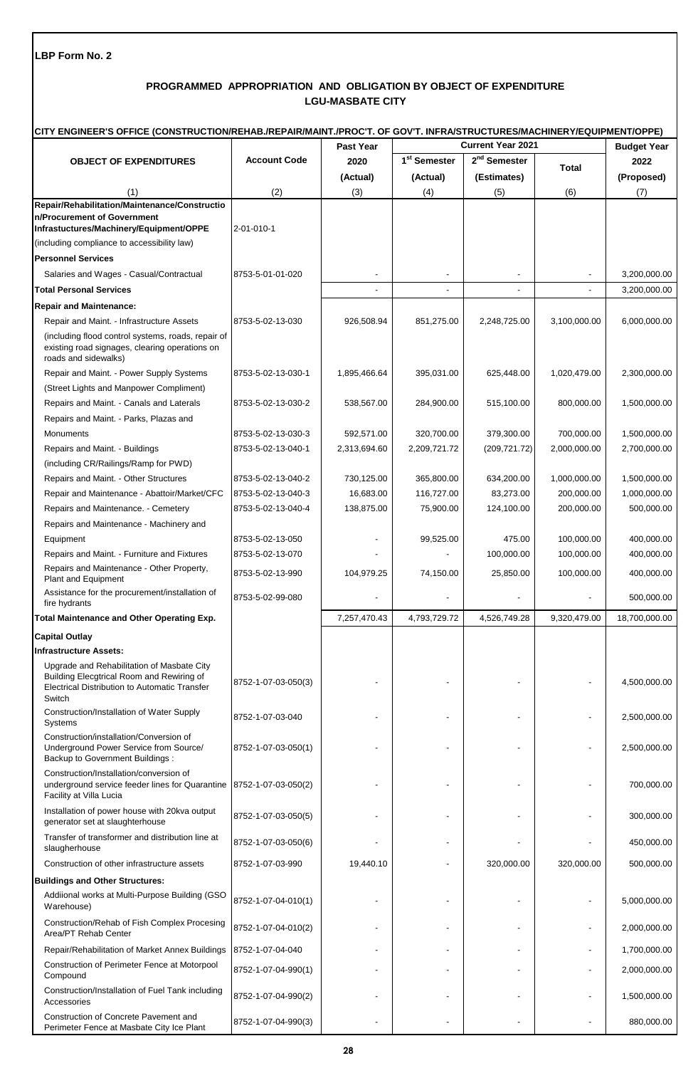# **PROGRAMMED APPROPRIATION AND OBLIGATION BY OBJECT OF EXPENDITURE LGU-MASBATE CITY**

|                                                                                                                                                           | CITY ENGINEER'S OFFICE (CONSTRUCTION/REHAB./REPAIR/MAINT./PROC'T. OF GOV'T. INFRA/STRUCTURES/MACHINERY/EQUIPMENT/OPPE) |                  |                          |                          |              |                    |  |  |
|-----------------------------------------------------------------------------------------------------------------------------------------------------------|------------------------------------------------------------------------------------------------------------------------|------------------|--------------------------|--------------------------|--------------|--------------------|--|--|
|                                                                                                                                                           |                                                                                                                        | <b>Past Year</b> | <b>Current Year 2021</b> |                          |              | <b>Budget Year</b> |  |  |
| <b>OBJECT OF EXPENDITURES</b>                                                                                                                             | <b>Account Code</b>                                                                                                    | 2020             | 1 <sup>st</sup> Semester | 2 <sup>nd</sup> Semester | Total        | 2022               |  |  |
|                                                                                                                                                           |                                                                                                                        | (Actual)         | (Actual)                 | (Estimates)              |              | (Proposed)         |  |  |
| (1)                                                                                                                                                       | (2)                                                                                                                    | (3)              | (4)                      | (5)                      | (6)          | (7)                |  |  |
| Repair/Rehabilitation/Maintenance/Constructio<br>n/Procurement of Government<br>Infrastuctures/Machinery/Equipment/OPPE                                   | 2-01-010-1                                                                                                             |                  |                          |                          |              |                    |  |  |
| (including compliance to accessibility law)                                                                                                               |                                                                                                                        |                  |                          |                          |              |                    |  |  |
| <b>Personnel Services</b>                                                                                                                                 |                                                                                                                        |                  |                          |                          |              |                    |  |  |
| Salaries and Wages - Casual/Contractual                                                                                                                   | 8753-5-01-01-020                                                                                                       |                  |                          |                          |              | 3,200,000.00       |  |  |
| <b>Total Personal Services</b>                                                                                                                            |                                                                                                                        |                  |                          |                          |              | 3,200,000.00       |  |  |
| <b>Repair and Maintenance:</b>                                                                                                                            |                                                                                                                        |                  |                          |                          |              |                    |  |  |
| Repair and Maint. - Infrastructure Assets                                                                                                                 | 8753-5-02-13-030                                                                                                       | 926,508.94       | 851,275.00               | 2,248,725.00             | 3,100,000.00 | 6,000,000.00       |  |  |
| (including flood control systems, roads, repair of<br>existing road signages, clearing operations on<br>roads and sidewalks)                              |                                                                                                                        |                  |                          |                          |              |                    |  |  |
| Repair and Maint. - Power Supply Systems                                                                                                                  | 8753-5-02-13-030-1                                                                                                     | 1,895,466.64     | 395,031.00               | 625,448.00               | 1,020,479.00 | 2,300,000.00       |  |  |
| (Street Lights and Manpower Compliment)                                                                                                                   |                                                                                                                        |                  |                          |                          |              |                    |  |  |
| Repairs and Maint. - Canals and Laterals                                                                                                                  | 8753-5-02-13-030-2                                                                                                     | 538,567.00       | 284,900.00               | 515,100.00               | 800,000.00   | 1,500,000.00       |  |  |
| Repairs and Maint. - Parks, Plazas and                                                                                                                    |                                                                                                                        |                  |                          |                          |              |                    |  |  |
| Monuments                                                                                                                                                 | 8753-5-02-13-030-3                                                                                                     | 592,571.00       | 320,700.00               | 379,300.00               | 700,000.00   | 1,500,000.00       |  |  |
| Repairs and Maint. - Buildings                                                                                                                            | 8753-5-02-13-040-1                                                                                                     | 2,313,694.60     | 2,209,721.72             | (209, 721.72)            | 2,000,000.00 | 2,700,000.00       |  |  |
| (including CR/Railings/Ramp for PWD)                                                                                                                      |                                                                                                                        |                  |                          |                          |              |                    |  |  |
| Repairs and Maint. - Other Structures                                                                                                                     | 8753-5-02-13-040-2                                                                                                     | 730,125.00       | 365,800.00               | 634,200.00               | 1,000,000.00 | 1,500,000.00       |  |  |
| Repair and Maintenance - Abattoir/Market/CFC                                                                                                              | 8753-5-02-13-040-3                                                                                                     | 16,683.00        | 116,727.00               | 83,273.00                | 200,000.00   | 1,000,000.00       |  |  |
| Repairs and Maintenance. - Cemetery                                                                                                                       | 8753-5-02-13-040-4                                                                                                     | 138,875.00       | 75,900.00                | 124,100.00               | 200,000.00   | 500,000.00         |  |  |
| Repairs and Maintenance - Machinery and                                                                                                                   |                                                                                                                        |                  |                          |                          |              |                    |  |  |
| Equipment                                                                                                                                                 | 8753-5-02-13-050                                                                                                       |                  | 99,525.00                | 475.00                   | 100,000.00   | 400,000.00         |  |  |
| Repairs and Maint. - Furniture and Fixtures                                                                                                               | 8753-5-02-13-070                                                                                                       |                  |                          | 100,000.00               | 100,000.00   | 400,000.00         |  |  |
| Repairs and Maintenance - Other Property,<br>Plant and Equipment                                                                                          | 8753-5-02-13-990                                                                                                       | 104,979.25       | 74,150.00                | 25,850.00                | 100,000.00   | 400,000.00         |  |  |
| Assistance for the procurement/installation of<br>fire hydrants                                                                                           | 8753-5-02-99-080                                                                                                       |                  |                          |                          |              | 500,000.00         |  |  |
| Total Maintenance and Other Operating Exp.                                                                                                                |                                                                                                                        | 7,257,470.43     | 4,793,729.72             | 4,526,749.28             | 9,320,479.00 | 18,700,000.00      |  |  |
| <b>Capital Outlay</b>                                                                                                                                     |                                                                                                                        |                  |                          |                          |              |                    |  |  |
| <b>Infrastructure Assets:</b>                                                                                                                             |                                                                                                                        |                  |                          |                          |              |                    |  |  |
| Upgrade and Rehabilitation of Masbate City<br>Building Elecgtrical Room and Rewiring of<br><b>Electrical Distribution to Automatic Transfer</b><br>Switch | 8752-1-07-03-050(3)                                                                                                    |                  |                          |                          |              | 4,500,000.00       |  |  |
| Construction/Installation of Water Supply<br>Systems                                                                                                      | 8752-1-07-03-040                                                                                                       |                  |                          |                          |              | 2,500,000.00       |  |  |
| Construction/installation/Conversion of<br>Underground Power Service from Source/<br><b>Backup to Government Buildings:</b>                               | 8752-1-07-03-050(1)                                                                                                    |                  |                          |                          |              | 2,500,000.00       |  |  |
| Construction/Installation/conversion of<br>underground service feeder lines for Quarantine<br>Facility at Villa Lucia                                     | 8752-1-07-03-050(2)                                                                                                    |                  |                          |                          |              | 700,000.00         |  |  |
| Installation of power house with 20kva output<br>generator set at slaughterhouse                                                                          | 8752-1-07-03-050(5)                                                                                                    |                  |                          |                          |              | 300,000.00         |  |  |
| Transfer of transformer and distribution line at<br>slaugherhouse                                                                                         | 8752-1-07-03-050(6)                                                                                                    |                  |                          |                          |              | 450,000.00         |  |  |
| Construction of other infrastructure assets                                                                                                               | 8752-1-07-03-990                                                                                                       | 19,440.10        |                          | 320,000.00               | 320,000.00   | 500,000.00         |  |  |
| <b>Buildings and Other Structures:</b>                                                                                                                    |                                                                                                                        |                  |                          |                          |              |                    |  |  |
| Addiional works at Multi-Purpose Building (GSO<br>Warehouse)                                                                                              | 8752-1-07-04-010(1)                                                                                                    |                  |                          |                          |              | 5,000,000.00       |  |  |
| Construction/Rehab of Fish Complex Procesing<br>Area/PT Rehab Center                                                                                      | 8752-1-07-04-010(2)                                                                                                    |                  |                          |                          |              | 2,000,000.00       |  |  |
| Repair/Rehabilitation of Market Annex Buildings                                                                                                           | 8752-1-07-04-040                                                                                                       |                  |                          |                          |              | 1,700,000.00       |  |  |
| Construction of Perimeter Fence at Motorpool<br>Compound                                                                                                  | 8752-1-07-04-990(1)                                                                                                    |                  |                          |                          |              | 2,000,000.00       |  |  |
| Construction/Installation of Fuel Tank including<br>Accessories                                                                                           | 8752-1-07-04-990(2)                                                                                                    |                  |                          |                          |              | 1,500,000.00       |  |  |
| Construction of Concrete Pavement and<br>Perimeter Fence at Masbate City Ice Plant                                                                        | 8752-1-07-04-990(3)                                                                                                    |                  |                          |                          |              | 880,000.00         |  |  |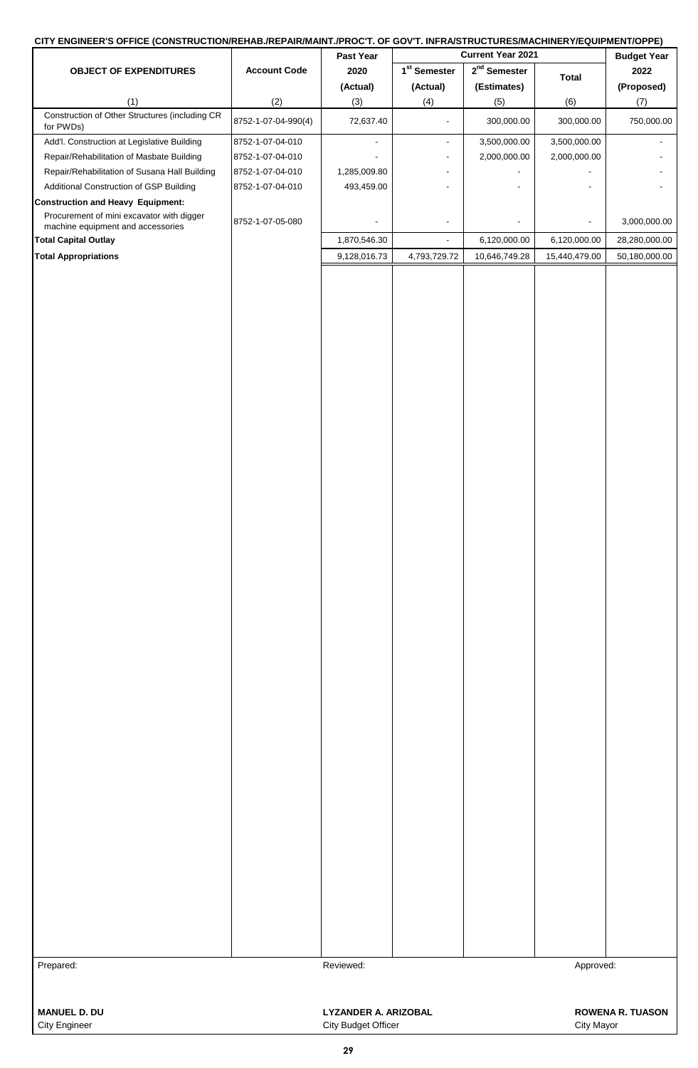# **CITY ENGINEER'S OFFICE (CONSTRUCTION/REHAB./REPAIR/MAINT./PROC'T. OF GOV'T. INFRA/STRUCTURES/MACHINERY/EQUIPMENT/OPPE)**

| -- ---<br>-----------------                                 |                     | Past Year                                          | _________<br>Current Year 2021 |                |               | <b>Budget Year</b>      |
|-------------------------------------------------------------|---------------------|----------------------------------------------------|--------------------------------|----------------|---------------|-------------------------|
| <b>OBJECT OF EXPENDITURES</b>                               | <b>Account Code</b> | 2020                                               | 1 <sup>st</sup> Semester       | $2nd$ Semester | <b>Total</b>  | 2022                    |
|                                                             |                     | (Actual)                                           | (Actual)                       | (Estimates)    |               | (Proposed)              |
| (1)                                                         | (2)                 | (3)                                                | (4)                            | (5)            | (6)           | (7)                     |
| Construction of Other Structures (including CR<br>for PWDs) | 8752-1-07-04-990(4) | 72,637.40                                          | $\overline{a}$                 | 300,000.00     | 300,000.00    | 750,000.00              |
| Add'l. Construction at Legislative Building                 | 8752-1-07-04-010    | $\blacksquare$                                     | $\overline{\phantom{a}}$       | 3,500,000.00   | 3,500,000.00  |                         |
| Repair/Rehabilitation of Masbate Building                   | 8752-1-07-04-010    |                                                    | $\overline{\phantom{a}}$       | 2,000,000.00   | 2,000,000.00  |                         |
| Repair/Rehabilitation of Susana Hall Building               | 8752-1-07-04-010    | 1,285,009.80                                       |                                |                |               |                         |
| Additional Construction of GSP Building                     | 8752-1-07-04-010    | 493,459.00                                         | $\overline{\phantom{a}}$       |                |               |                         |
| <b>Construction and Heavy Equipment:</b>                    |                     |                                                    |                                |                |               |                         |
| Procurement of mini excavator with digger                   | 8752-1-07-05-080    |                                                    | $\overline{\phantom{a}}$       |                |               | 3,000,000.00            |
| machine equipment and accessories                           |                     |                                                    |                                |                |               |                         |
| <b>Total Capital Outlay</b>                                 |                     | 1,870,546.30                                       | $\overline{\phantom{a}}$       | 6,120,000.00   | 6,120,000.00  | 28,280,000.00           |
| <b>Total Appropriations</b>                                 |                     | 9,128,016.73                                       | 4,793,729.72                   | 10,646,749.28  | 15,440,479.00 | 50,180,000.00           |
|                                                             |                     |                                                    |                                |                |               |                         |
| Prepared:                                                   |                     | Reviewed:                                          |                                |                | Approved:     |                         |
| <b>MANUEL D. DU</b><br><b>City Engineer</b>                 |                     | <b>LYZANDER A. ARIZOBAL</b><br>City Budget Officer |                                |                | City Mayor    | <b>ROWENA R. TUASON</b> |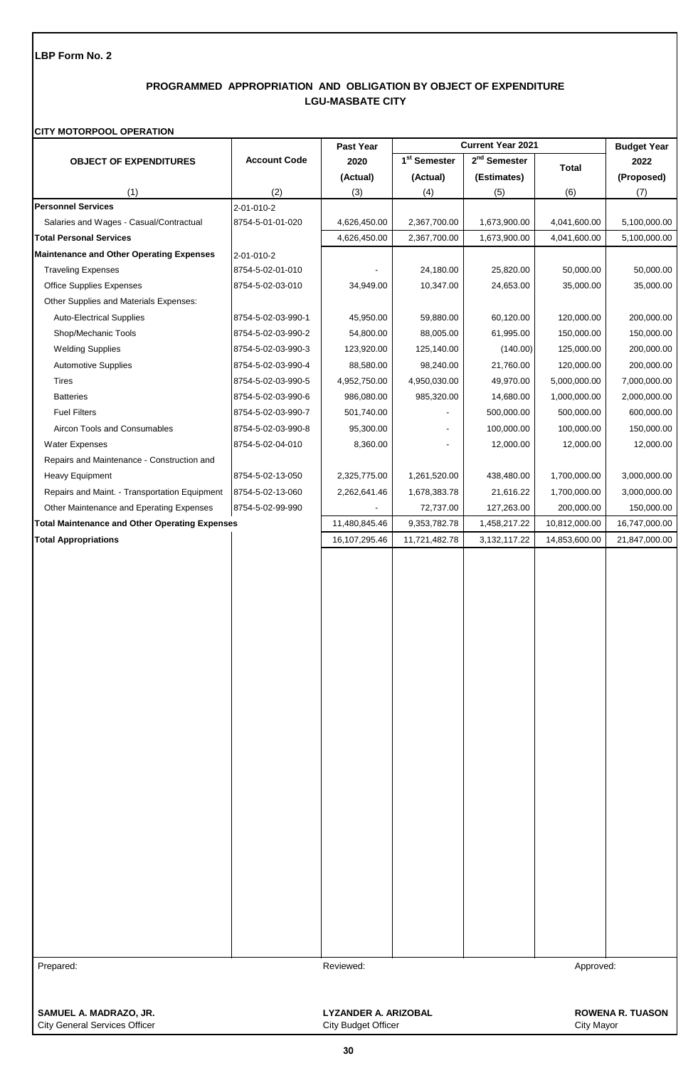# **PROGRAMMED APPROPRIATION AND OBLIGATION BY OBJECT OF EXPENDITURE LGU-MASBATE CITY**

### **CITY MOTORPOOL OPERATION**

|                                                       |                     | Past Year                   | Current Year 2021        |                          |               | <b>Budget Year</b>      |
|-------------------------------------------------------|---------------------|-----------------------------|--------------------------|--------------------------|---------------|-------------------------|
| <b>OBJECT OF EXPENDITURES</b>                         | <b>Account Code</b> | 2020                        | 1 <sup>st</sup> Semester | 2 <sup>nd</sup> Semester | <b>Total</b>  | 2022                    |
|                                                       |                     | (Actual)                    | (Actual)                 | (Estimates)              |               | (Proposed)              |
| (1)                                                   | (2)                 | (3)                         | (4)                      | (5)                      | (6)           | (7)                     |
| <b>Personnel Services</b>                             | 2-01-010-2          |                             |                          |                          |               |                         |
| Salaries and Wages - Casual/Contractual               | 8754-5-01-01-020    | 4,626,450.00                | 2,367,700.00             | 1,673,900.00             | 4,041,600.00  | 5,100,000.00            |
| <b>Total Personal Services</b>                        |                     | 4,626,450.00                | 2,367,700.00             | 1,673,900.00             | 4,041,600.00  | 5,100,000.00            |
| <b>Maintenance and Other Operating Expenses</b>       | 2-01-010-2          |                             |                          |                          |               |                         |
| <b>Traveling Expenses</b>                             | 8754-5-02-01-010    |                             | 24,180.00                | 25,820.00                | 50,000.00     | 50,000.00               |
| <b>Office Supplies Expenses</b>                       | 8754-5-02-03-010    | 34,949.00                   | 10,347.00                | 24,653.00                | 35,000.00     | 35,000.00               |
| Other Supplies and Materials Expenses:                |                     |                             |                          |                          |               |                         |
| <b>Auto-Electrical Supplies</b>                       | 8754-5-02-03-990-1  | 45,950.00                   | 59,880.00                | 60,120.00                | 120,000.00    | 200,000.00              |
| Shop/Mechanic Tools                                   | 8754-5-02-03-990-2  | 54,800.00                   | 88,005.00                | 61,995.00                | 150,000.00    | 150,000.00              |
| <b>Welding Supplies</b>                               | 8754-5-02-03-990-3  | 123,920.00                  | 125,140.00               | (140.00)                 | 125,000.00    | 200,000.00              |
| <b>Automotive Supplies</b>                            | 8754-5-02-03-990-4  | 88,580.00                   | 98,240.00                | 21,760.00                | 120,000.00    | 200,000.00              |
| Tires                                                 | 8754-5-02-03-990-5  | 4,952,750.00                | 4,950,030.00             | 49,970.00                | 5,000,000.00  | 7,000,000.00            |
| <b>Batteries</b>                                      | 8754-5-02-03-990-6  | 986,080.00                  | 985,320.00               | 14,680.00                | 1,000,000.00  | 2,000,000.00            |
| <b>Fuel Filters</b>                                   | 8754-5-02-03-990-7  | 501,740.00                  |                          | 500,000.00               | 500,000.00    | 600,000.00              |
| Aircon Tools and Consumables                          | 8754-5-02-03-990-8  | 95,300.00                   |                          | 100,000.00               | 100,000.00    | 150,000.00              |
| <b>Water Expenses</b>                                 | 8754-5-02-04-010    | 8,360.00                    |                          | 12,000.00                | 12,000.00     | 12,000.00               |
| Repairs and Maintenance - Construction and            |                     |                             |                          |                          |               |                         |
| Heavy Equipment                                       | 8754-5-02-13-050    | 2,325,775.00                | 1,261,520.00             | 438,480.00               | 1,700,000.00  | 3,000,000.00            |
| Repairs and Maint. - Transportation Equipment         | 8754-5-02-13-060    | 2,262,641.46                | 1,678,383.78             | 21,616.22                | 1,700,000.00  | 3,000,000.00            |
| Other Maintenance and Eperating Expenses              | 8754-5-02-99-990    |                             | 72,737.00                | 127,263.00               | 200,000.00    | 150,000.00              |
| <b>Total Maintenance and Other Operating Expenses</b> |                     | 11,480,845.46               | 9,353,782.78             | 1,458,217.22             | 10,812,000.00 | 16,747,000.00           |
| <b>Total Appropriations</b>                           |                     | 16,107,295.46               | 11,721,482.78            | 3,132,117.22             | 14,853,600.00 | 21,847,000.00           |
|                                                       |                     |                             |                          |                          |               |                         |
|                                                       |                     |                             |                          |                          |               |                         |
|                                                       |                     |                             |                          |                          |               |                         |
|                                                       |                     |                             |                          |                          |               |                         |
| Prepared:                                             |                     | Reviewed:                   |                          |                          | Approved:     |                         |
| SAMUEL A. MADRAZO, JR.                                |                     | <b>LYZANDER A. ARIZOBAL</b> |                          |                          |               | <b>ROWENA R. TUASON</b> |

City General Services Officer **City Contract City Budget Officer** City Mayor City Mayor

**30**

I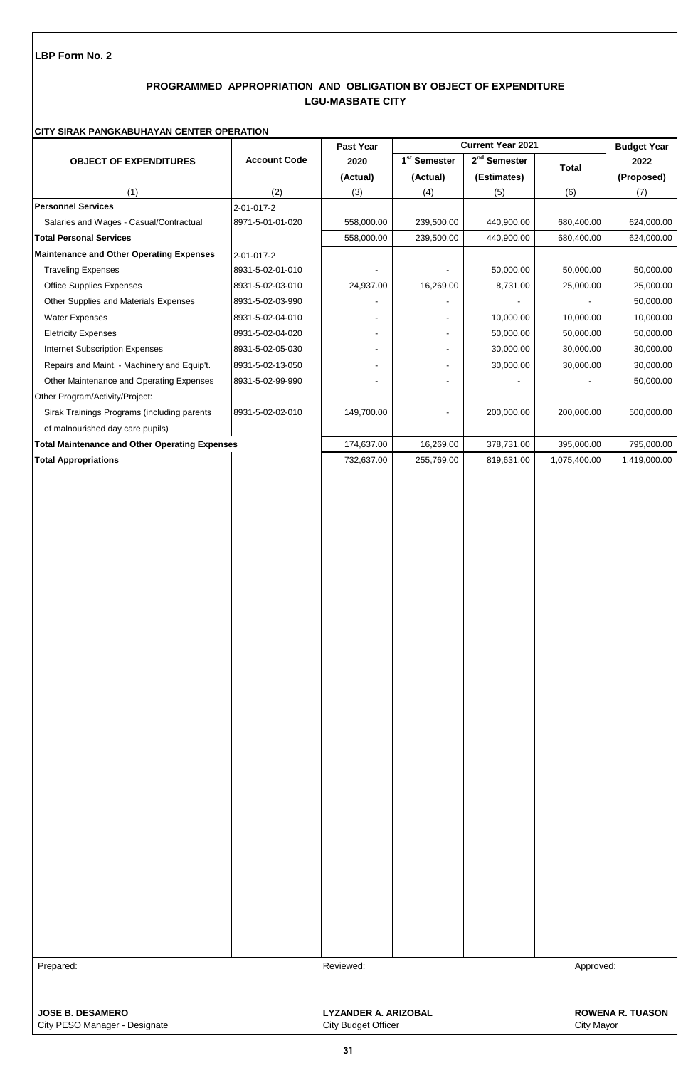# **PROGRAMMED APPROPRIATION AND OBLIGATION BY OBJECT OF EXPENDITURE LGU-MASBATE CITY**

# **CITY SIRAK PANGKABUHAYAN CENTER OPERATION**

|                                                                       |                     | Past Year                                                              |                          | Current Year 2021        |                         | <b>Budget Year</b>      |
|-----------------------------------------------------------------------|---------------------|------------------------------------------------------------------------|--------------------------|--------------------------|-------------------------|-------------------------|
| <b>OBJECT OF EXPENDITURES</b>                                         | <b>Account Code</b> | 2020                                                                   | 1 <sup>st</sup> Semester | 2 <sup>nd</sup> Semester |                         | 2022                    |
|                                                                       |                     | (Actual)                                                               | (Actual)                 | (Estimates)              | <b>Total</b>            | (Proposed)              |
| (1)                                                                   | (2)                 | (3)                                                                    | (4)                      | (5)                      | (6)                     | (7)                     |
| <b>Personnel Services</b>                                             | 2-01-017-2          |                                                                        |                          |                          |                         |                         |
| Salaries and Wages - Casual/Contractual                               | 8971-5-01-01-020    | 558,000.00                                                             | 239,500.00               | 440,900.00               | 680,400.00              | 624,000.00              |
| <b>Total Personal Services</b>                                        |                     | 558,000.00                                                             | 239,500.00               | 440,900.00               | 680,400.00              | 624,000.00              |
| <b>Maintenance and Other Operating Expenses</b>                       | 2-01-017-2          |                                                                        |                          |                          |                         |                         |
| <b>Traveling Expenses</b>                                             | 8931-5-02-01-010    |                                                                        |                          | 50,000.00                | 50,000.00               | 50,000.00               |
| <b>Office Supplies Expenses</b>                                       | 8931-5-02-03-010    | 24,937.00                                                              | 16,269.00                | 8,731.00                 | 25,000.00               | 25,000.00               |
| Other Supplies and Materials Expenses                                 | 8931-5-02-03-990    |                                                                        |                          |                          |                         | 50,000.00               |
| Water Expenses                                                        | 8931-5-02-04-010    |                                                                        | $\frac{1}{2}$            | 10,000.00                | 10,000.00               | 10,000.00               |
| <b>Eletricity Expenses</b>                                            | 8931-5-02-04-020    |                                                                        | $\blacksquare$           | 50,000.00                | 50,000.00               | 50,000.00               |
| Internet Subscription Expenses                                        | 8931-5-02-05-030    | $\overline{\phantom{0}}$                                               | ۰                        | 30,000.00                | 30,000.00               | 30,000.00               |
| Repairs and Maint. - Machinery and Equip't.                           | 8931-5-02-13-050    |                                                                        | $\overline{\phantom{a}}$ | 30,000.00                | 30,000.00               | 30,000.00               |
| Other Maintenance and Operating Expenses                              | 8931-5-02-99-990    |                                                                        |                          |                          |                         | 50,000.00               |
| Other Program/Activity/Project:                                       |                     |                                                                        |                          |                          |                         |                         |
| Sirak Trainings Programs (including parents                           | 8931-5-02-02-010    | 149,700.00                                                             | ٠                        | 200,000.00               | 200,000.00              | 500,000.00              |
| of malnourished day care pupils)                                      |                     |                                                                        |                          |                          |                         |                         |
| <b>Total Maintenance and Other Operating Expenses</b>                 |                     | 174,637.00                                                             | 16,269.00                | 378,731.00               | 395,000.00              | 795,000.00              |
| <b>Total Appropriations</b>                                           |                     | 732,637.00                                                             | 255,769.00               | 819,631.00               | 1,075,400.00            | 1,419,000.00            |
|                                                                       |                     |                                                                        |                          |                          |                         |                         |
| Prepared:<br><b>JOSE B. DESAMERO</b><br>City PESO Manager - Designate |                     | Reviewed:<br><b>LYZANDER A. ARIZOBAL</b><br><b>City Budget Officer</b> |                          |                          | Approved:<br>City Mayor | <b>ROWENA R. TUASON</b> |

**31**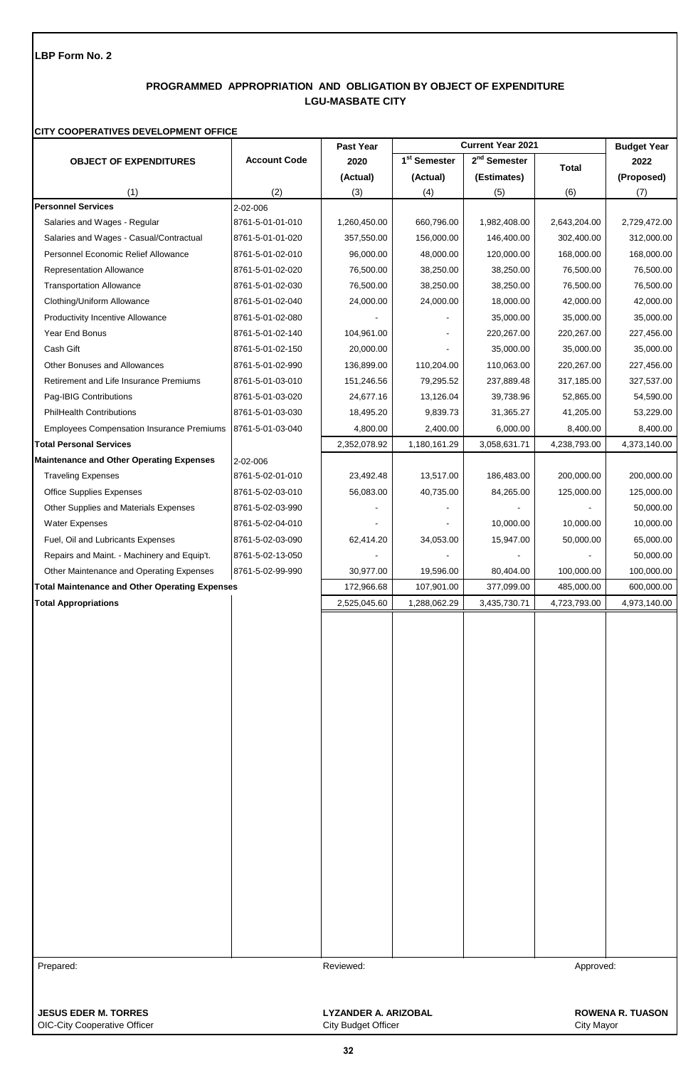# **PROGRAMMED APPROPRIATION AND OBLIGATION BY OBJECT OF EXPENDITURE LGU-MASBATE CITY**

#### **CITY COOPERATIVES DEVELOPMENT OFFICE**

|                                                       |                     | Past Year                   | <b>Current Year 2021</b> |                          |              | <b>Budget Year</b>      |
|-------------------------------------------------------|---------------------|-----------------------------|--------------------------|--------------------------|--------------|-------------------------|
| <b>OBJECT OF EXPENDITURES</b>                         | <b>Account Code</b> | 2020                        | 1 <sup>st</sup> Semester | 2 <sup>nd</sup> Semester | <b>Total</b> | 2022                    |
|                                                       |                     | (Actual)                    | (Actual)                 | (Estimates)              |              | (Proposed)              |
| (1)                                                   | (2)                 | (3)                         | (4)                      | (5)                      | (6)          | (7)                     |
| <b>Personnel Services</b>                             | 2-02-006            |                             |                          |                          |              |                         |
| Salaries and Wages - Regular                          | 8761-5-01-01-010    | 1,260,450.00                | 660,796.00               | 1,982,408.00             | 2,643,204.00 | 2,729,472.00            |
| Salaries and Wages - Casual/Contractual               | 8761-5-01-01-020    | 357,550.00                  | 156,000.00               | 146,400.00               | 302,400.00   | 312,000.00              |
| Personnel Economic Relief Allowance                   | 8761-5-01-02-010    | 96,000.00                   | 48,000.00                | 120,000.00               | 168,000.00   | 168,000.00              |
| <b>Representation Allowance</b>                       | 8761-5-01-02-020    | 76,500.00                   | 38,250.00                | 38,250.00                | 76,500.00    | 76,500.00               |
| <b>Transportation Allowance</b>                       | 8761-5-01-02-030    | 76,500.00                   | 38,250.00                | 38,250.00                | 76,500.00    | 76,500.00               |
| Clothing/Uniform Allowance                            | 8761-5-01-02-040    | 24,000.00                   | 24,000.00                | 18,000.00                | 42,000.00    | 42,000.00               |
| <b>Productivity Incentive Allowance</b>               | 8761-5-01-02-080    |                             |                          | 35,000.00                | 35,000.00    | 35,000.00               |
| Year End Bonus                                        | 8761-5-01-02-140    | 104,961.00                  |                          | 220,267.00               | 220,267.00   | 227,456.00              |
| Cash Gift                                             | 8761-5-01-02-150    | 20,000.00                   |                          | 35,000.00                | 35,000.00    | 35,000.00               |
| Other Bonuses and Allowances                          | 8761-5-01-02-990    | 136,899.00                  | 110,204.00               | 110,063.00               | 220,267.00   | 227,456.00              |
| Retirement and Life Insurance Premiums                | 8761-5-01-03-010    | 151,246.56                  | 79,295.52                | 237,889.48               | 317,185.00   | 327,537.00              |
| Pag-IBIG Contributions                                | 8761-5-01-03-020    | 24,677.16                   | 13,126.04                | 39,738.96                | 52,865.00    | 54,590.00               |
| <b>PhilHealth Contributions</b>                       | 8761-5-01-03-030    | 18,495.20                   | 9,839.73                 | 31,365.27                | 41,205.00    | 53,229.00               |
| <b>Employees Compensation Insurance Premiums</b>      | 8761-5-01-03-040    | 4,800.00                    | 2,400.00                 | 6,000.00                 | 8,400.00     | 8,400.00                |
| <b>Total Personal Services</b>                        |                     | 2,352,078.92                | 1,180,161.29             | 3,058,631.71             | 4,238,793.00 | 4,373,140.00            |
| <b>Maintenance and Other Operating Expenses</b>       | 2-02-006            |                             |                          |                          |              |                         |
| <b>Traveling Expenses</b>                             | 8761-5-02-01-010    | 23,492.48                   | 13,517.00                | 186,483.00               | 200,000.00   | 200,000.00              |
| <b>Office Supplies Expenses</b>                       | 8761-5-02-03-010    | 56,083.00                   | 40,735.00                | 84,265.00                | 125,000.00   | 125,000.00              |
| Other Supplies and Materials Expenses                 | 8761-5-02-03-990    |                             |                          |                          |              | 50,000.00               |
| <b>Water Expenses</b>                                 | 8761-5-02-04-010    |                             |                          | 10,000.00                | 10,000.00    | 10,000.00               |
| Fuel, Oil and Lubricants Expenses                     | 8761-5-02-03-090    | 62,414.20                   | 34,053.00                | 15,947.00                | 50,000.00    | 65,000.00               |
| Repairs and Maint. - Machinery and Equip't.           | 8761-5-02-13-050    |                             |                          |                          |              | 50,000.00               |
| Other Maintenance and Operating Expenses              | 8761-5-02-99-990    | 30,977.00                   | 19,596.00                | 80,404.00                | 100,000.00   | 100,000.00              |
| <b>Total Maintenance and Other Operating Expenses</b> |                     | 172,966.68                  | 107,901.00               | 377,099.00               | 485,000.00   | 600,000.00              |
| <b>Total Appropriations</b>                           |                     | 2,525,045.60                | 1,288,062.29             | 3,435,730.71             | 4,723,793.00 | 4,973,140.00            |
|                                                       |                     |                             |                          |                          |              |                         |
|                                                       |                     |                             |                          |                          |              |                         |
|                                                       |                     |                             |                          |                          |              |                         |
|                                                       |                     |                             |                          |                          |              |                         |
|                                                       |                     |                             |                          |                          |              |                         |
|                                                       |                     |                             |                          |                          |              |                         |
|                                                       |                     |                             |                          |                          |              |                         |
|                                                       |                     |                             |                          |                          |              |                         |
|                                                       |                     |                             |                          |                          |              |                         |
|                                                       |                     |                             |                          |                          |              |                         |
|                                                       |                     |                             |                          |                          |              |                         |
|                                                       |                     |                             |                          |                          |              |                         |
|                                                       |                     |                             |                          |                          |              |                         |
|                                                       |                     |                             |                          |                          |              |                         |
|                                                       |                     |                             |                          |                          |              |                         |
|                                                       |                     |                             |                          |                          |              |                         |
|                                                       |                     |                             |                          |                          |              |                         |
|                                                       |                     |                             |                          |                          |              |                         |
|                                                       |                     |                             |                          |                          |              |                         |
|                                                       |                     |                             |                          |                          |              |                         |
|                                                       |                     |                             |                          |                          |              |                         |
|                                                       |                     |                             |                          |                          |              |                         |
| Prepared:                                             |                     | Reviewed:                   |                          |                          | Approved:    |                         |
|                                                       |                     |                             |                          |                          |              |                         |
|                                                       |                     |                             |                          |                          |              |                         |
| <b>JESUS EDER M. TORRES</b>                           |                     | <b>LYZANDER A. ARIZOBAL</b> |                          |                          |              | <b>ROWENA R. TUASON</b> |

OIC-City Cooperative Officer City Cooperative Officer City Budget Officer City Mayor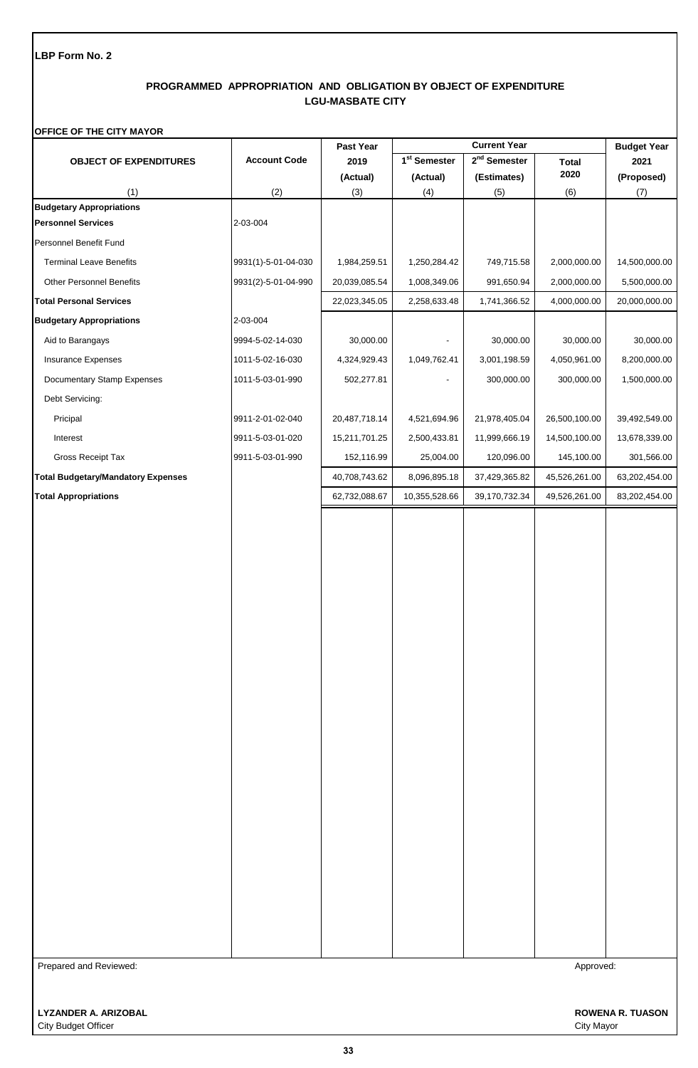# **PROGRAMMED APPROPRIATION AND OBLIGATION BY OBJECT OF EXPENDITURE LGU-MASBATE CITY**

### **OFFICE OF THE CITY MAYOR**

|                                           |                     | Past Year     | <b>Current Year</b>      |                          |               | <b>Budget Year</b> |
|-------------------------------------------|---------------------|---------------|--------------------------|--------------------------|---------------|--------------------|
| <b>OBJECT OF EXPENDITURES</b>             | <b>Account Code</b> | 2019          | 1 <sup>st</sup> Semester | 2 <sup>nd</sup> Semester | <b>Total</b>  | 2021               |
|                                           |                     | (Actual)      | (Actual)                 | (Estimates)              | 2020          | (Proposed)         |
| (1)<br><b>Budgetary Appropriations</b>    | (2)                 | (3)           | (4)                      | (5)                      | (6)           | (7)                |
| <b>Personnel Services</b>                 | 2-03-004            |               |                          |                          |               |                    |
| Personnel Benefit Fund                    |                     |               |                          |                          |               |                    |
| <b>Terminal Leave Benefits</b>            | 9931(1)-5-01-04-030 | 1,984,259.51  | 1,250,284.42             | 749,715.58               | 2,000,000.00  | 14,500,000.00      |
| <b>Other Personnel Benefits</b>           | 9931(2)-5-01-04-990 | 20,039,085.54 | 1,008,349.06             | 991,650.94               | 2,000,000.00  | 5,500,000.00       |
| <b>Total Personal Services</b>            |                     | 22,023,345.05 | 2,258,633.48             | 1,741,366.52             | 4,000,000.00  | 20,000,000.00      |
| <b>Budgetary Appropriations</b>           | 2-03-004            |               |                          |                          |               |                    |
| Aid to Barangays                          | 9994-5-02-14-030    | 30,000.00     | $\overline{\phantom{a}}$ | 30,000.00                | 30,000.00     | 30,000.00          |
| Insurance Expenses                        | 1011-5-02-16-030    | 4,324,929.43  | 1,049,762.41             | 3,001,198.59             | 4,050,961.00  | 8,200,000.00       |
| Documentary Stamp Expenses                | 1011-5-03-01-990    | 502,277.81    |                          | 300,000.00               | 300,000.00    | 1,500,000.00       |
| Debt Servicing:                           |                     |               |                          |                          |               |                    |
| Pricipal                                  | 9911-2-01-02-040    | 20,487,718.14 | 4,521,694.96             | 21,978,405.04            | 26,500,100.00 | 39,492,549.00      |
| Interest                                  | 9911-5-03-01-020    | 15,211,701.25 | 2,500,433.81             | 11,999,666.19            | 14,500,100.00 | 13,678,339.00      |
| Gross Receipt Tax                         | 9911-5-03-01-990    | 152,116.99    | 25,004.00                | 120,096.00               | 145,100.00    | 301,566.00         |
| <b>Total Budgetary/Mandatory Expenses</b> |                     | 40,708,743.62 | 8,096,895.18             | 37,429,365.82            | 45,526,261.00 | 63,202,454.00      |
| <b>Total Appropriations</b>               |                     | 62,732,088.67 | 10,355,528.66            | 39,170,732.34            | 49,526,261.00 | 83,202,454.00      |
|                                           |                     |               |                          |                          |               |                    |
| Prepared and Reviewed:                    |                     |               |                          |                          | Approved:     |                    |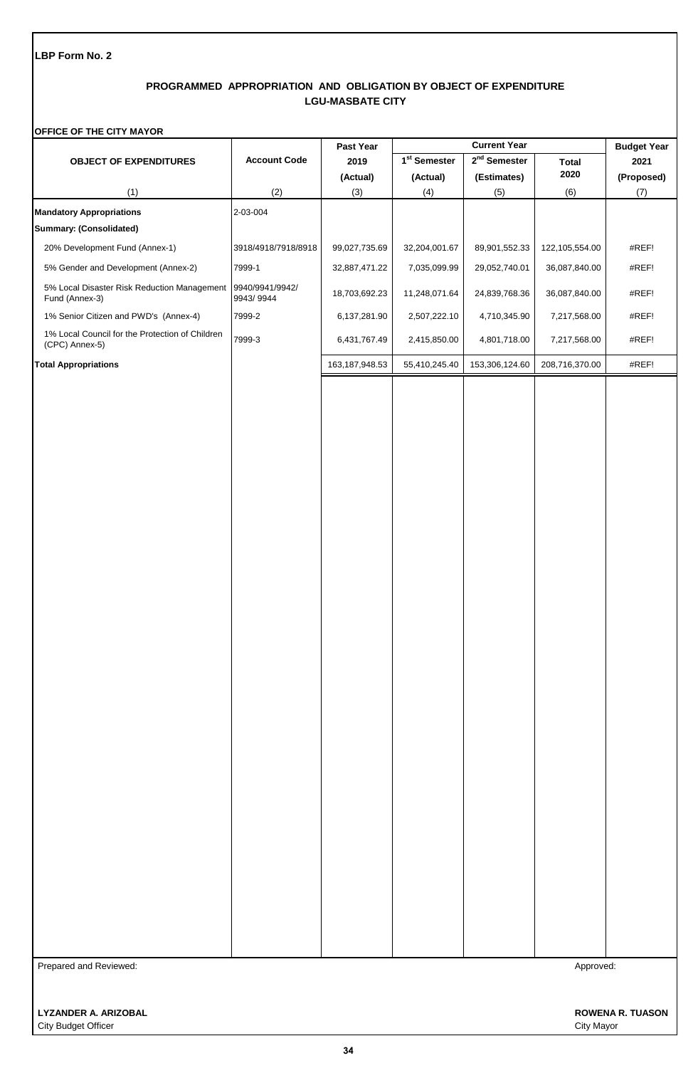## **PROGRAMMED APPROPRIATION AND OBLIGATION BY OBJECT OF EXPENDITURE LGU-MASBATE CITY**

### **OFFICE OF THE CITY MAYOR**

|                                                                   |                              | Past Year        | <b>Current Year</b>      |                |                | <b>Budget Year</b> |
|-------------------------------------------------------------------|------------------------------|------------------|--------------------------|----------------|----------------|--------------------|
| <b>OBJECT OF EXPENDITURES</b>                                     | <b>Account Code</b>          | 2019             | 1 <sup>st</sup> Semester | $2nd$ Semester | <b>Total</b>   | 2021               |
|                                                                   |                              | (Actual)         | (Actual)                 | (Estimates)    | 2020           | (Proposed)         |
| (1)                                                               | (2)                          | (3)              | (4)                      | (5)            | (6)            | (7)                |
| <b>Mandatory Appropriations</b>                                   | 2-03-004                     |                  |                          |                |                |                    |
| <b>Summary: (Consolidated)</b>                                    |                              |                  |                          |                |                |                    |
| 20% Development Fund (Annex-1)                                    | 3918/4918/7918/8918          | 99,027,735.69    | 32,204,001.67            | 89,901,552.33  | 122,105,554.00 | #REF!              |
| 5% Gender and Development (Annex-2)                               | 7999-1                       | 32,887,471.22    | 7,035,099.99             | 29,052,740.01  | 36,087,840.00  | #REF!              |
| 5% Local Disaster Risk Reduction Management<br>Fund (Annex-3)     | 9940/9941/9942/<br>9943/9944 | 18,703,692.23    | 11,248,071.64            | 24,839,768.36  | 36,087,840.00  | #REF!              |
| 1% Senior Citizen and PWD's (Annex-4)                             | 7999-2                       | 6,137,281.90     | 2,507,222.10             | 4,710,345.90   | 7,217,568.00   | #REF!              |
| 1% Local Council for the Protection of Children<br>(CPC) Annex-5) | 7999-3                       | 6,431,767.49     | 2,415,850.00             | 4,801,718.00   | 7,217,568.00   | #REF!              |
| <b>Total Appropriations</b>                                       |                              | 163, 187, 948.53 | 55,410,245.40            | 153,306,124.60 | 208,716,370.00 | #REF!              |
| Prepared and Reviewed:                                            |                              |                  |                          |                | Approved:      |                    |
|                                                                   |                              |                  |                          |                |                |                    |
|                                                                   |                              |                  |                          |                |                |                    |
|                                                                   |                              |                  |                          |                |                |                    |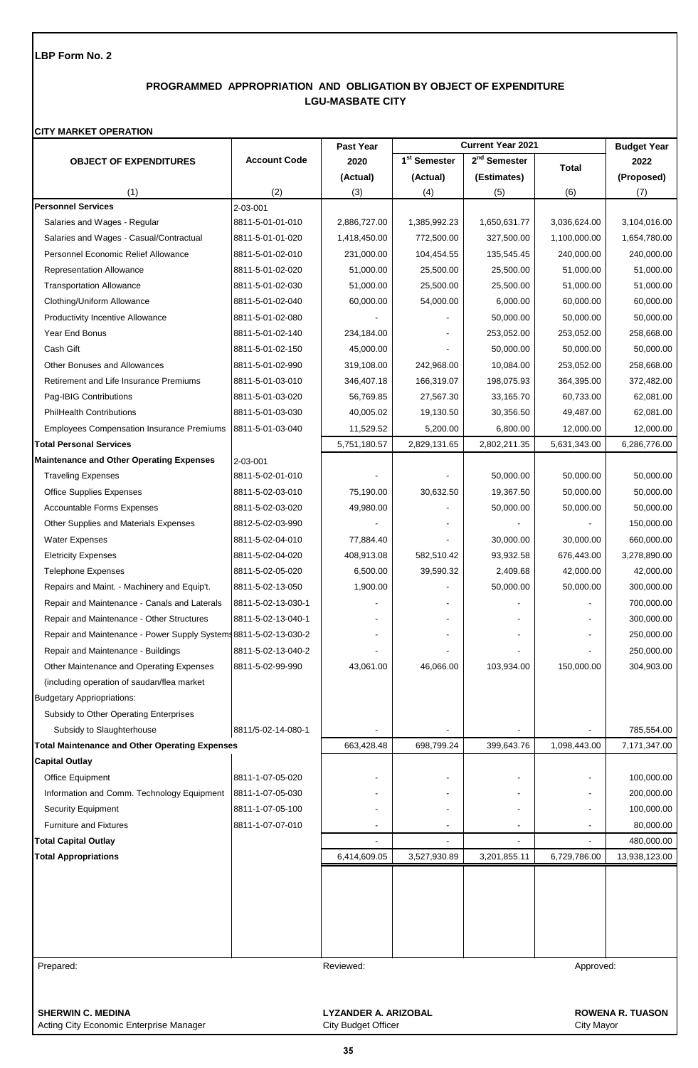# **PROGRAMMED APPROPRIATION AND OBLIGATION BY OBJECT OF EXPENDITURE LGU-MASBATE CITY**

### **CITY MARKET OPERATION**

|                                                                                  |                     | Past Year                                                              |                          | <b>Current Year 2021</b> |                                | <b>Budget Year</b>      |
|----------------------------------------------------------------------------------|---------------------|------------------------------------------------------------------------|--------------------------|--------------------------|--------------------------------|-------------------------|
| <b>OBJECT OF EXPENDITURES</b>                                                    | <b>Account Code</b> | 2020                                                                   | 1 <sup>st</sup> Semester | 2 <sup>nd</sup> Semester | <b>Total</b>                   | 2022                    |
|                                                                                  |                     | (Actual)                                                               | (Actual)                 | (Estimates)              |                                | (Proposed)              |
| (1)                                                                              | (2)                 | (3)                                                                    | (4)                      | (5)                      | (6)                            | (7)                     |
| <b>Personnel Services</b>                                                        | 2-03-001            |                                                                        |                          |                          |                                |                         |
| Salaries and Wages - Regular                                                     | 8811-5-01-01-010    | 2,886,727.00                                                           | 1,385,992.23             | 1,650,631.77             | 3,036,624.00                   | 3,104,016.00            |
| Salaries and Wages - Casual/Contractual                                          | 8811-5-01-01-020    | 1,418,450.00                                                           | 772,500.00               | 327,500.00               | 1,100,000.00                   | 1,654,780.00            |
| Personnel Economic Relief Allowance                                              | 8811-5-01-02-010    | 231,000.00                                                             | 104,454.55               | 135,545.45               | 240,000.00                     | 240,000.00              |
| Representation Allowance                                                         | 8811-5-01-02-020    | 51,000.00                                                              | 25,500.00                | 25,500.00                | 51,000.00                      | 51,000.00               |
| <b>Transportation Allowance</b>                                                  | 8811-5-01-02-030    | 51,000.00                                                              | 25,500.00                | 25,500.00                | 51,000.00                      | 51,000.00               |
| Clothing/Uniform Allowance                                                       | 8811-5-01-02-040    | 60,000.00                                                              | 54,000.00                | 6,000.00                 | 60,000.00                      | 60,000.00               |
| Productivity Incentive Allowance                                                 | 8811-5-01-02-080    |                                                                        |                          | 50,000.00                | 50,000.00                      | 50,000.00               |
| Year End Bonus                                                                   | 8811-5-01-02-140    | 234,184.00                                                             |                          | 253,052.00               | 253,052.00                     | 258,668.00              |
| Cash Gift                                                                        | 8811-5-01-02-150    | 45,000.00                                                              |                          | 50,000.00                | 50,000.00                      | 50,000.00               |
| <b>Other Bonuses and Allowances</b>                                              | 8811-5-01-02-990    | 319,108.00                                                             | 242,968.00               | 10,084.00                | 253,052.00                     | 258,668.00              |
| Retirement and Life Insurance Premiums                                           | 8811-5-01-03-010    | 346,407.18                                                             | 166,319.07               | 198,075.93               | 364,395.00                     | 372,482.00              |
| Pag-IBIG Contributions                                                           | 8811-5-01-03-020    | 56,769.85                                                              | 27,567.30                | 33,165.70                | 60,733.00                      | 62,081.00               |
| <b>PhilHealth Contributions</b>                                                  | 8811-5-01-03-030    | 40,005.02                                                              | 19,130.50                | 30,356.50                | 49,487.00                      | 62,081.00               |
| <b>Employees Compensation Insurance Premiums</b>                                 | 8811-5-01-03-040    | 11,529.52                                                              | 5,200.00                 | 6,800.00                 | 12,000.00                      | 12,000.00               |
| <b>Total Personal Services</b>                                                   |                     | 5,751,180.57                                                           | 2,829,131.65             | 2,802,211.35             | 5,631,343.00                   | 6,286,776.00            |
| <b>Maintenance and Other Operating Expenses</b>                                  | 2-03-001            |                                                                        |                          |                          |                                |                         |
| <b>Traveling Expenses</b>                                                        | 8811-5-02-01-010    |                                                                        |                          | 50,000.00                | 50,000.00                      | 50,000.00               |
| <b>Office Supplies Expenses</b>                                                  | 8811-5-02-03-010    | 75,190.00                                                              | 30,632.50                | 19,367.50                | 50,000.00                      | 50,000.00               |
| <b>Accountable Forms Expenses</b>                                                | 8811-5-02-03-020    | 49,980.00                                                              |                          | 50,000.00                | 50,000.00                      | 50,000.00               |
| Other Supplies and Materials Expenses                                            | 8812-5-02-03-990    |                                                                        |                          |                          |                                | 150,000.00              |
| Water Expenses                                                                   | 8811-5-02-04-010    | 77,884.40                                                              |                          | 30,000.00                | 30,000.00                      | 660,000.00              |
| <b>Eletricity Expenses</b>                                                       | 8811-5-02-04-020    | 408,913.08                                                             | 582,510.42               | 93,932.58                | 676,443.00                     | 3,278,890.00            |
| <b>Telephone Expenses</b>                                                        | 8811-5-02-05-020    | 6,500.00                                                               | 39,590.32                | 2,409.68                 | 42,000.00                      | 42,000.00               |
| Repairs and Maint. - Machinery and Equip't.                                      | 8811-5-02-13-050    | 1,900.00                                                               |                          | 50,000.00                | 50,000.00                      | 300,000.00              |
| Repair and Maintenance - Canals and Laterals                                     | 8811-5-02-13-030-1  |                                                                        |                          |                          |                                | 700,000.00              |
| Repair and Maintenance - Other Structures                                        | 8811-5-02-13-040-1  |                                                                        |                          |                          |                                | 300,000.00              |
| Repair and Maintenance - Power Supply Systems 8811-5-02-13-030-2                 |                     |                                                                        |                          |                          |                                | 250,000.00              |
| Repair and Maintenance - Buildings                                               | 8811-5-02-13-040-2  |                                                                        |                          |                          |                                | 250,000.00              |
| Other Maintenance and Operating Expenses                                         | 8811-5-02-99-990    | 43,061.00                                                              | 46,066.00                | 103,934.00               | 150,000.00                     | 304,903.00              |
| (including operation of saudan/flea market                                       |                     |                                                                        |                          |                          |                                |                         |
| <b>Budgetary Appriopriations:</b>                                                |                     |                                                                        |                          |                          |                                |                         |
| Subsidy to Other Operating Enterprises                                           |                     |                                                                        |                          |                          |                                |                         |
| Subsidy to Slaughterhouse                                                        | 8811/5-02-14-080-1  |                                                                        |                          |                          |                                | 785,554.00              |
| <b>Total Maintenance and Other Operating Expenses</b>                            |                     | 663,428.48                                                             | 698,799.24               | 399,643.76               | 1,098,443.00                   | 7,171,347.00            |
| <b>Capital Outlay</b>                                                            |                     |                                                                        |                          |                          |                                |                         |
| Office Equipment                                                                 | 8811-1-07-05-020    |                                                                        |                          |                          |                                | 100,000.00              |
| Information and Comm. Technology Equipment                                       | 8811-1-07-05-030    |                                                                        |                          |                          |                                | 200,000.00              |
| <b>Security Equipment</b>                                                        | 8811-1-07-05-100    |                                                                        |                          |                          |                                | 100,000.00              |
| <b>Furniture and Fixtures</b>                                                    | 8811-1-07-07-010    |                                                                        |                          |                          |                                | 80,000.00               |
| <b>Total Capital Outlay</b>                                                      |                     |                                                                        |                          |                          |                                | 480,000.00              |
| <b>Total Appropriations</b>                                                      |                     | 6,414,609.05                                                           | 3,527,930.89             | 3,201,855.11             | 6,729,786.00                   | 13,938,123.00           |
|                                                                                  |                     |                                                                        |                          |                          |                                |                         |
|                                                                                  |                     |                                                                        |                          |                          |                                |                         |
| Prepared:<br><b>SHERWIN C. MEDINA</b><br>Acting City Economic Enterprise Manager |                     | Reviewed:<br><b>LYZANDER A. ARIZOBAL</b><br><b>City Budget Officer</b> |                          |                          | Approved:<br><b>City Mayor</b> | <b>ROWENA R. TUASON</b> |

**35**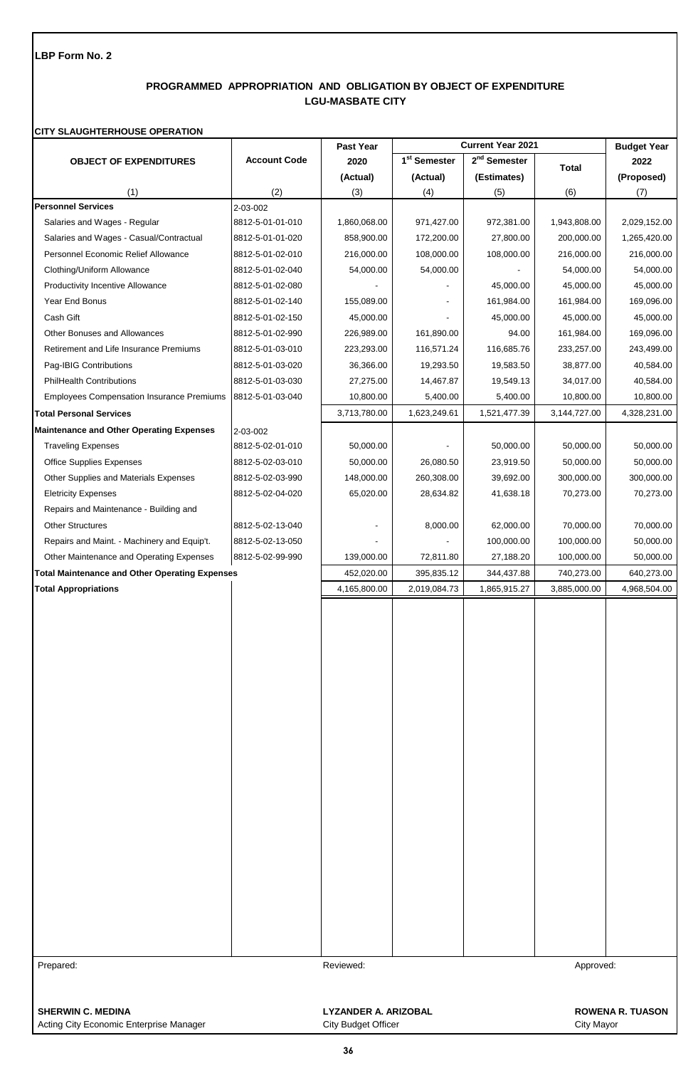# **PROGRAMMED APPROPRIATION AND OBLIGATION BY OBJECT OF EXPENDITURE LGU-MASBATE CITY**

#### **CITY SLAUGHTERHOUSE OPERATION**

|                                                       |                     | Past Year                   | <b>Current Year 2021</b> |                          | <b>Budget Year</b> |                         |
|-------------------------------------------------------|---------------------|-----------------------------|--------------------------|--------------------------|--------------------|-------------------------|
| <b>OBJECT OF EXPENDITURES</b>                         | <b>Account Code</b> | 2020                        | 1 <sup>st</sup> Semester | 2 <sup>nd</sup> Semester | <b>Total</b>       | 2022                    |
|                                                       |                     | (Actual)                    | (Actual)                 | (Estimates)              |                    | (Proposed)              |
| (1)                                                   | (2)                 | (3)                         | (4)                      | (5)                      | (6)                | (7)                     |
| <b>Personnel Services</b>                             | 2-03-002            |                             |                          |                          |                    |                         |
| Salaries and Wages - Regular                          | 8812-5-01-01-010    | 1,860,068.00                | 971,427.00               | 972,381.00               | 1,943,808.00       | 2,029,152.00            |
| Salaries and Wages - Casual/Contractual               | 8812-5-01-01-020    | 858,900.00                  | 172,200.00               | 27,800.00                | 200,000.00         | 1,265,420.00            |
| Personnel Economic Relief Allowance                   | 8812-5-01-02-010    | 216,000.00                  | 108,000.00               | 108,000.00               | 216,000.00         | 216,000.00              |
| Clothing/Uniform Allowance                            | 8812-5-01-02-040    | 54,000.00                   | 54,000.00                |                          | 54,000.00          | 54,000.00               |
| Productivity Incentive Allowance                      | 8812-5-01-02-080    |                             |                          | 45,000.00                | 45,000.00          | 45,000.00               |
| Year End Bonus                                        | 8812-5-01-02-140    | 155,089.00                  |                          | 161,984.00               | 161,984.00         | 169,096.00              |
| Cash Gift                                             | 8812-5-01-02-150    | 45,000.00                   |                          | 45,000.00                | 45,000.00          | 45,000.00               |
| Other Bonuses and Allowances                          | 8812-5-01-02-990    | 226,989.00                  | 161,890.00               | 94.00                    | 161,984.00         | 169,096.00              |
| Retirement and Life Insurance Premiums                | 8812-5-01-03-010    | 223,293.00                  | 116,571.24               | 116,685.76               | 233,257.00         | 243,499.00              |
| Pag-IBIG Contributions                                | 8812-5-01-03-020    | 36,366.00                   | 19,293.50                | 19,583.50                | 38,877.00          | 40,584.00               |
| <b>PhilHealth Contributions</b>                       | 8812-5-01-03-030    | 27,275.00                   | 14,467.87                | 19,549.13                | 34,017.00          | 40,584.00               |
| <b>Employees Compensation Insurance Premiums</b>      | 8812-5-01-03-040    | 10,800.00                   | 5,400.00                 | 5,400.00                 | 10,800.00          | 10,800.00               |
| <b>Total Personal Services</b>                        |                     | 3,713,780.00                | 1,623,249.61             | 1,521,477.39             | 3,144,727.00       | 4,328,231.00            |
| <b>Maintenance and Other Operating Expenses</b>       | 2-03-002            |                             |                          |                          |                    |                         |
| <b>Traveling Expenses</b>                             | 8812-5-02-01-010    | 50,000.00                   |                          | 50,000.00                | 50,000.00          | 50,000.00               |
| Office Supplies Expenses                              | 8812-5-02-03-010    | 50,000.00                   | 26,080.50                | 23,919.50                | 50,000.00          | 50,000.00               |
| Other Supplies and Materials Expenses                 | 8812-5-02-03-990    | 148,000.00                  | 260,308.00               | 39,692.00                | 300,000.00         | 300,000.00              |
| <b>Eletricity Expenses</b>                            | 8812-5-02-04-020    | 65,020.00                   | 28,634.82                | 41,638.18                | 70,273.00          | 70,273.00               |
| Repairs and Maintenance - Building and                |                     |                             |                          |                          |                    |                         |
| <b>Other Structures</b>                               | 8812-5-02-13-040    |                             | 8,000.00                 | 62,000.00                | 70,000.00          | 70,000.00               |
| Repairs and Maint. - Machinery and Equip't.           | 8812-5-02-13-050    |                             |                          | 100,000.00               | 100,000.00         | 50,000.00               |
| Other Maintenance and Operating Expenses              | 8812-5-02-99-990    | 139,000.00                  | 72,811.80                | 27,188.20                | 100,000.00         | 50,000.00               |
| <b>Total Maintenance and Other Operating Expenses</b> |                     | 452,020.00                  | 395,835.12               | 344,437.88               | 740,273.00         | 640,273.00              |
| <b>Total Appropriations</b>                           |                     | 4,165,800.00                | 2,019,084.73             | 1,865,915.27             | 3,885,000.00       | 4,968,504.00            |
|                                                       |                     |                             |                          |                          |                    |                         |
|                                                       |                     |                             |                          |                          |                    |                         |
|                                                       |                     |                             |                          |                          |                    |                         |
|                                                       |                     |                             |                          |                          |                    |                         |
|                                                       |                     |                             |                          |                          |                    |                         |
|                                                       |                     |                             |                          |                          |                    |                         |
|                                                       |                     |                             |                          |                          |                    |                         |
|                                                       |                     |                             |                          |                          |                    |                         |
|                                                       |                     |                             |                          |                          |                    |                         |
|                                                       |                     |                             |                          |                          |                    |                         |
|                                                       |                     |                             |                          |                          |                    |                         |
|                                                       |                     |                             |                          |                          |                    |                         |
|                                                       |                     |                             |                          |                          |                    |                         |
|                                                       |                     |                             |                          |                          |                    |                         |
|                                                       |                     |                             |                          |                          |                    |                         |
|                                                       |                     |                             |                          |                          |                    |                         |
|                                                       |                     |                             |                          |                          |                    |                         |
|                                                       |                     |                             |                          |                          |                    |                         |
|                                                       |                     |                             |                          |                          |                    |                         |
|                                                       |                     |                             |                          |                          |                    |                         |
|                                                       |                     |                             |                          |                          |                    |                         |
|                                                       |                     |                             |                          |                          |                    |                         |
|                                                       |                     |                             |                          |                          |                    |                         |
|                                                       |                     |                             |                          |                          |                    |                         |
| Prepared:                                             |                     | Reviewed:                   |                          |                          | Approved:          |                         |
|                                                       |                     |                             |                          |                          |                    |                         |
| <b>SHERWIN C. MEDINA</b>                              |                     |                             |                          |                          |                    | <b>ROWENA R. TUASON</b> |
|                                                       |                     | <b>LYZANDER A. ARIZOBAL</b> |                          |                          |                    |                         |

**36**